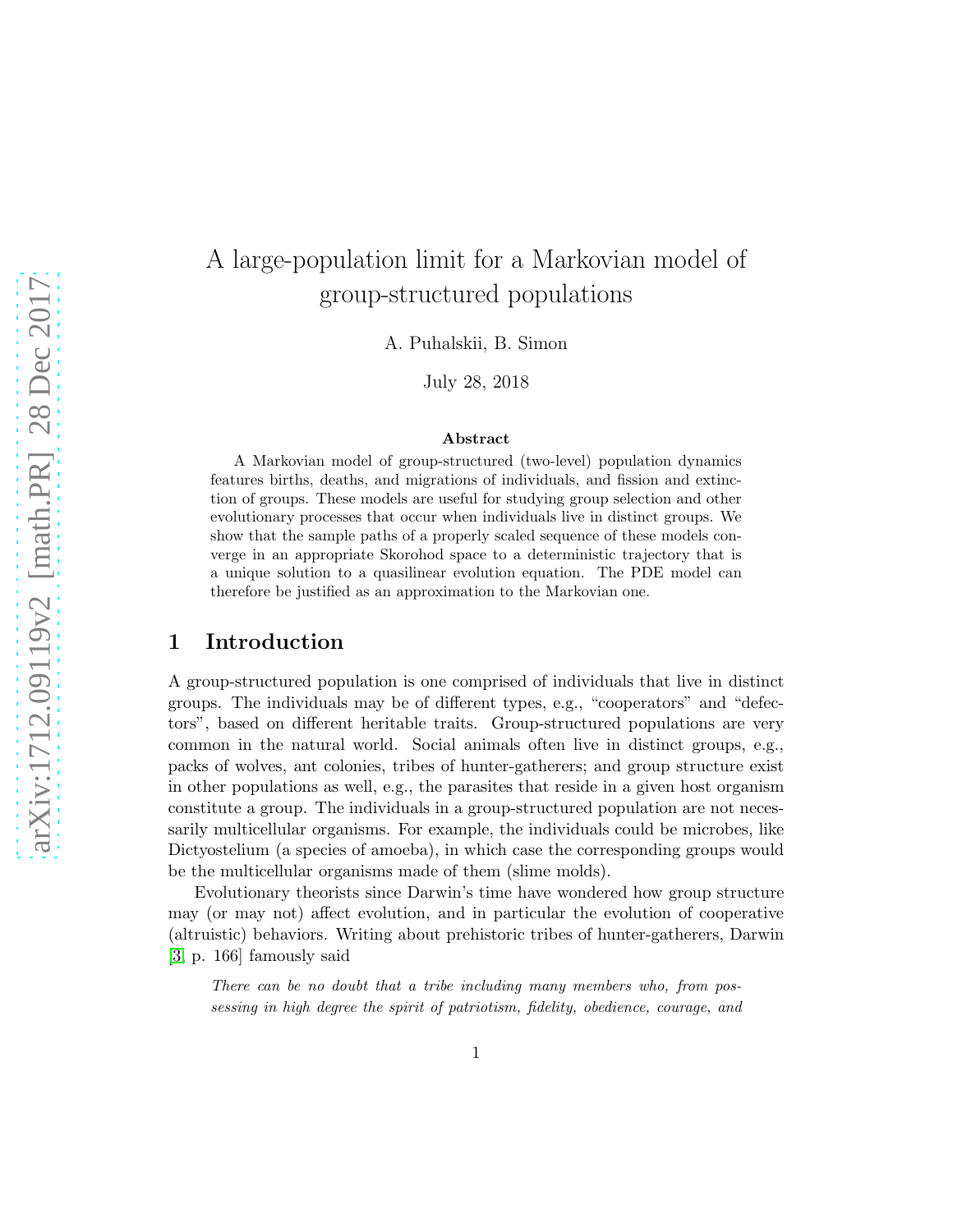# A large-population limit for a Markovian model of group-structured populations

A. Puhalskii, B. Simon

July 28, 2018

#### Abstract

A Markovian model of group-structured (two-level) population dynamics features births, deaths, and migrations of individuals, and fission and extinction of groups. These models are useful for studying group selection and other evolutionary processes that occur when individuals live in distinct groups. We show that the sample paths of a properly scaled sequence of these models converge in an appropriate Skorohod space to a deterministic trajectory that is a unique solution to a quasilinear evolution equation. The PDE model can therefore be justified as an approximation to the Markovian one.

# 1 Introduction

A group-structured population is one comprised of individuals that live in distinct groups. The individuals may be of different types, e.g., "cooperators" and "defectors", based on different heritable traits. Group-structured populations are very common in the natural world. Social animals often live in distinct groups, e.g., packs of wolves, ant colonies, tribes of hunter-gatherers; and group structure exist in other populations as well, e.g., the parasites that reside in a given host organism constitute a group. The individuals in a group-structured population are not necessarily multicellular organisms. For example, the individuals could be microbes, like Dictyostelium (a species of amoeba), in which case the corresponding groups would be the multicellular organisms made of them (slime molds).

Evolutionary theorists since Darwin's time have wondered how group structure may (or may not) affect evolution, and in particular the evolution of cooperative (altruistic) behaviors. Writing about prehistoric tribes of hunter-gatherers, Darwin [\[3,](#page-46-0) p. 166] famously said

There can be no doubt that a tribe including many members who, from possessing in high degree the spirit of patriotism, fidelity, obedience, courage, and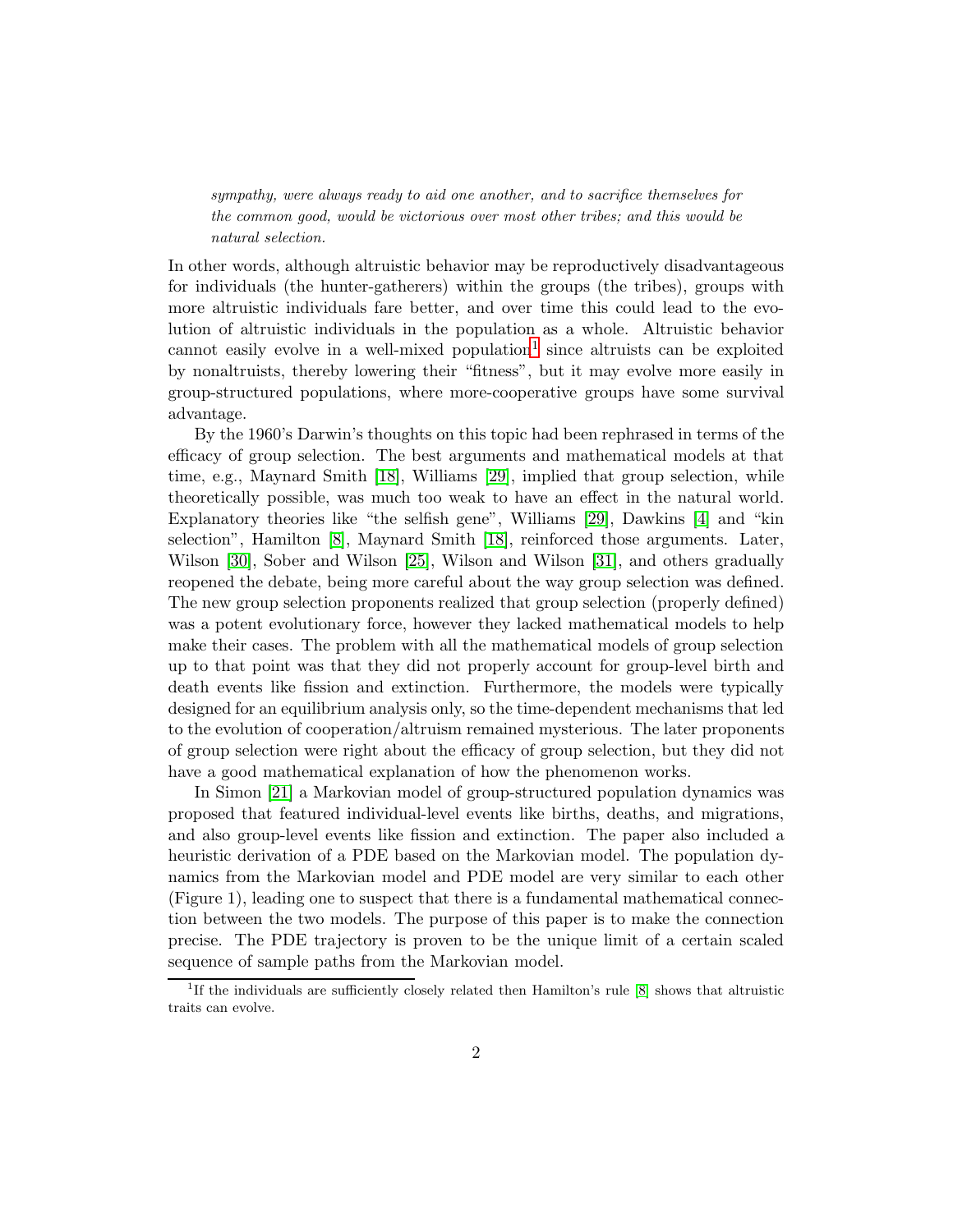sympathy, were always ready to aid one another, and to sacrifice themselves for the common good, would be victorious over most other tribes; and this would be natural selection.

In other words, although altruistic behavior may be reproductively disadvantageous for individuals (the hunter-gatherers) within the groups (the tribes), groups with more altruistic individuals fare better, and over time this could lead to the evolution of altruistic individuals in the population as a whole. Altruistic behavior cannot easily evolve in a well-mixed population<sup>[1](#page-1-0)</sup> since altruists can be exploited by nonaltruists, thereby lowering their "fitness", but it may evolve more easily in group-structured populations, where more-cooperative groups have some survival advantage.

By the 1960's Darwin's thoughts on this topic had been rephrased in terms of the efficacy of group selection. The best arguments and mathematical models at that time, e.g., Maynard Smith [\[18\]](#page-47-0), Williams [\[29\]](#page-47-1), implied that group selection, while theoretically possible, was much too weak to have an effect in the natural world. Explanatory theories like "the selfish gene", Williams [\[29\]](#page-47-1), Dawkins [\[4\]](#page-46-1) and "kin selection", Hamilton [\[8\]](#page-46-2), Maynard Smith [\[18\]](#page-47-0), reinforced those arguments. Later, Wilson [\[30\]](#page-47-2), Sober and Wilson [\[25\]](#page-47-3), Wilson and Wilson [\[31\]](#page-47-4), and others gradually reopened the debate, being more careful about the way group selection was defined. The new group selection proponents realized that group selection (properly defined) was a potent evolutionary force, however they lacked mathematical models to help make their cases. The problem with all the mathematical models of group selection up to that point was that they did not properly account for group-level birth and death events like fission and extinction. Furthermore, the models were typically designed for an equilibrium analysis only, so the time-dependent mechanisms that led to the evolution of cooperation/altruism remained mysterious. The later proponents of group selection were right about the efficacy of group selection, but they did not have a good mathematical explanation of how the phenomenon works.

In Simon [\[21\]](#page-47-5) a Markovian model of group-structured population dynamics was proposed that featured individual-level events like births, deaths, and migrations, and also group-level events like fission and extinction. The paper also included a heuristic derivation of a PDE based on the Markovian model. The population dynamics from the Markovian model and PDE model are very similar to each other (Figure 1), leading one to suspect that there is a fundamental mathematical connection between the two models. The purpose of this paper is to make the connection precise. The PDE trajectory is proven to be the unique limit of a certain scaled sequence of sample paths from the Markovian model.

<span id="page-1-0"></span><sup>&</sup>lt;sup>1</sup>If the individuals are sufficiently closely related then Hamilton's rule [\[8\]](#page-46-2) shows that altruistic traits can evolve.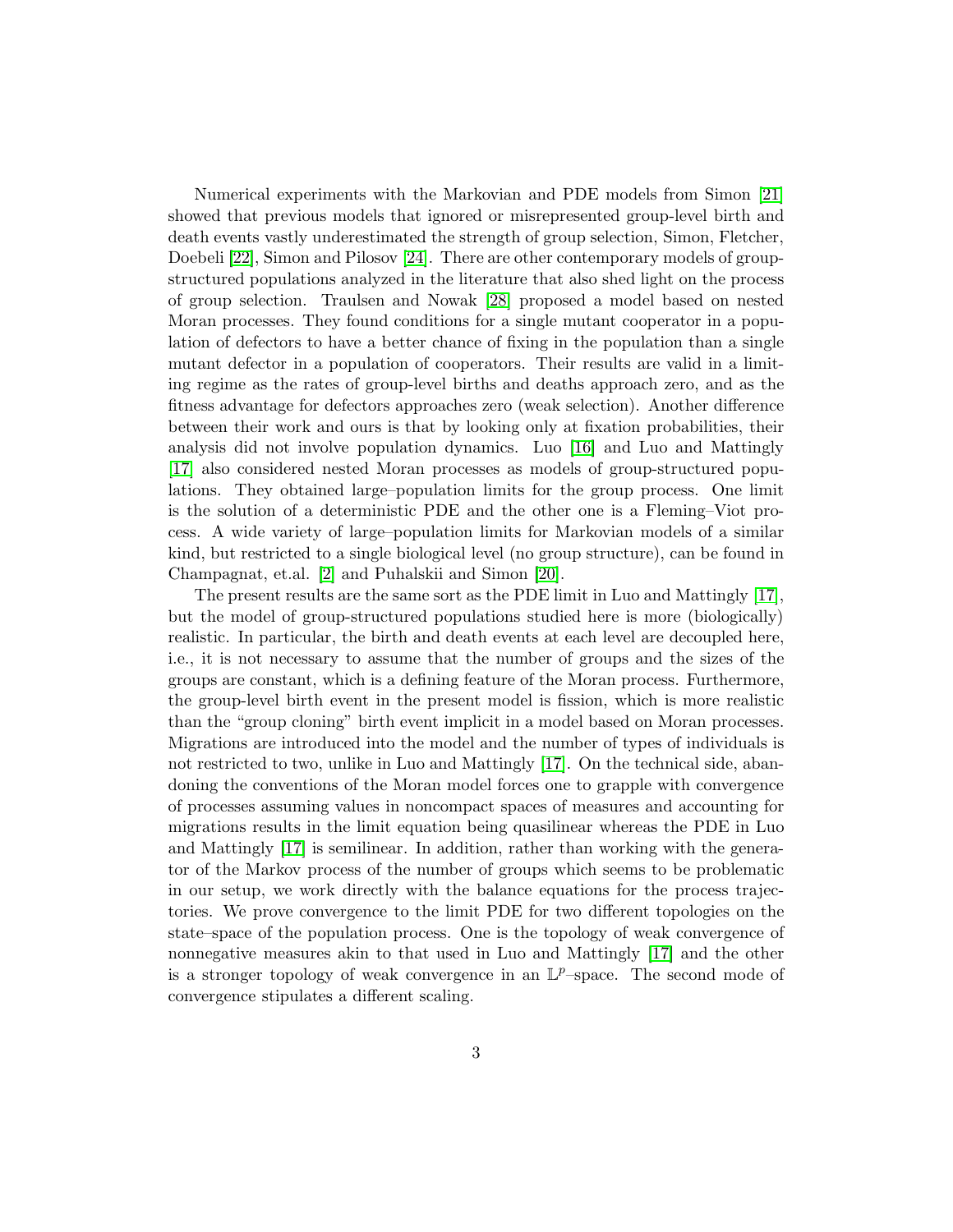Numerical experiments with the Markovian and PDE models from Simon [\[21\]](#page-47-5) showed that previous models that ignored or misrepresented group-level birth and death events vastly underestimated the strength of group selection, Simon, Fletcher, Doebeli [\[22\]](#page-47-6), Simon and Pilosov [\[24\]](#page-47-7). There are other contemporary models of groupstructured populations analyzed in the literature that also shed light on the process of group selection. Traulsen and Nowak [\[28\]](#page-47-8) proposed a model based on nested Moran processes. They found conditions for a single mutant cooperator in a population of defectors to have a better chance of fixing in the population than a single mutant defector in a population of cooperators. Their results are valid in a limiting regime as the rates of group-level births and deaths approach zero, and as the fitness advantage for defectors approaches zero (weak selection). Another difference between their work and ours is that by looking only at fixation probabilities, their analysis did not involve population dynamics. Luo [\[16\]](#page-46-3) and Luo and Mattingly [\[17\]](#page-46-4) also considered nested Moran processes as models of group-structured populations. They obtained large–population limits for the group process. One limit is the solution of a deterministic PDE and the other one is a Fleming–Viot process. A wide variety of large–population limits for Markovian models of a similar kind, but restricted to a single biological level (no group structure), can be found in Champagnat, et.al. [\[2\]](#page-45-0) and Puhalskii and Simon [\[20\]](#page-47-9).

The present results are the same sort as the PDE limit in Luo and Mattingly [\[17\]](#page-46-4), but the model of group-structured populations studied here is more (biologically) realistic. In particular, the birth and death events at each level are decoupled here, i.e., it is not necessary to assume that the number of groups and the sizes of the groups are constant, which is a defining feature of the Moran process. Furthermore, the group-level birth event in the present model is fission, which is more realistic than the "group cloning" birth event implicit in a model based on Moran processes. Migrations are introduced into the model and the number of types of individuals is not restricted to two, unlike in Luo and Mattingly [\[17\]](#page-46-4). On the technical side, abandoning the conventions of the Moran model forces one to grapple with convergence of processes assuming values in noncompact spaces of measures and accounting for migrations results in the limit equation being quasilinear whereas the PDE in Luo and Mattingly [\[17\]](#page-46-4) is semilinear. In addition, rather than working with the generator of the Markov process of the number of groups which seems to be problematic in our setup, we work directly with the balance equations for the process trajectories. We prove convergence to the limit PDE for two different topologies on the state–space of the population process. One is the topology of weak convergence of nonnegative measures akin to that used in Luo and Mattingly [\[17\]](#page-46-4) and the other is a stronger topology of weak convergence in an  $\mathbb{L}^p$ -space. The second mode of convergence stipulates a different scaling.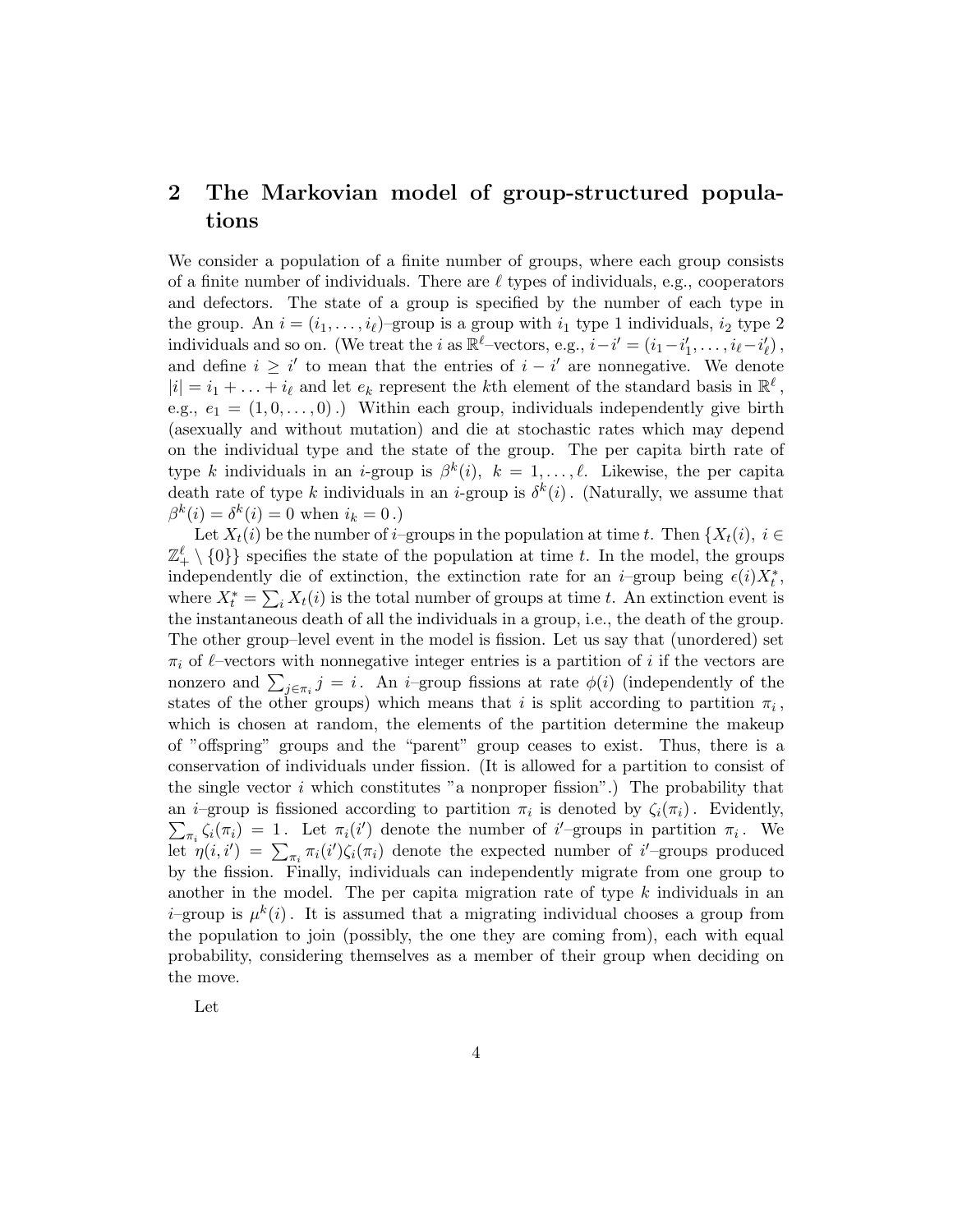# 2 The Markovian model of group-structured populations

We consider a population of a finite number of groups, where each group consists of a finite number of individuals. There are  $\ell$  types of individuals, e.g., cooperators and defectors. The state of a group is specified by the number of each type in the group. An  $i = (i_1, \ldots, i_\ell)$ -group is a group with  $i_1$  type 1 individuals,  $i_2$  type 2 individuals and so on. (We treat the *i* as  $\mathbb{R}^l$ -vectors, e.g.,  $i - i' = (i_1 - i'_1, \ldots, i_\ell - i'_\ell)$ , and define  $i \geq i'$  to mean that the entries of  $i - i'$  are nonnegative. We denote  $|i| = i_1 + \ldots + i_\ell$  and let  $e_k$  represent the kth element of the standard basis in  $\mathbb{R}^\ell$ , e.g.,  $e_1 = (1, 0, \ldots, 0)$ .) Within each group, individuals independently give birth (asexually and without mutation) and die at stochastic rates which may depend on the individual type and the state of the group. The per capita birth rate of type k individuals in an *i*-group is  $\beta^k(i)$ ,  $k = 1, \ldots, \ell$ . Likewise, the per capita death rate of type k individuals in an *i*-group is  $\delta^k(i)$ . (Naturally, we assume that  $\beta^{k}(i) = \delta^{k}(i) = 0$  when  $i_{k} = 0$ .)

Let  $X_t(i)$  be the number of *i*–groups in the population at time t. Then  ${X_t(i)}$ ,  $i \in$  $\mathbb{Z}_+^{\ell} \setminus \{0\}$  specifies the state of the population at time t. In the model, the groups independently die of extinction, the extinction rate for an *i*–group being  $\epsilon(i)X_t^*$ , where  $X_t^* = \sum_i X_t(i)$  is the total number of groups at time t. An extinction event is the instantaneous death of all the individuals in a group, i.e., the death of the group. The other group–level event in the model is fission. Let us say that (unordered) set  $\pi_i$  of  $\ell$ -vectors with nonnegative integer entries is a partition of i if the vectors are nonzero and  $\sum_{j\in\pi_i} j = i$ . An *i*–group fissions at rate  $\phi(i)$  (independently of the states of the other groups) which means that i is split according to partition  $\pi_i$ , which is chosen at random, the elements of the partition determine the makeup of "offspring" groups and the "parent" group ceases to exist. Thus, there is a conservation of individuals under fission. (It is allowed for a partition to consist of the single vector  $i$  which constitutes "a nonproper fission".) The probability that an *i*-group is fissioned according to partition  $\pi_i$  is denoted by  $\zeta_i(\pi_i)$ . Evidently,  $\sum_{\pi_i} \zeta_i(\pi_i) = 1$ . Let  $\pi_i(i')$  denote the number of i'-groups in partition  $\pi_i$ . We let  $\eta(i,i') = \sum_{\pi_i} \pi_i(i') \zeta_i(\pi_i)$  denote the expected number of i'-groups produced by the fission. Finally, individuals can independently migrate from one group to another in the model. The per capita migration rate of type  $k$  individuals in an *i*–group is  $\mu^{k}(i)$ . It is assumed that a migrating individual chooses a group from the population to join (possibly, the one they are coming from), each with equal probability, considering themselves as a member of their group when deciding on the move.

Let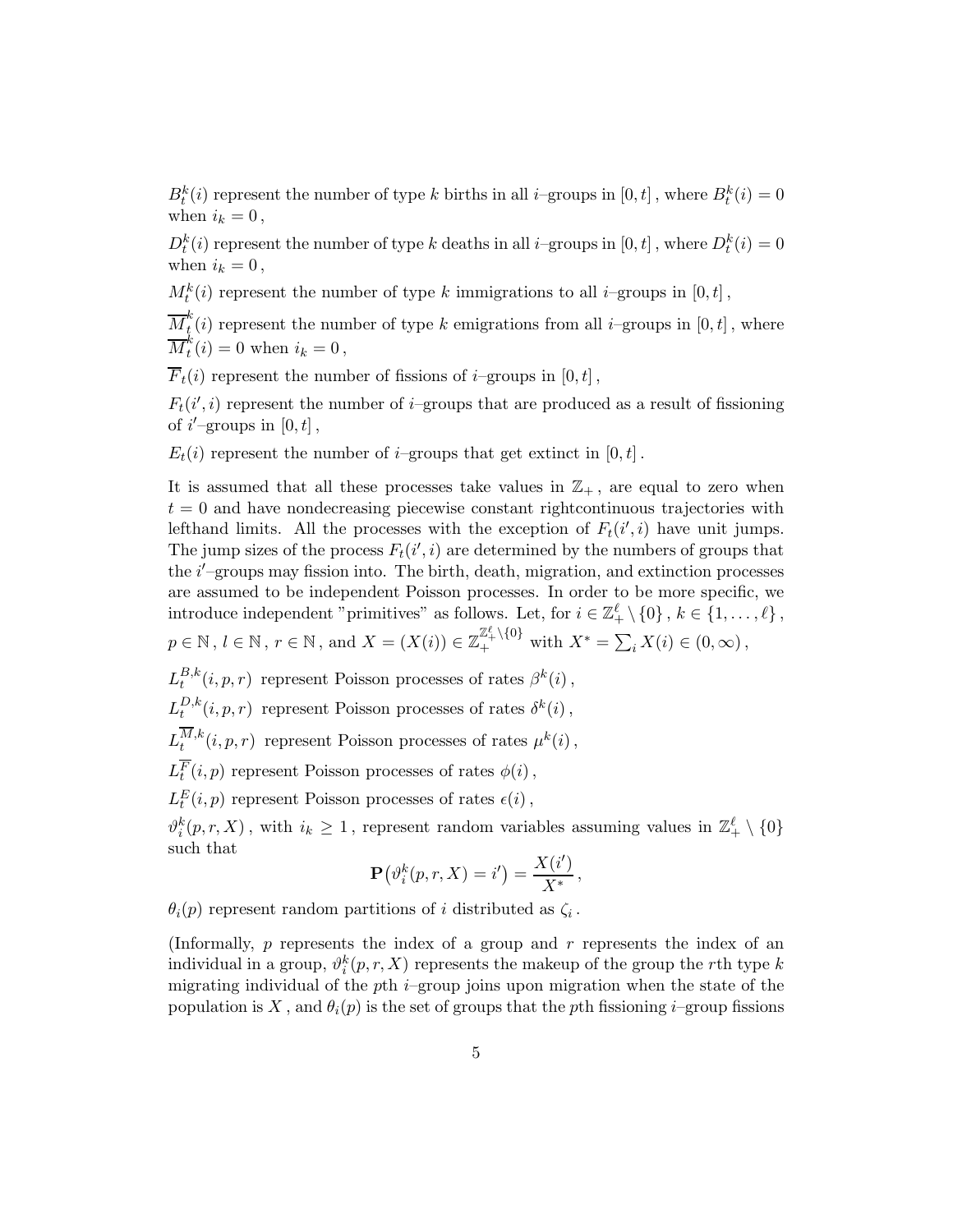$B_t^k(i)$  represent the number of type k births in all *i*–groups in  $[0, t]$ , where  $B_t^k(i) = 0$ when  $i_k = 0$ ,

 $D_t^k(i)$  represent the number of type k deaths in all *i*–groups in  $[0, t]$ , where  $D_t^k(i) = 0$ when  $i_k = 0$ ,

 $M_t^k(i)$  represent the number of type k immigrations to all *i*–groups in  $[0, t]$ ,

 $\overline{M}_t^k$  $\int_{t}^{\infty}(i)$  represent the number of type k emigrations from all *i*–groups in  $[0, t]$ , where  $\overline{M}_t^k$  $t''_t(i) = 0$  when  $i_k = 0$ ,

 $\overline{F}_t(i)$  represent the number of fissions of *i*–groups in [0, t],

 $F_t(i', i)$  represent the number of *i*-groups that are produced as a result of fissioning of  $i'$ -groups in  $[0, t]$ ,

 $E_t(i)$  represent the number of *i*–groups that get extinct in [0, t].

It is assumed that all these processes take values in  $\mathbb{Z}_+$ , are equal to zero when  $t = 0$  and have nondecreasing piecewise constant rightcontinuous trajectories with lefthand limits. All the processes with the exception of  $F_t(i', i)$  have unit jumps. The jump sizes of the process  $F_t(i', i)$  are determined by the numbers of groups that the *i'*-groups may fission into. The birth, death, migration, and extinction processes are assumed to be independent Poisson processes. In order to be more specific, we introduce independent "primitives" as follows. Let, for  $i \in \mathbb{Z}_+^{\ell} \setminus \{0\}$ ,  $k \in \{1, ..., \ell\}$ ,  $p \in \mathbb{N}, l \in \mathbb{N}, r \in \mathbb{N}$ , and  $X = (X(i)) \in \mathbb{Z}_+^{\mathbb{Z}_+^{\ell} \setminus \{0\}}$  with  $X^* = \sum_i X(i) \in (0, \infty)$ ,

 $L^{B,k}_t$  $t^{B,k}(i, p, r)$  represent Poisson processes of rates  $\beta^k(i)$ ,  $L^{D,k}_t$  $t^{D,k}(i, p, r)$  represent Poisson processes of rates  $\delta^k(i)$ ,  $L^{M,k}_t$  $t^{M,k}(i,p,r)$  represent Poisson processes of rates  $\mu^k(i)$ ,  $L_t^F(i, p)$  represent Poisson processes of rates  $\phi(i)$ ,  $L_t^E(i, p)$  represent Poisson processes of rates  $\epsilon(i)$ ,  $\vartheta_i^k(p,r,X)$ , with  $i_k \geq 1$ , represent random variables assuming values in  $\mathbb{Z}_+^{\ell} \setminus \{0\}$ 

$$
\mathbf{P}(\vartheta_i^k(p,r,X)=i')=\frac{X(i')}{X^*},
$$

 $\theta_i(p)$  represent random partitions of i distributed as  $\zeta_i$ .

such that

(Informally,  $p$  represents the index of a group and  $r$  represents the index of an individual in a group,  $\vartheta_i^k(p, r, X)$  represents the makeup of the group the rth type k migrating individual of the pth  $i$ –group joins upon migration when the state of the population is X, and  $\theta_i(p)$  is the set of groups that the pth fissioning i–group fissions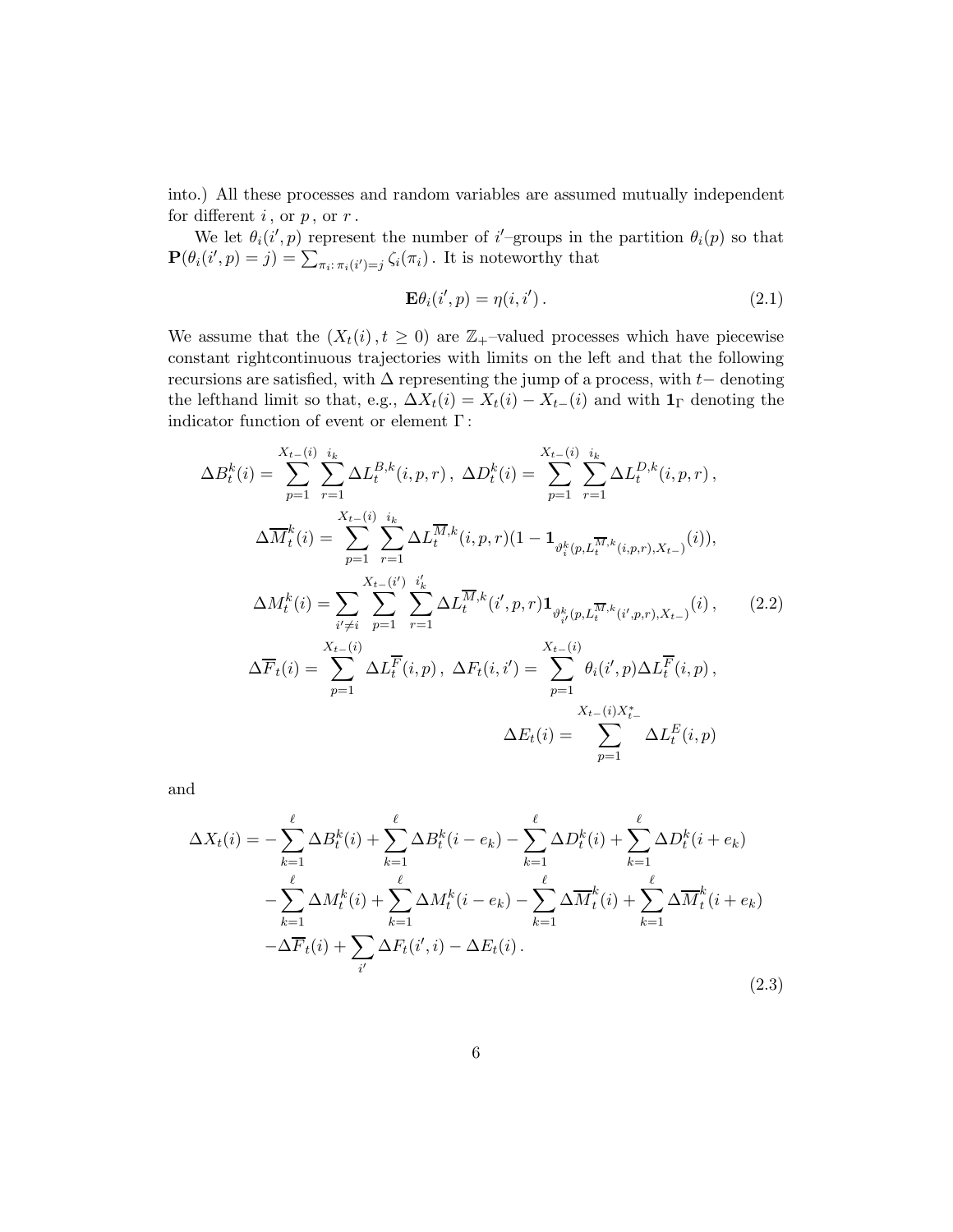into.) All these processes and random variables are assumed mutually independent for different  $i$ , or  $p$ , or  $r$ .

We let  $\theta_i(i',p)$  represent the number of i'-groups in the partition  $\theta_i(p)$  so that  $\mathbf{P}(\theta_i(i',p) = j) = \sum_{\pi_i:\pi_i(i') = j} \zeta_i(\pi_i)$ . It is noteworthy that

<span id="page-5-2"></span><span id="page-5-0"></span>
$$
\mathbf{E}\theta_i(i',p) = \eta(i,i'). \tag{2.1}
$$

We assume that the  $(X_t(i), t \geq 0)$  are  $\mathbb{Z}_+$ -valued processes which have piecewise constant rightcontinuous trajectories with limits on the left and that the following recursions are satisfied, with  $\Delta$  representing the jump of a process, with  $t-$  denoting the lefthand limit so that, e.g.,  $\Delta X_t(i) = X_t(i) - X_{t-}(i)$  and with  $\mathbf{1}_{\Gamma}$  denoting the indicator function of event or element  $\Gamma\colon$ 

$$
\Delta B_t^k(i) = \sum_{p=1}^{X_{t-}(i)} \sum_{r=1}^{i_k} \Delta L_t^{B,k}(i, p, r), \ \Delta D_t^k(i) = \sum_{p=1}^{X_{t-}(i)} \sum_{r=1}^{i_k} \Delta L_t^{D,k}(i, p, r),
$$
  

$$
\Delta \overline{M}_t^k(i) = \sum_{p=1}^{X_{t-}(i)} \sum_{r=1}^{i_k} \Delta L_t^{\overline{M},k}(i, p, r)(1 - \mathbf{1}_{\vartheta_i^k(p, L_t^{\overline{M}, k}(i, p, r), X_{t-})}(i)),
$$
  

$$
\Delta M_t^k(i) = \sum_{i' \neq i} \sum_{p=1}^{X_{t-}(i')} \sum_{r=1}^{i'_k} \Delta L_t^{\overline{M},k}(i', p, r) \mathbf{1}_{\vartheta_{i'}^k(p, L_t^{\overline{M}, k}(i', p, r), X_{t-})}(i), \qquad (2.2)
$$
  

$$
\Delta \overline{F}_t(i) = \sum_{p=1}^{X_{t-}(i)} \Delta L_t^{\overline{F}}(i, p), \ \Delta F_t(i, i') = \sum_{p=1}^{X_{t-}(i)} \theta_i(i', p) \Delta L_t^{\overline{F}}(i, p),
$$
  

$$
\Delta E_t(i) = \sum_{p=1}^{X_{t-}(i)X_{t-}^*} \Delta L_t^{\overline{E}}(i, p)
$$

and

<span id="page-5-1"></span>
$$
\Delta X_t(i) = -\sum_{k=1}^{\ell} \Delta B_t^k(i) + \sum_{k=1}^{\ell} \Delta B_t^k(i - e_k) - \sum_{k=1}^{\ell} \Delta D_t^k(i) + \sum_{k=1}^{\ell} \Delta D_t^k(i + e_k) \n- \sum_{k=1}^{\ell} \Delta M_t^k(i) + \sum_{k=1}^{\ell} \Delta M_t^k(i - e_k) - \sum_{k=1}^{\ell} \Delta \overline{M}_t^k(i) + \sum_{k=1}^{\ell} \Delta \overline{M}_t^k(i + e_k) \n- \Delta \overline{F}_t(i) + \sum_{i'} \Delta F_t(i', i) - \Delta E_t(i).
$$
\n(2.3)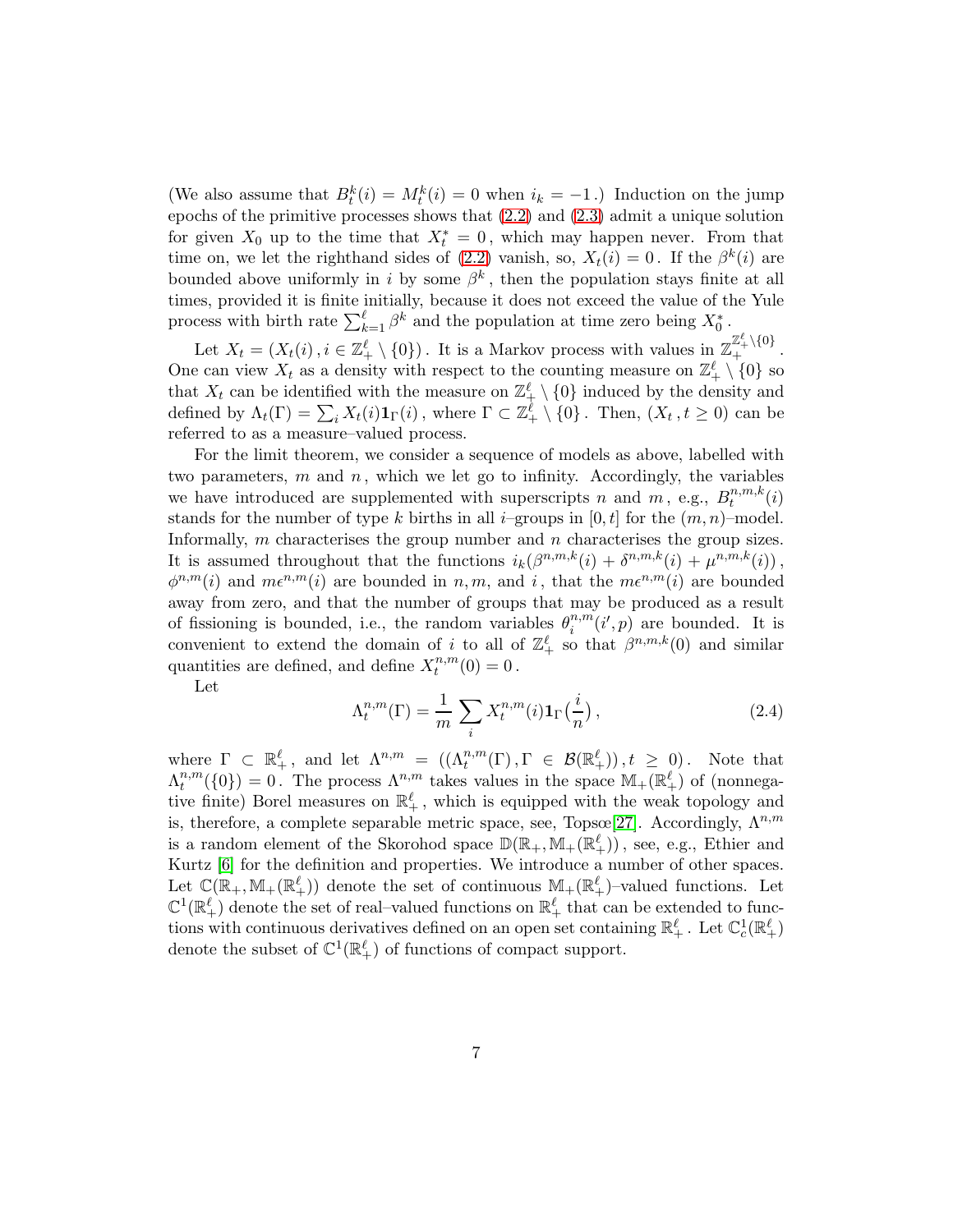(We also assume that  $B_t^k(i) = M_t^k(i) = 0$  when  $i_k = -1$ .) Induction on the jump epochs of the primitive processes shows that [\(2.2\)](#page-5-0) and [\(2.3\)](#page-5-1) admit a unique solution for given  $X_0$  up to the time that  $X_t^* = 0$ , which may happen never. From that time on, we let the righthand sides of [\(2.2\)](#page-5-0) vanish, so,  $X_t(i) = 0$ . If the  $\beta^k(i)$  are bounded above uniformly in i by some  $\beta^k$ , then the population stays finite at all times, provided it is finite initially, because it does not exceed the value of the Yule process with birth rate  $\sum_{k=1}^{\ell} \beta^k$  and the population at time zero being  $X_0^*$ .

Let  $X_t = (X_t(i), i \in \mathbb{Z}_+^{\ell} \setminus \{0\})$ . It is a Markov process with values in  $\mathbb{Z}_+^{\mathbb{Z}_+^{\ell} \setminus \{0\}}$ . One can view  $X_t$  as a density with respect to the counting measure on  $\mathbb{Z}_+^{\ell} \setminus \{0\}$  so that  $X_t$  can be identified with the measure on  $\mathbb{Z}_+^{\ell} \setminus \{0\}$  induced by the density and defined by  $\Lambda_t(\Gamma) = \sum_i X_t(i) \mathbf{1}_{\Gamma}(i)$ , where  $\Gamma \subset \mathbb{Z}_+^{\ell} \setminus \{0\}$ . Then,  $(X_t, t \geq 0)$  can be referred to as a measure–valued process.

For the limit theorem, we consider a sequence of models as above, labelled with two parameters,  $m$  and  $n$ , which we let go to infinity. Accordingly, the variables we have introduced are supplemented with superscripts n and  $m$ , e.g.,  $B_t^{n,m,k}$  $t^{n,m,\kappa}(i)$ stands for the number of type k births in all i–groups in  $[0, t]$  for the  $(m, n)$ –model. Informally,  $m$  characterises the group number and  $n$  characterises the group sizes. It is assumed throughout that the functions  $i_k(\beta^{n,m,k}(i) + \delta^{n,m,k}(i) + \mu^{n,m,k}(i))$ ,  $\phi^{n,m}(i)$  and  $m\epsilon^{n,m}(i)$  are bounded in n, m, and i, that the  $m\epsilon^{n,m}(i)$  are bounded away from zero, and that the number of groups that may be produced as a result of fissioning is bounded, i.e., the random variables  $\theta_i^{n,m}$  $i^{n,m}(i',p)$  are bounded. It is convenient to extend the domain of i to all of  $\mathbb{Z}_+^{\ell}$  so that  $\beta^{n,m,k}(0)$  and similar quantities are defined, and define  $X_t^{n,m}$  $t^{n,m}(0) = 0$ .

Let

<span id="page-6-0"></span>
$$
\Lambda_t^{n,m}(\Gamma) = \frac{1}{m} \sum_i X_t^{n,m}(i) \mathbf{1}_{\Gamma}\left(\frac{i}{n}\right),\tag{2.4}
$$

where  $\Gamma \subset \mathbb{R}_+^{\ell}$ , and let  $\Lambda^{n,m} = ((\Lambda_t^{n,m}(\Gamma), \Gamma \in \mathcal{B}(\mathbb{R}_+^{\ell})), t \geq 0)$ . Note that  $\Lambda_t^{n,m}$  $t^{n,m}(\{0\})=0$ . The process  $\Lambda^{n,m}$  takes values in the space  $\mathbb{M}_{+}(\mathbb{R}^{\ell}_{+})$  of (nonnegative finite) Borel measures on  $\mathbb{R}^{\ell}_+$ , which is equipped with the weak topology and is, therefore, a complete separable metric space, see, Topsœ[\[27\]](#page-47-10). Accordingly,  $\Lambda^{n,m}$ is a random element of the Skorohod space  $\mathbb{D}(\mathbb{R}_+, \mathbb{M}_+(\mathbb{R}^\ell_+))$ , see, e.g., Ethier and Kurtz [\[6\]](#page-46-5) for the definition and properties. We introduce a number of other spaces. Let  $\mathbb{C}(\mathbb{R}_+, \mathbb{M}_+(\mathbb{R}^\ell_+))$  denote the set of continuous  $\mathbb{M}_+(\mathbb{R}^\ell_+)$ -valued functions. Let  $\mathbb{C}^1(\mathbb{R}^{\ell}_+)$  denote the set of real–valued functions on  $\mathbb{R}^{\ell}_+$  that can be extended to functions with continuous derivatives defined on an open set containing  $\mathbb{R}^\ell_+$ . Let  $\mathbb{C}^1_c(\mathbb{R}^\ell_+)$ denote the subset of  $\mathbb{C}^1(\mathbb{R}^{\ell}_+)$  of functions of compact support.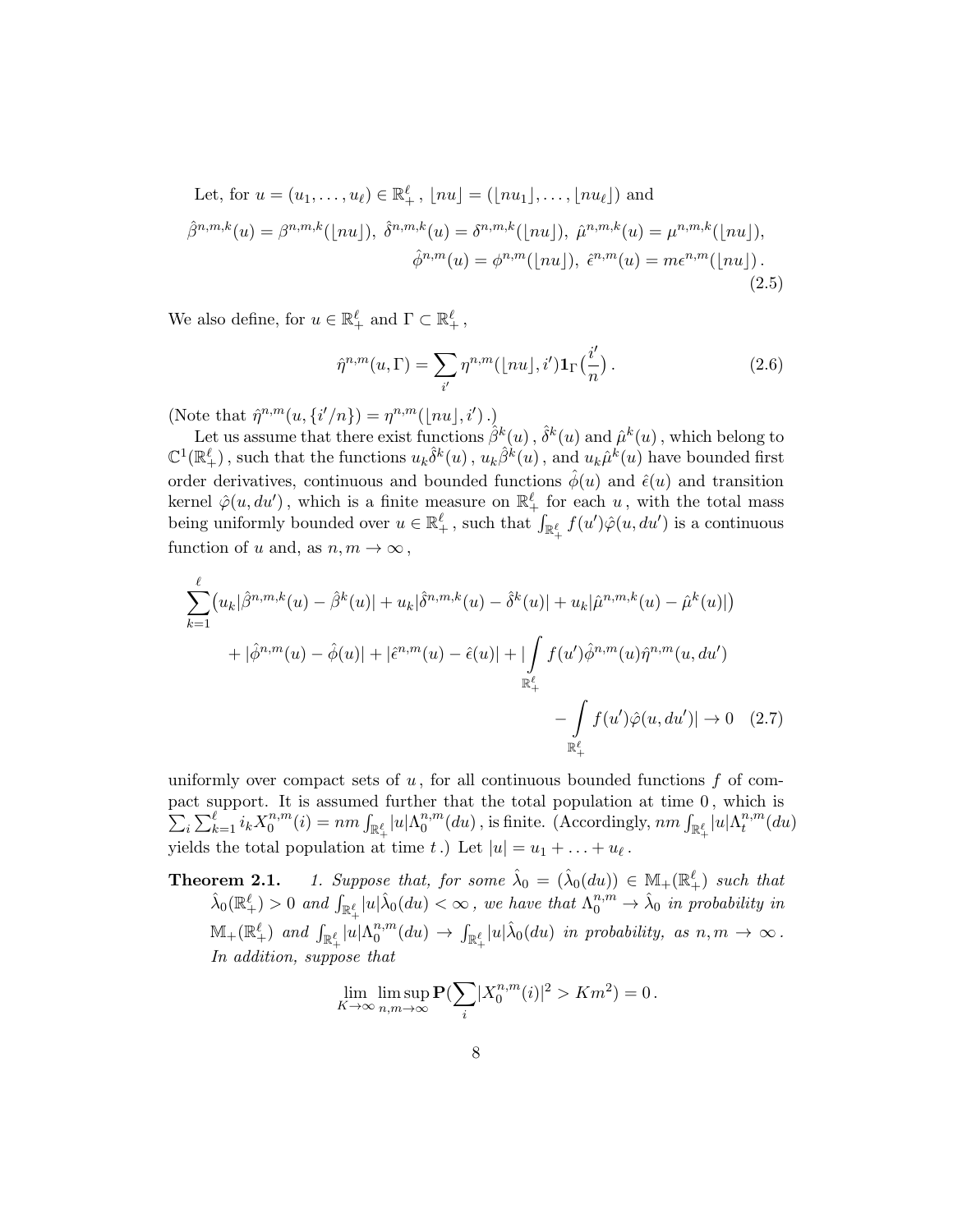Let, for 
$$
u = (u_1, \ldots, u_\ell) \in \mathbb{R}^\ell_+
$$
,  $[nu] = ([nu_1], \ldots, [nu_\ell])$  and  
\n
$$
\hat{\beta}^{n,m,k}(u) = \beta^{n,m,k}([nu]), \ \hat{\delta}^{n,m,k}(u) = \delta^{n,m,k}([nu]), \ \hat{\mu}^{n,m,k}(u) = \mu^{n,m,k}([nu]),
$$
\n
$$
\hat{\phi}^{n,m}(u) = \phi^{n,m}([nu]), \ \hat{\epsilon}^{n,m}(u) = m\epsilon^{n,m}([nu]).
$$
\n(2.5)

We also define, for  $u \in \mathbb{R}_+^{\ell}$  and  $\Gamma \subset \mathbb{R}_+^{\ell}$ ,

<span id="page-7-2"></span><span id="page-7-0"></span>
$$
\hat{\eta}^{n,m}(u,\Gamma) = \sum_{i'} \eta^{n,m}(\lfloor nu \rfloor, i') \mathbf{1}_{\Gamma}\left(\frac{i'}{n}\right). \tag{2.6}
$$

(Note that  $\hat{\eta}^{n,m}(u, \{i'/n\}) = \eta^{n,m}(|nu|, i')$ .)

Let us assume that there exist functions  $\hat{\beta}^k(u)$  ,  $\hat{\delta}^k(u)$  and  $\hat{\mu}^k(u)$  , which belong to  $\mathbb{C}^1(\mathbb{R}^{\ell}_+)$ , such that the functions  $u_k\hat{\delta}^k(u)$ ,  $u_k\hat{\beta}^k(u)$ , and  $u_k\hat{\mu}^k(u)$  have bounded first order derivatives, continuous and bounded functions  $\hat{\phi}(u)$  and  $\hat{\epsilon}(u)$  and transition kernel  $\hat{\varphi}(u, du')$ , which is a finite measure on  $\mathbb{R}_+^{\ell}$  for each  $u$ , with the total mass being uniformly bounded over  $u \in \mathbb{R}^{\ell}_+$ , such that  $\int_{\mathbb{R}^{\ell}_+} f(u') \hat{\varphi}(u, du')$  is a continuous function of u and, as  $n, m \to \infty$ ,

$$
\sum_{k=1}^{\ell} (u_k|\hat{\beta}^{n,m,k}(u) - \hat{\beta}^k(u)| + u_k|\hat{\delta}^{n,m,k}(u) - \hat{\delta}^k(u)| + u_k|\hat{\mu}^{n,m,k}(u) - \hat{\mu}^k(u)|)
$$
  
+  $|\hat{\phi}^{n,m}(u) - \hat{\phi}(u)| + |\hat{\epsilon}^{n,m}(u) - \hat{\epsilon}(u)| + |\int_{\mathbb{R}_+^{\ell}} f(u')\hat{\phi}^{n,m}(u)\hat{\eta}^{n,m}(u,du')$   
-  $\int_{\mathbb{R}_+^{\ell}} f(u')\hat{\phi}(u,du')| \to 0$  (2.7)

uniformly over compact sets of  $u$ , for all continuous bounded functions f of compact support. It is assumed further that the total populatio n at time 0 , which is  $\sum_i \sum_{k=1}^{\ell} i_k X_0^{n,m}$  $\int_0^{n,m} (i) = nm \int_{\mathbb{R}_+^{\ell}} |u| \Lambda_0^{n,m}$  $\int_0^{n,m}(du)$  , is finite. (Accordingly,  $nm\int_{\mathbb{R}^{\ell}_+}|u|\Lambda^{n,m}_t$  $_{t}^{n,m}(du)$ yields the total population at time t.) Let  $|u| = u_1 + \ldots + u_\ell$ .

**Theorem 2.1.** 1. Suppose that, for some  $\hat{\lambda}_0 = (\hat{\lambda}_0(du)) \in \mathbb{M}_+(\mathbb{R}^{\ell}_+)$  such that  $\hat{\lambda}_0(\mathbb{R}^{\ell}_+) > 0$  and  $\int_{\mathbb{R}^{\ell}_+}|u|\hat{\lambda}_0(du) < \infty$ , we have that  $\Lambda_0^{n,m} \to \hat{\lambda}_0$  in probability in  $\mathbb{M}_{+}(\mathbb{R}^{\ell}_{+})$  and  $\int_{\mathbb{R}^{\ell}_{+}}|u|\Lambda^{n,m}_{0}$  $\int_0^{n,m}(du) \to \int_{\mathbb{R}_+^{\ell}} |u| \hat{\lambda}_0(du)$  in probability, as  $n,m \to \infty$ . In addition, suppose that

<span id="page-7-1"></span>
$$
\lim_{K\to\infty}\limsup_{n,m\to\infty}\mathbf{P}(\sum_i|X_0^{n,m}(i)|^2>Km^2)=0.
$$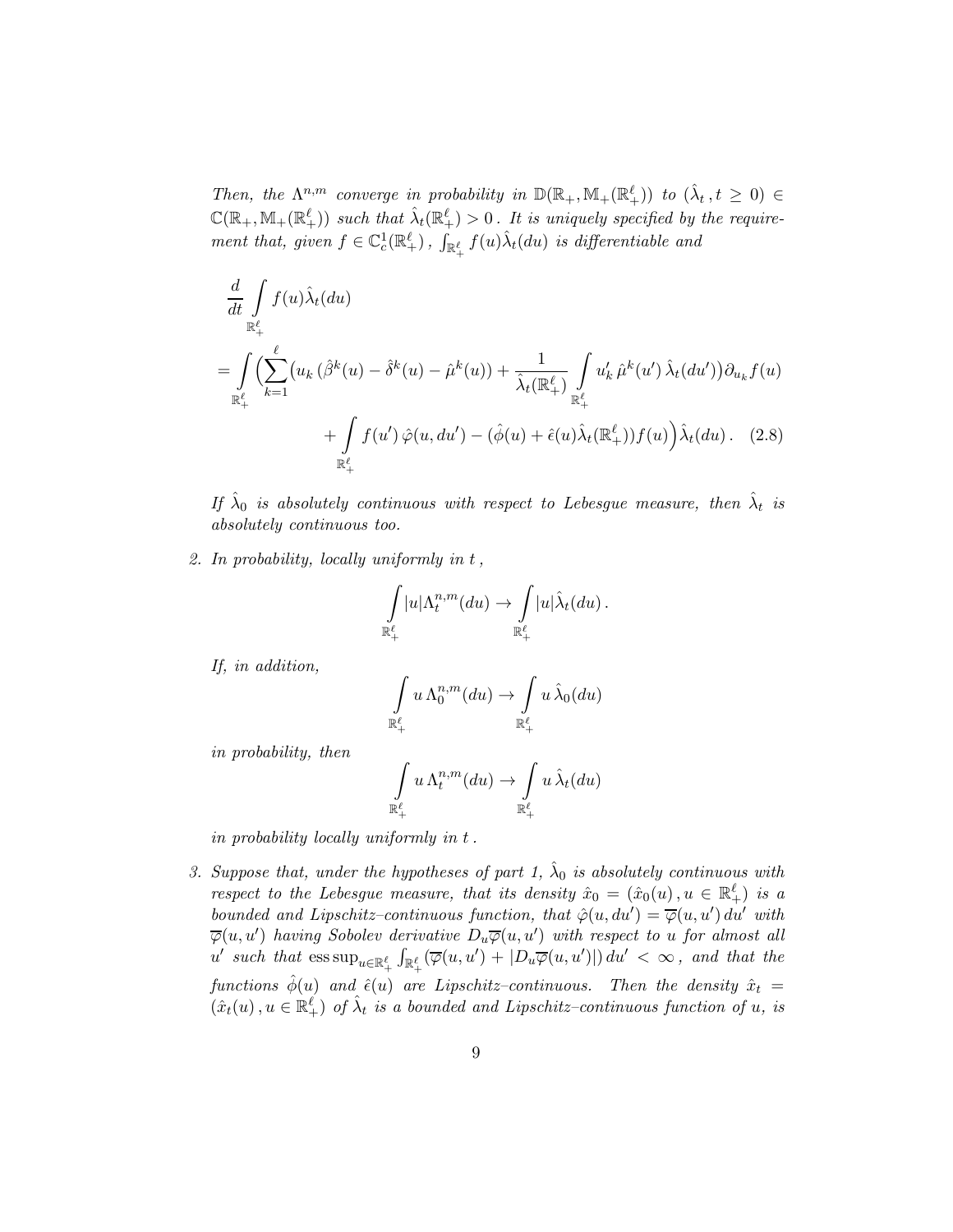Then, the  $\Lambda^{n,m}$  converge in probability in  $\mathbb{D}(\mathbb{R}_+, \mathbb{M}_+(\mathbb{R}^\ell_+))$  to  $(\hat{\lambda}_t, t \geq 0) \in$  $\mathbb{C}(\mathbb{R}_+, \mathbb{M}_+(\mathbb{R}^\ell_+) )$  such that  $\hat{\lambda}_t(\mathbb{R}^\ell_+) > 0$ . It is uniquely specified by the requirement that, given  $f \in \mathbb{C}_c^1(\mathbb{R}^{\ell}_+)$ ,  $\int_{\mathbb{R}^{\ell}_+} f(u) \hat{\lambda}_t(du)$  is differentiable and

$$
\frac{d}{dt} \int_{\mathbb{R}_+^{\ell}} f(u) \hat{\lambda}_t(du)
$$
\n
$$
= \int_{\mathbb{R}_+^{\ell}} \left( \sum_{k=1}^{\ell} \left( u_k \left( \hat{\beta}^k(u) - \hat{\delta}^k(u) - \hat{\mu}^k(u) \right) + \frac{1}{\hat{\lambda}_t(\mathbb{R}_+^{\ell})} \int_{\mathbb{R}_+^{\ell}} u'_k \hat{\mu}^k(u') \hat{\lambda}_t(du') \right) \partial_{u_k} f(u) \right. \\
\left. + \int_{\mathbb{R}_+^{\ell}} f(u') \hat{\varphi}(u, du') - \left( \hat{\phi}(u) + \hat{\epsilon}(u) \hat{\lambda}_t(\mathbb{R}_+^{\ell}) \right) f(u) \right) \hat{\lambda}_t(du). \tag{2.8}
$$

If  $\hat{\lambda}_0$  is absolutely continuous with respect to Lebesgue measure, then  $\hat{\lambda}_t$  is absolutely continuous too.

2. In probability, locally uniformly in t,

<span id="page-8-0"></span>
$$
\int_{\mathbb{R}^{\ell}_+} |u| \Lambda_t^{n,m}(du) \to \int_{\mathbb{R}^{\ell}_+} |u| \hat{\lambda}_t(du).
$$

If, in addition,

$$
\int\limits_{\mathbb{R}^{\ell}_+} u \, \Lambda^{n,m}_0(du) \to \int\limits_{\mathbb{R}^{\ell}_+} u \, \hat{\lambda}_0(du)
$$

in probability, then

$$
\int_{\mathbb{R}^{\ell}_+} u \, \Lambda_t^{n,m}(du) \to \int_{\mathbb{R}^{\ell}_+} u \, \hat{\lambda}_t(du)
$$

in probability locally uniformly in t.

3. Suppose that, under the hypotheses of part 1,  $\hat{\lambda}_0$  is absolutely continuous with respect to the Lebesgue measure, that its density  $\hat{x}_0 = (\hat{x}_0(u), u \in \mathbb{R}^{\ell}_+)$  is a bounded and Lipschitz-continuous function, that  $\hat{\varphi}(u, du') = \overline{\varphi}(u, u') du'$  with  $\overline{\varphi}(u,u')$  having Sobolev derivative  $D_u\overline{\varphi}(u,u')$  with respect to u for almost all  $u'$  such that  $\text{ess sup}_{u \in \mathbb{R}^{\ell}_+} \int_{\mathbb{R}^{\ell}_+} (\overline{\varphi}(u, u') + |D_u \overline{\varphi}(u, u')|) du' < \infty$ , and that the functions  $\hat{\phi}(u)$  and  $\hat{\epsilon}(u)$  are Lipschitz–continuous. Then the density  $\hat{x}_t$  =  $(\hat{x}_t(u), u \in \mathbb{R}_+^{\ell})$  of  $\hat{\lambda}_t$  is a bounded and Lipschitz-continuous function of u, is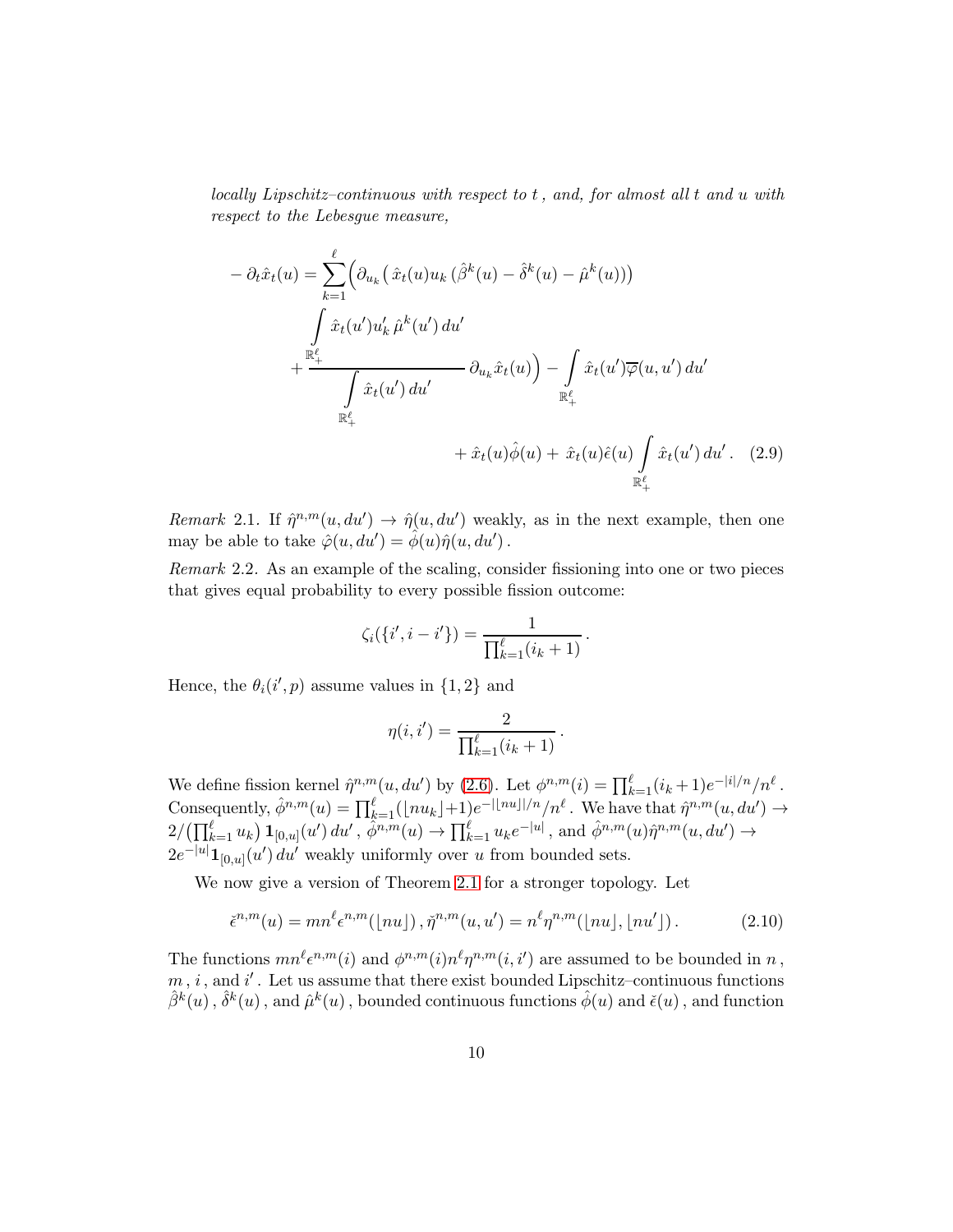locally Lipschitz–continuous with respect to t, and, for almost all t and u with respect to the Lebesgue measure,

$$
-\partial_t \hat{x}_t(u) = \sum_{k=1}^{\ell} \left( \partial_{u_k} \left( \hat{x}_t(u) u_k \left( \hat{\beta}^k(u) - \hat{\delta}^k(u) - \hat{\mu}^k(u) \right) \right) \right)
$$
  

$$
+ \frac{\sum_{k=1}^{\ell} \hat{x}_t(u') u'_k \hat{\mu}^k(u') du'}{\int_{\mathbb{R}_+^{\ell}} \hat{x}_t(u') du'} \partial_{u_k} \hat{x}_t(u) - \int_{\mathbb{R}_+^{\ell}} \hat{x}_t(u') \overline{\varphi}(u, u') du'
$$
  

$$
+ \hat{x}_t(u) \hat{\phi}(u) + \hat{x}_t(u) \hat{\epsilon}(u) \int_{\mathbb{R}_+^{\ell}} \hat{x}_t(u') du'.
$$
 (2.9)

Remark 2.1. If  $\hat{\eta}^{n,m}(u,du') \to \hat{\eta}(u,du')$  weakly, as in the next example, then one may be able to take  $\hat{\varphi}(u, du') = \hat{\phi}(u)\hat{\eta}(u, du')$ .

Remark 2.2. As an example of the scaling, consider fissioning into one or two pieces that gives equal probability to every possible fission outcome:

$$
\zeta_i(\{i',i-i'\}) = \frac{1}{\prod_{k=1}^{\ell} (i_k+1)}.
$$

Hence, the  $\theta_i(i', p)$  assume values in  $\{1, 2\}$  and

$$
\eta(i, i') = \frac{2}{\prod_{k=1}^{\ell} (i_k + 1)}
$$

<span id="page-9-0"></span>.

We define fission kernel  $\hat{\eta}^{n,m}(u,du')$  by [\(2.6\)](#page-7-0). Let  $\phi^{n,m}(i) = \prod_{k=1}^{\ell} (i_k+1)e^{-|i|/n}/n^{\ell}$ . Consequently,  $\hat{\phi}^{n,m}(u) = \prod_{k=1}^{\ell} (\lfloor nu_k \rfloor + 1) e^{-\lfloor \lfloor nu \rfloor / n} / n^{\ell}$ . We have that  $\hat{\eta}^{n,m}(u, du') \to$  $2/(\prod_{k=1}^{\ell} u_k) \mathbf{1}_{[0,u]}(u') du', \hat{\phi}^{n,m}(u) \to \prod_{k=1}^{\ell} u_k e^{-|u|}, \text{ and } \hat{\phi}^{n,m}(u) \hat{\eta}^{n,m}(u,du') \to$  $2e^{-|u|}\mathbf{1}_{[0,u]}(u') du'$  weakly uniformly over u from bounded sets.

We now give a version of Theorem 2.1 for a stronger topology. Let

<span id="page-9-1"></span>
$$
\check{\epsilon}^{n,m}(u) = mn^{\ell} \epsilon^{n,m}(\lfloor nu \rfloor), \check{\eta}^{n,m}(u, u') = n^{\ell} \eta^{n,m}(\lfloor nu \rfloor, \lfloor nu' \rfloor). \tag{2.10}
$$

The functions  $mn^{\ell} \epsilon^{n,m}(i)$  and  $\phi^{n,m}(i) n^{\ell} \eta^{n,m}(i, i')$  are assumed to be bounded in n,  $m, i$ , and  $i'$ . Let us assume that there exist bounded Lipschitz-continuous functions  $\hat{\beta}^k(u)$  ,  $\hat{\delta}^k(u)$  , and  $\hat{\mu}^k(u)$  , bounded continuous functions  $\hat{\phi}(u)$  and  $\check{\epsilon}(u)$  , and function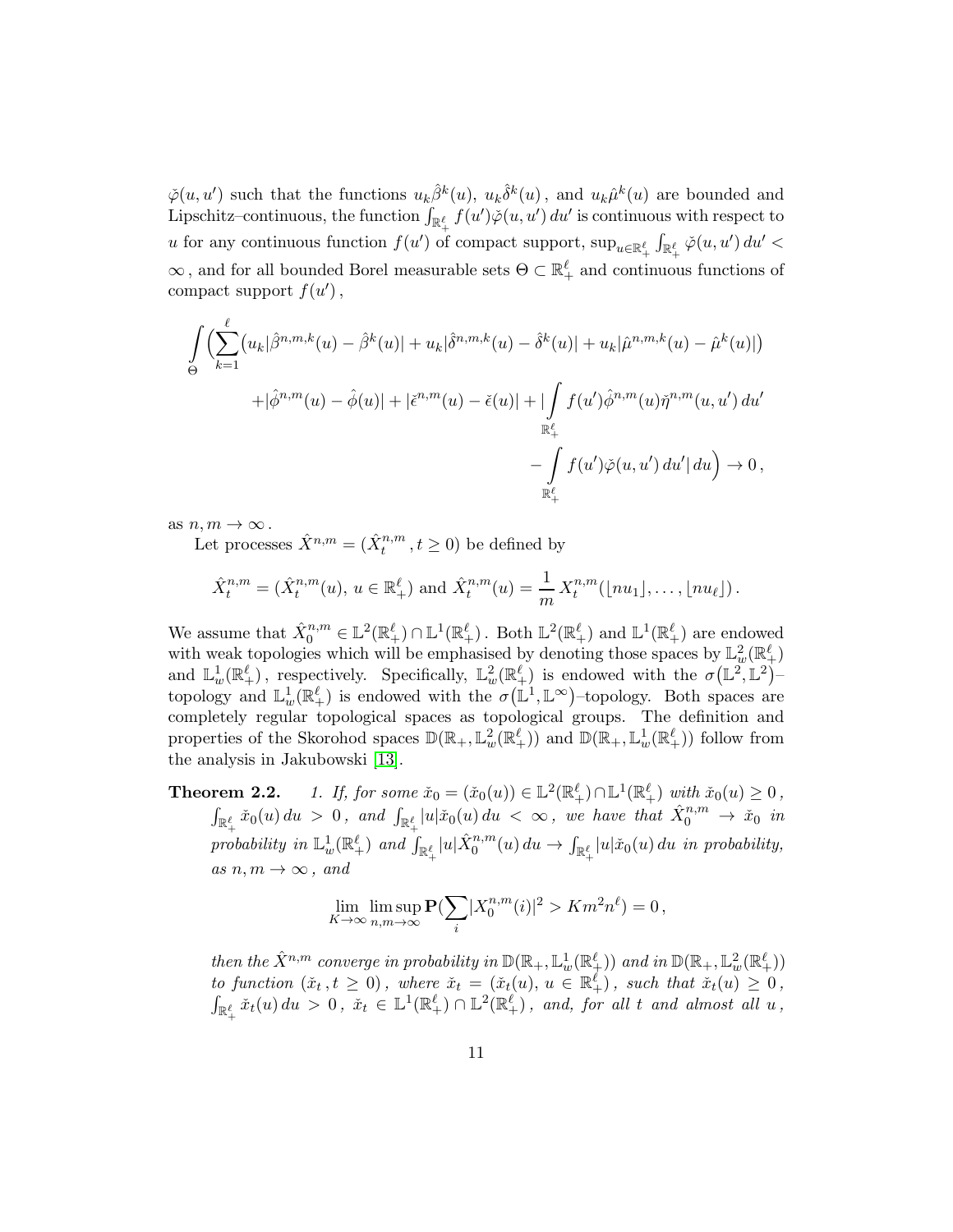$\check{\varphi}(u, u')$  such that the functions  $u_k \hat{\beta}^k(u)$ ,  $u_k \hat{\delta}^k(u)$ , and  $u_k \hat{\mu}^k(u)$  are bounded and Lipschitz–continuous, the function  $\int_{\mathbb{R}_+^{\ell}} f(u')\check{\varphi}(u,u')\,du'$  is continuous with respect to u for any continuous function  $f(u')$  of compact support,  $\sup_{u \in \mathbb{R}^{\ell}_+} \int_{\mathbb{R}^{\ell}_+} \check{\varphi}(u, u') du' <$  $\infty$ , and for all bounded Borel measurable sets  $\Theta \subset \mathbb{R}_+^{\ell}$  and continuous functions of compact support  $f(u')$ ,

$$
\int_{\Theta} \left( \sum_{k=1}^{\ell} (u_k |\hat{\beta}^{n,m,k}(u) - \hat{\beta}^k(u)| + u_k |\hat{\delta}^{n,m,k}(u) - \hat{\delta}^k(u)| + u_k |\hat{\mu}^{n,m,k}(u) - \hat{\mu}^k(u)| \right) \n+ |\hat{\phi}^{n,m}(u) - \hat{\phi}(u)| + |\check{\epsilon}^{n,m}(u) - \check{\epsilon}(u)| + |\int_{\mathbb{R}_+^{\ell}} f(u') \hat{\phi}^{n,m}(u) \check{\eta}^{n,m}(u, u') du' - \int_{\mathbb{R}_+^{\ell}} f(u') \check{\phi}(u, u') du' | du \right) \to 0,
$$

as  $n, m \to \infty$ .

Let processes  $\hat{X}^{n,m} = (\hat{X}^{n,m}_t, t \ge 0)$  be defined by

$$
\hat{X}_t^{n,m} = (\hat{X}_t^{n,m}(u), u \in \mathbb{R}_+^{\ell})
$$
 and  $\hat{X}_t^{n,m}(u) = \frac{1}{m} X_t^{n,m}(\lfloor nu_1 \rfloor, \ldots, \lfloor nu_{\ell} \rfloor)$ .

We assume that  $\hat{X}_0^{n,m} \in \mathbb{L}^2(\mathbb{R}^{\ell}_+) \cap \mathbb{L}^1(\mathbb{R}^{\ell}_+)$ . Both  $\mathbb{L}^2(\mathbb{R}^{\ell}_+)$  and  $\mathbb{L}^1(\mathbb{R}^{\ell}_+)$  are endowed with weak topologies which will be emphasised by denoting those spaces by  $\mathbb{L}^2_w(\mathbb{R}^{\ell}_+)$ and  $\mathbb{L}^1_w(\mathbb{R}^{\ell}_+)$ , respectively. Specifically,  $\mathbb{L}^2_w(\mathbb{R}^{\ell}_+)$  is endowed with the  $\sigma(\mathbb{L}^2,\mathbb{L}^2)$ topology and  $\mathbb{L}^1_w(\mathbb{R}^{\ell}_+)$  is endowed with the  $\sigma(\mathbb{L}^1,\mathbb{L}^{\infty})$ -topology. Both spaces are completely regular topological spaces as topological groups. The definition and properties of the Skorohod spaces  $\mathbb{D}(\mathbb{R}_+, \mathbb{L}^2_w(\mathbb{R}^\ell_+))$  and  $\mathbb{D}(\mathbb{R}_+, \mathbb{L}^1_w(\mathbb{R}^\ell_+))$  follow from the analysis in Jakubowski [\[13\]](#page-46-6).

**Theorem 2.2.** 1. If, for some  $\check{x}_0 = (\check{x}_0(u)) \in \mathbb{L}^2(\mathbb{R}^{\ell}_+) \cap \mathbb{L}^1(\mathbb{R}^{\ell}_+)$  with  $\check{x}_0(u) \geq 0$ ,  $\int_{\mathbb{R}_+^{\ell}} \check{x}_0(u) du > 0$ , and  $\int_{\mathbb{R}_+^{\ell}} |u| \check{x}_0(u) du < \infty$ , we have that  $\hat{X}_0^{n,m} \to \check{x}_0$  in probability in  $\mathbb{L}^1_w(\mathbb{R}^{\ell}_+)$  and  $\int_{\mathbb{R}^{\ell}_+}|u|\hat{X}_0^{n,m}(u)\,du \to \int_{\mathbb{R}^{\ell}_+}|u|\check{x}_0(u)\,du$  in probability, as  $n, m \rightarrow \infty$ , and

$$
\lim_{K \to \infty} \limsup_{n,m \to \infty} \mathbf{P}(\sum_{i} |X_{0}^{n,m}(i)|^{2} > Km^{2}n^{\ell}) = 0,
$$

then the  $\hat{X}^{n,m}$  converge in probability in  $\mathbb{D}(\mathbb{R}_+,\mathbb{L}^1_w(\mathbb{R}^\ell_+))$  and in  $\mathbb{D}(\mathbb{R}_+,\mathbb{L}^2_w(\mathbb{R}^\ell_+))$ to function  $(\check{x}_t, t \geq 0)$ , where  $\check{x}_t = (\check{x}_t(u), u \in \mathbb{R}^{\ell}_+)$ , such that  $\check{x}_t(u) \geq 0$ ,  $\int_{\mathbb{R}_+^{\ell}} \check{x}_t(u) du > 0$ ,  $\check{x}_t \in \mathbb{L}^1(\mathbb{R}_+^{\ell}) \cap \mathbb{L}^2(\mathbb{R}_+^{\ell})$ , and, for all t and almost all  $u$ ,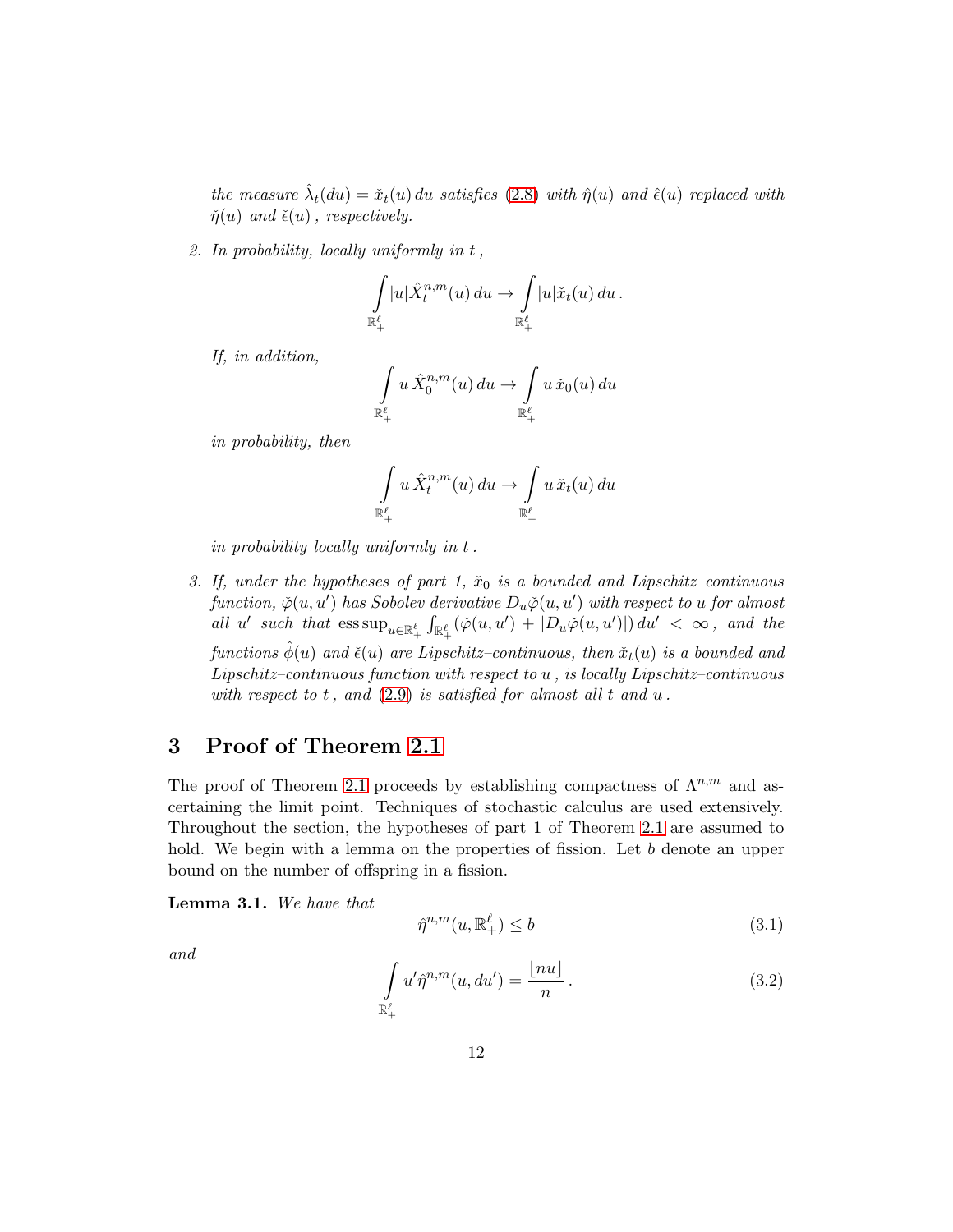the measure  $\hat{\lambda}_t(du) = \check{x}_t(u) du$  satisfies [\(2.8\)](#page-8-0) with  $\hat{\eta}(u)$  and  $\hat{\epsilon}(u)$  replaced with  $\check{\eta}(u)$  and  $\check{\epsilon}(u)$ , respectively.

2. In probability, locally uniformly in t,

$$
\int_{\mathbb{R}_+^{\ell}} |u| \hat{X}_t^{n,m}(u) du \to \int_{\mathbb{R}_+^{\ell}} |u| \check{x}_t(u) du.
$$

If, in addition,

$$
\int_{\mathbb{R}^{\ell}_+} u \, \hat{X}_0^{n,m}(u) \, du \to \int_{\mathbb{R}^{\ell}_+} u \, \check{x}_0(u) \, du
$$

in probability, then

$$
\int\limits_{\mathbb{R}^{\ell}_+} u \, \hat{X}^{n,m}_t(u) \, du \to \int\limits_{\mathbb{R}^{\ell}_+} u \, \check{x}_t(u) \, du
$$

in probability locally uniformly in t.

3. If, under the hypotheses of part 1,  $\tilde{x}_0$  is a bounded and Lipschitz–continuous  $\emph{function},\ \check{\varphi}(u,u')$  has Sobolev derivative  $D_u\check{\varphi}(u,u')$  with respect to  $u$  for almost all u' such that  $\text{ess sup}_{u \in \mathbb{R}_+^{\ell}} \int_{\mathbb{R}_+^{\ell}} (\check{\varphi}(u, u') + |D_u \check{\varphi}(u, u')|) du' < \infty$ , and the functions  $\hat{\phi}(u)$  and  $\check{\epsilon}(u)$  are Lipschitz–continuous, then  $\check{x}_t(u)$  is a bounded and Lipschitz–continuous function with respect to u , is locally Lipschitz–continuous with respect to  $t$ , and  $(2.9)$  is satisfied for almost all  $t$  and  $u$ .

# 3 Proof of Theorem 2.1

The proof of Theorem 2.1 proceeds by establishing compactness of  $\Lambda^{n,m}$  and ascertaining the limit point. Techniques of stochastic calculus are used extensively. Throughout the section, the hypotheses of part 1 of Theorem 2.1 are assumed to hold. We begin with a lemma on the properties of fission. Let b denote an upper bound on the number of offspring in a fission.

<span id="page-11-2"></span>Lemma 3.1. We have that

<span id="page-11-0"></span>
$$
\hat{\eta}^{n,m}(u,\mathbb{R}^{\ell}_{+}) \leq b \tag{3.1}
$$

and

<span id="page-11-1"></span>
$$
\int_{\mathbb{R}^{\ell}_+} u' \hat{\eta}^{n,m}(u,du') = \frac{\lfloor nu \rfloor}{n}.
$$
\n(3.2)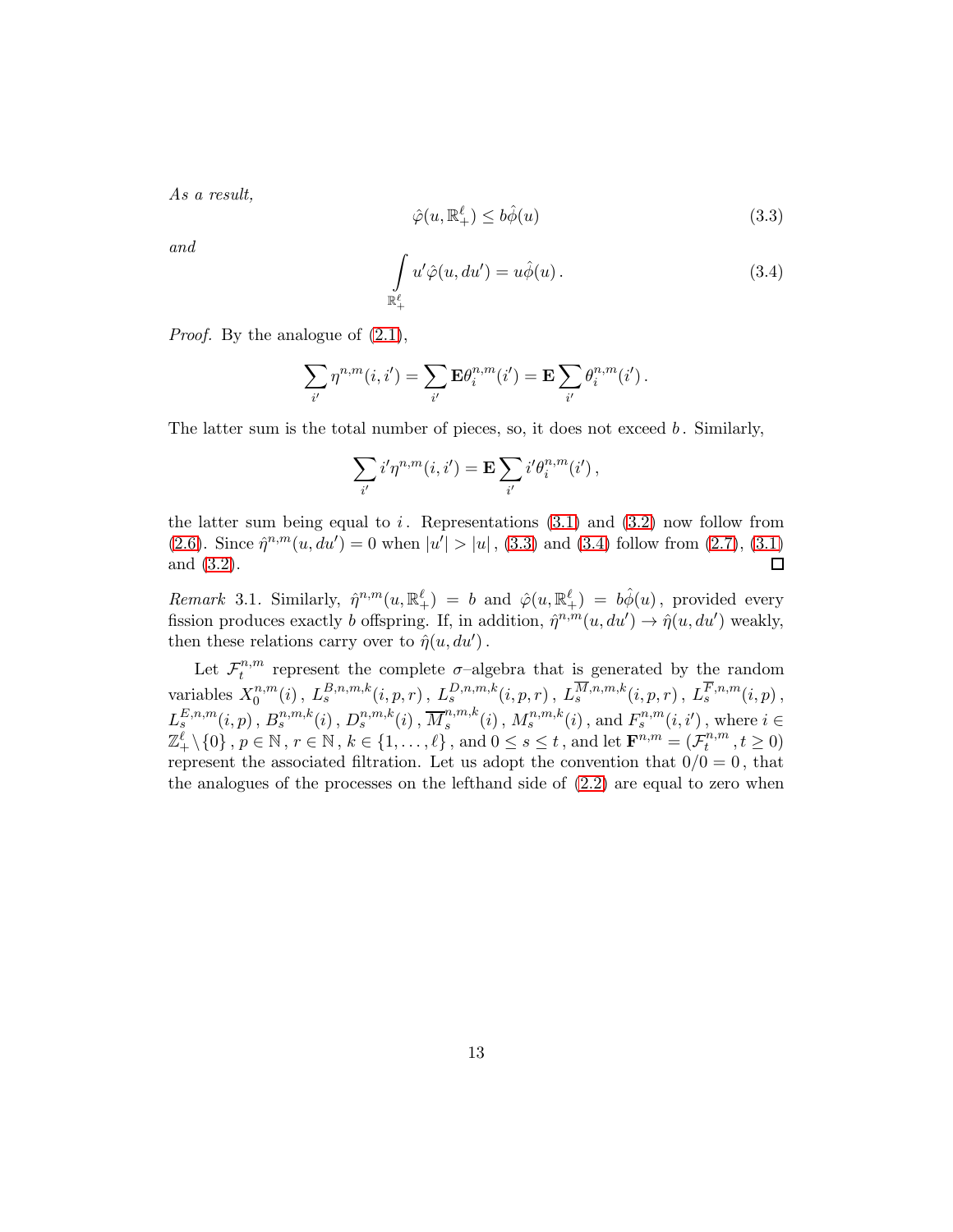As a result,

<span id="page-12-0"></span>
$$
\hat{\varphi}(u, \mathbb{R}^{\ell}_{+}) \le b\hat{\phi}(u) \tag{3.3}
$$

and

<span id="page-12-1"></span>
$$
\int_{\mathbb{R}_+^{\ell}} u' \hat{\varphi}(u, du') = u \hat{\phi}(u).
$$
\n(3.4)

*Proof.* By the analogue of  $(2.1)$ ,

$$
\sum_{i'} \eta^{n,m}(i,i') = \sum_{i'} \mathbf{E} \theta_i^{n,m}(i') = \mathbf{E} \sum_{i'} \theta_i^{n,m}(i').
$$

The latter sum is the total number of pieces, so, it does not exceed  $b$ . Similarly,

$$
\sum_{i'} i'\eta^{n,m}(i,i') = \mathbf{E} \sum_{i'} i'\theta_i^{n,m}(i'),
$$

the latter sum being equal to i. Representations  $(3.1)$  and  $(3.2)$  now follow from [\(2.6\)](#page-7-0). Since  $\hat{\eta}^{n,m}(u,du')=0$  when  $|u'|>|u|$ , [\(3.3\)](#page-12-0) and [\(3.4\)](#page-12-1) follow from [\(2.7\)](#page-7-1), [\(3.1\)](#page-11-0) and [\(3.2\)](#page-11-1).  $\Box$ 

Remark 3.1. Similarly,  $\hat{\eta}^{n,m}(u,\mathbb{R}^{\ell}_{+}) = b$  and  $\hat{\varphi}(u,\mathbb{R}^{\ell}_{+}) = b\hat{\varphi}(u)$ , provided every fission produces exactly b offspring. If, in addition,  $\hat{\eta}^{n,m}(u, du') \to \hat{\eta}(u, du')$  weakly, then these relations carry over to  $\hat{\eta}(u, du')$ .

Let  $\mathcal{F}_t^{n,m}$  $t^{n,m}$  represent the complete  $\sigma$ -algebra that is generated by the random variables  $X_0^{n,m}$  $L_0^{n,m}(i)$  ,  $L_s^{B,n,m,k}(i,p,r)$  ,  $L_s^{D,n,m,k}(i,p,r)$  ,  $L_s^{M,n,m,k}(i,p,r)$  ,  $L_s^{F,n,m}(i,p)$  ,  $L_s^{E,n,m}(i,p)$  ,  $B_s^{n,m,k}(i)$  ,  $D_s^{n,m,k}(i)$  ,  $\overline{M}_s^{n,m,k}$  $s^{n,m,k}(i)$ ,  $M_s^{n,m,k}(i)$ , and  $F_s^{n,m}(i,i')$ , where  $i \in$  $\mathbb{Z}_+^{\ell} \setminus \{0\}$ ,  $p \in \mathbb{N}$ ,  $r \in \mathbb{N}$ ,  $k \in \{1, \ldots, \ell\}$ , and  $0 \le s \le t$ , and let  $\mathbf{F}^{n,m} = (\mathcal{F}_t^{n,m})$  $t^{n,m}, t \ge 0$ represent the associated filtration. Let us adopt the convention that  $0/0 = 0$ , that the analogues of the processes on the lefthand side of  $(2.2)$  are equal to zero when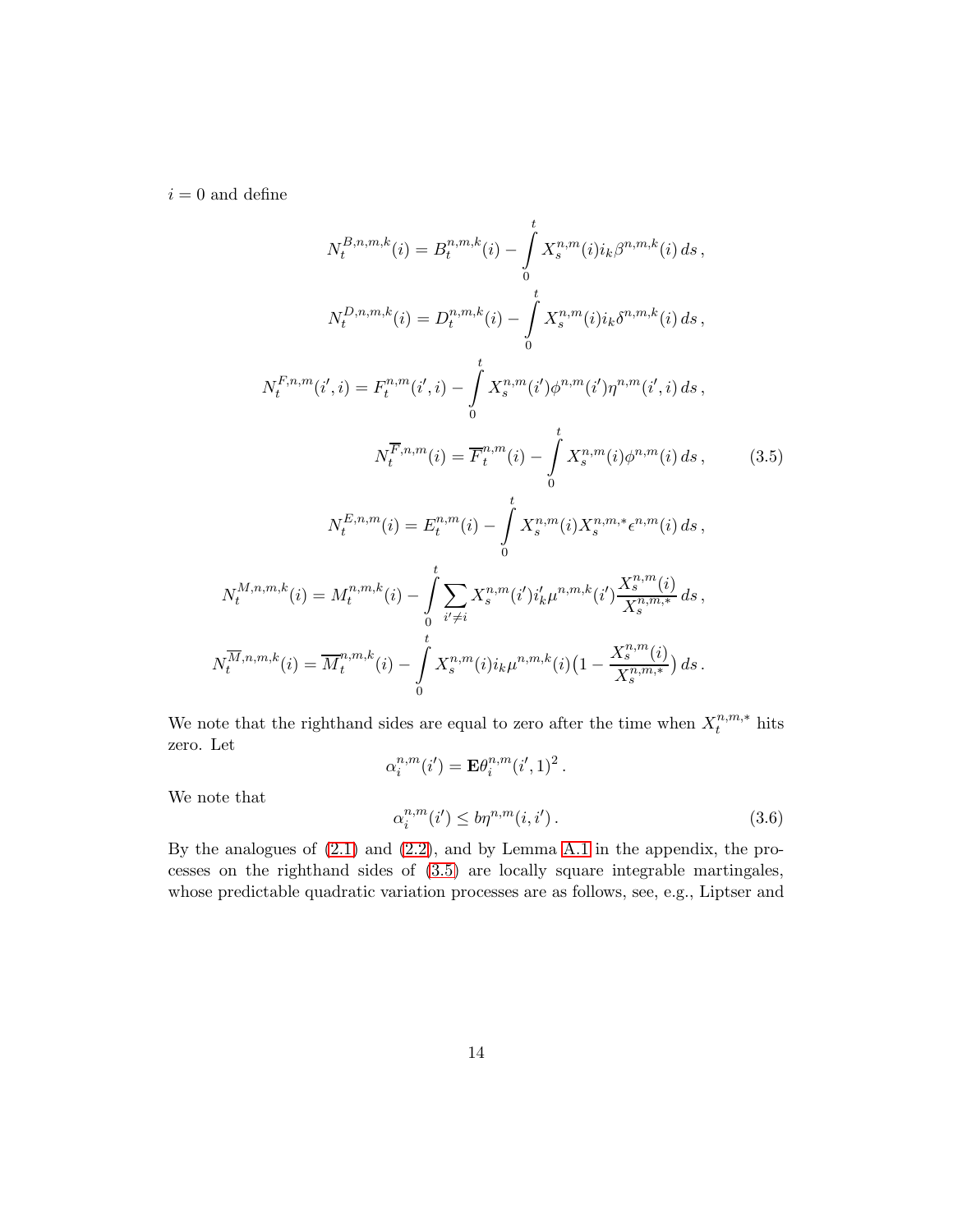$i = 0$  and define

$$
N_{t}^{B,n,m,k}(i) = B_{t}^{n,m,k}(i) - \int_{0}^{t} X_{s}^{n,m}(i)i_{k}\beta^{n,m,k}(i) ds,
$$
  
\n
$$
N_{t}^{D,n,m,k}(i) = D_{t}^{n,m,k}(i) - \int_{0}^{t} X_{s}^{n,m}(i)i_{k}\delta^{n,m,k}(i) ds,
$$
  
\n
$$
N_{t}^{F,n,m}(i',i) = F_{t}^{n,m}(i',i) - \int_{0}^{t} X_{s}^{n,m}(i')\phi^{n,m}(i')\eta^{n,m}(i',i) ds,
$$
  
\n
$$
N_{t}^{F,n,m}(i) = \overline{F}_{t}^{n,m}(i) - \int_{0}^{t} X_{s}^{n,m}(i)\phi^{n,m}(i) ds,
$$
  
\n
$$
N_{t}^{E,n,m}(i) = E_{t}^{n,m}(i) - \int_{0}^{t} X_{s}^{n,m}(i)X_{s}^{n,m,*}\epsilon^{n,m}(i) ds,
$$
  
\n
$$
N_{t}^{M,n,m,k}(i) = M_{t}^{n,m,k}(i) - \int_{0}^{t} \sum_{i' \neq i} X_{s}^{n,m}(i')i'_{k}\mu^{n,m,k}(i')\frac{X_{s}^{n,m}(i)}{X_{s}^{n,m,*}} ds,
$$
  
\n
$$
N_{t}^{\overline{M},n,m,k}(i) = \overline{M}_{t}^{n,m,k}(i) - \int_{0}^{t} X_{s}^{n,m}(i)i_{k}\mu^{n,m,k}(i)(1 - \frac{X_{s}^{n,m}(i)}{X_{s}^{n,m,*}}) ds.
$$
 (3.5)

We note that the righthand sides are equal to zero after the time when  $X_t^{n,m,*}$  hits zero. Let

<span id="page-13-0"></span>
$$
\alpha_i^{n,m}(i') = \mathbf{E} \theta_i^{n,m}(i',1)^2.
$$

We note that

t

<span id="page-13-1"></span>
$$
\alpha_i^{n,m}(i') \le b\eta^{n,m}(i,i'). \tag{3.6}
$$

By the analogues of [\(2.1\)](#page-5-2) and [\(2.2\)](#page-5-0), and by Lemma [A.1](#page-44-0) in the appendix, the processes on the righthand sides of [\(3.5\)](#page-13-0) are locally square integrable martingales, whose predictable quadratic variation processes are as follows, see, e.g., Liptser and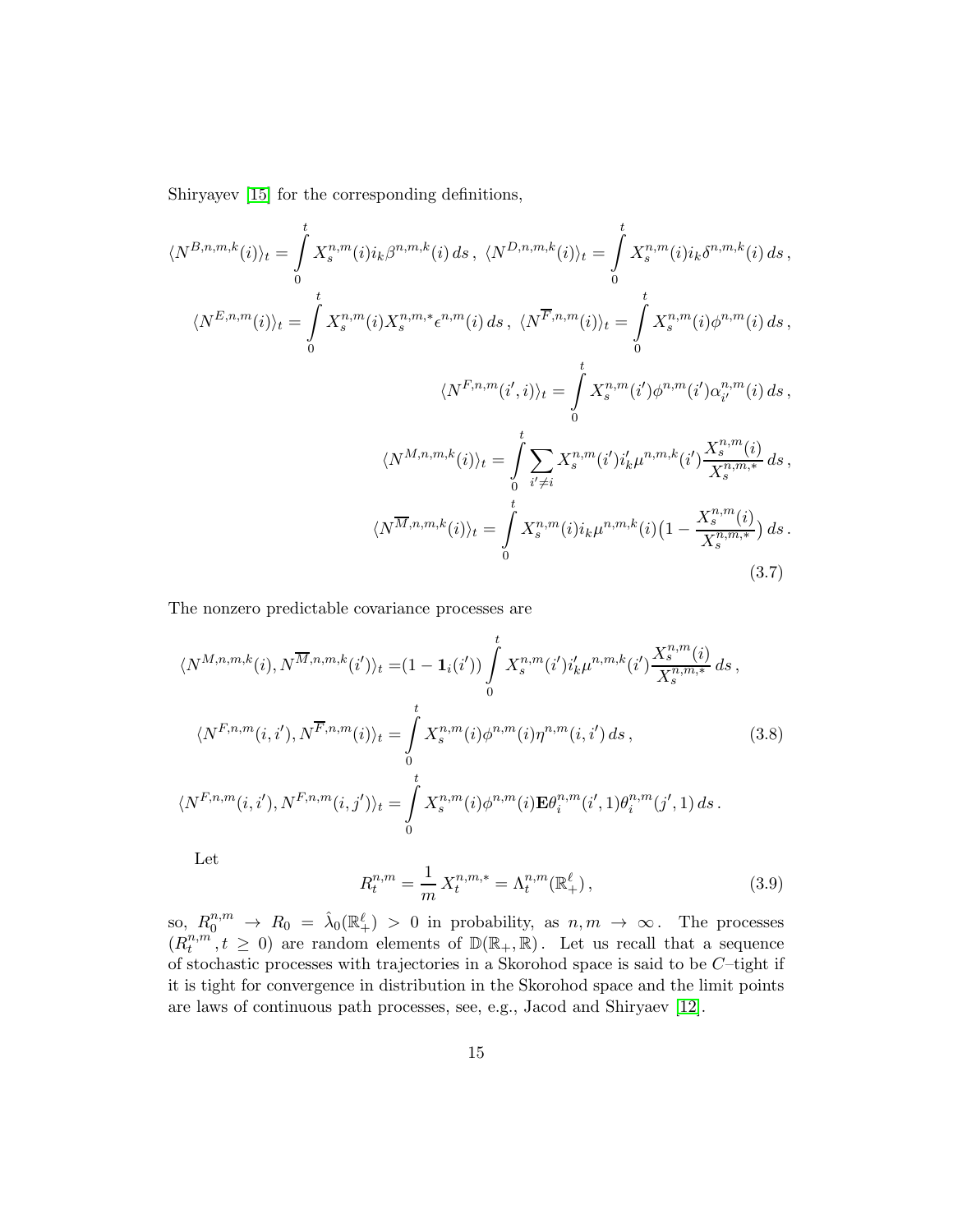Shiryayev [\[15\]](#page-46-7) for the corresponding definitions,

$$
\langle N^{B,n,m,k}(i) \rangle_{t} = \int_{0}^{t} X_{s}^{n,m}(i) i_{k} \beta^{n,m,k}(i) ds, \ \langle N^{D,n,m,k}(i) \rangle_{t} = \int_{0}^{t} X_{s}^{n,m}(i) i_{k} \delta^{n,m,k}(i) ds,
$$
  

$$
\langle N^{E,n,m}(i) \rangle_{t} = \int_{0}^{t} X_{s}^{n,m}(i) X_{s}^{n,m,*} \epsilon^{n,m}(i) ds, \ \langle N^{\overline{F},n,m}(i) \rangle_{t} = \int_{0}^{t} X_{s}^{n,m}(i) \phi^{n,m}(i) ds,
$$
  

$$
\langle N^{F,n,m}(i',i) \rangle_{t} = \int_{0}^{t} X_{s}^{n,m}(i') \phi^{n,m}(i') \alpha_{i'}^{n,m}(i) ds,
$$
  

$$
\langle N^{M,n,m,k}(i) \rangle_{t} = \int_{0}^{t} \sum_{i' \neq i} X_{s}^{n,m}(i') i'_{k} \mu^{n,m,k}(i') \frac{X_{s}^{n,m}(i)}{X_{s}^{n,m,*}} ds,
$$
  

$$
\langle N^{\overline{M},n,m,k}(i) \rangle_{t} = \int_{0}^{t} X_{s}^{n,m}(i) i_{k} \mu^{n,m,k}(i) (1 - \frac{X_{s}^{n,m}(i)}{X_{s}^{n,m,*}}) ds.
$$
  
(3.7)

The nonzero predictable covariance processes are

$$
\langle N^{M,n,m,k}(i), N^{\overline{M},n,m,k}(i') \rangle_t = (1 - \mathbf{1}_i(i')) \int_0^t X_s^{n,m}(i') i'_k \mu^{n,m,k}(i') \frac{X_s^{n,m}(i)}{X_s^{n,m,*}} ds,
$$
  

$$
\langle N^{F,n,m}(i,i'), N^{\overline{F},n,m}(i) \rangle_t = \int_0^t X_s^{n,m}(i) \phi^{n,m}(i) \eta^{n,m}(i,i') ds,
$$
  

$$
\langle N^{F,n,m}(i,i'), N^{F,n,m}(i,j') \rangle_t = \int_0^t X_s^{n,m}(i) \phi^{n,m}(i) \mathbf{E} \theta_i^{n,m}(i',1) \theta_i^{n,m}(j',1) ds.
$$
 (3.8)

Let

<span id="page-14-2"></span><span id="page-14-1"></span><span id="page-14-0"></span>
$$
R_t^{n,m} = \frac{1}{m} X_t^{n,m,*} = \Lambda_t^{n,m}(\mathbb{R}^\ell_+),\tag{3.9}
$$

so,  $R_0^{n,m} \to R_0 = \lambda_0(\mathbb{R}^{\ell}_+) > 0$  in probability, as  $n,m \to \infty$ . The processes  $(R_t^{n,m})$  $t^{n,m}, t \geq 0$  are random elements of  $\mathbb{D}(\mathbb{R}_+, \mathbb{R})$ . Let us recall that a sequence of stochastic processes with trajectories in a Skorohod space is said to be  $C$ -tight if it is tight for convergence in distribution in the Skorohod space and the limit points are laws of continuous path processes, see, e.g., Jacod and Shiryaev [\[12\]](#page-46-8).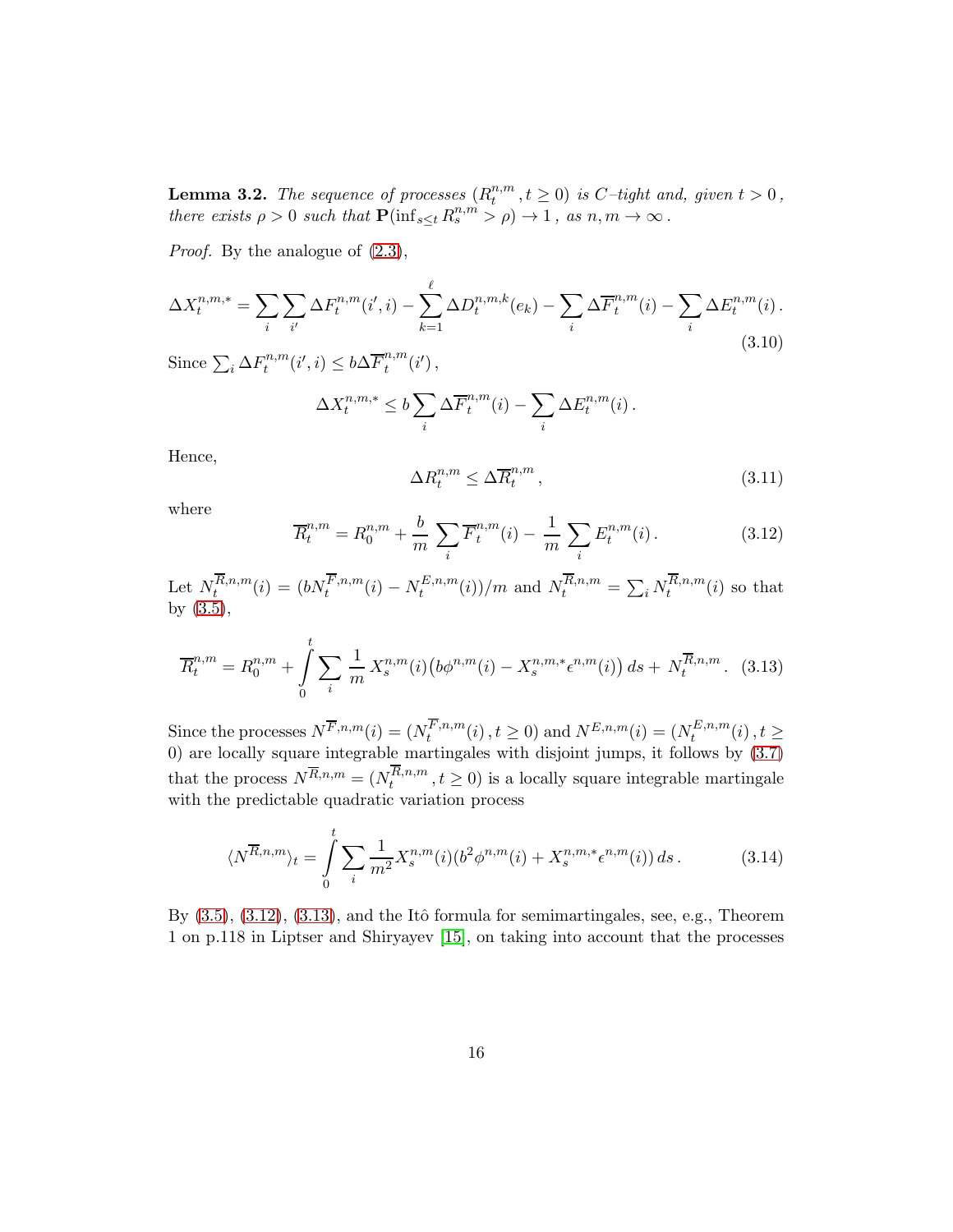<span id="page-15-5"></span>**Lemma 3.2.** The sequence of processes  $(R_t^{n,m})$  $t^{n,m}, t \geq 0$ ) is C-tight and, given  $t > 0$ , there exists  $\rho > 0$  such that  $\mathbf{P}(\inf_{s \leq t} R_s^{n,m} > \rho) \to 1$ , as  $n, m \to \infty$ .

Proof. By the analogue of [\(2.3\)](#page-5-1),

<span id="page-15-4"></span>
$$
\Delta X_t^{n,m,*} = \sum_{i} \sum_{i'} \Delta F_t^{n,m}(i',i) - \sum_{k=1}^{\ell} \Delta D_t^{n,m,k}(e_k) - \sum_{i} \Delta \overline{F}_t^{n,m}(i) - \sum_{i} \Delta E_t^{n,m}(i).
$$
\n(3.10)

Since  $\sum_i \Delta F_i^{n,m}$  $t^{n,m}(i',i) \leq b\Delta \overline{F}_t^{n,m}$  $_{t}^{n,m}(i')$  ,

$$
\Delta X_t^{n,m,*} \le b \sum_i \Delta \overline{F}_t^{n,m}(i) - \sum_i \Delta E_t^{n,m}(i) .
$$

Hence,

<span id="page-15-2"></span>
$$
\Delta R_t^{n,m} \le \Delta \overline{R}_t^{n,m},\tag{3.11}
$$

where

<span id="page-15-0"></span>
$$
\overline{R}_t^{n,m} = R_0^{n,m} + \frac{b}{m} \sum_i \overline{F}_t^{n,m}(i) - \frac{1}{m} \sum_i E_t^{n,m}(i).
$$
 (3.12)

Let  $N_t^{R,n,m}$  $t_t^{R,n,m}(i) = (b N_t^{F,n,m}(i) - N_t^{E,n,m})$  $\binom{E,n,m}{t}(i)/m$  and  $N_t^{R,n,m} = \sum_i N_t^{R,n,m}$  $t^{n,n,m}(i)$  so that by [\(3.5\)](#page-13-0),

<span id="page-15-1"></span>
$$
\overline{R}^{n,m}_t = R^{n,m}_0 + \int_0^t \sum_i \frac{1}{m} X^{n,m}_s(i) \left( b\phi^{n,m}(i) - X^{n,m,*}_s \epsilon^{n,m}(i) \right) ds + N^{\overline{R},n,m}_t. \tag{3.13}
$$

Since the processes  $N^{\overline{F},n,m}(i) = (N_t^{F,n,m})$  $t_t^{F,n,m}(i), t \ge 0$ ) and  $N^{E,n,m}(i) = (N_t^{E,n,m})$  $t^{L,n,m}(i), t \geq$ 0) are locally square integrable martingales with disjoint jumps, it follows by [\(3.7\)](#page-14-0) that the process  $N^{\overline{R},n,m} = (N_t^{R,n,m})$  $t^{n,n,m}, t \geq 0$  is a locally square integrable martingale with the predictable quadratic variation process

<span id="page-15-3"></span>
$$
\langle N^{\overline{R},n,m} \rangle_t = \int_0^t \sum_i \frac{1}{m^2} X_s^{n,m}(i) (b^2 \phi^{n,m}(i) + X_s^{n,m,*} \epsilon^{n,m}(i)) ds. \tag{3.14}
$$

By  $(3.5), (3.12), (3.13),$  $(3.5), (3.12), (3.13),$  $(3.5), (3.12), (3.13),$  $(3.5), (3.12), (3.13),$  $(3.5), (3.12), (3.13),$  and the Itô formula for semimartingales, see, e.g., Theorem 1 on p.118 in Liptser and Shiryayev [\[15\]](#page-46-7), on taking into account that the processes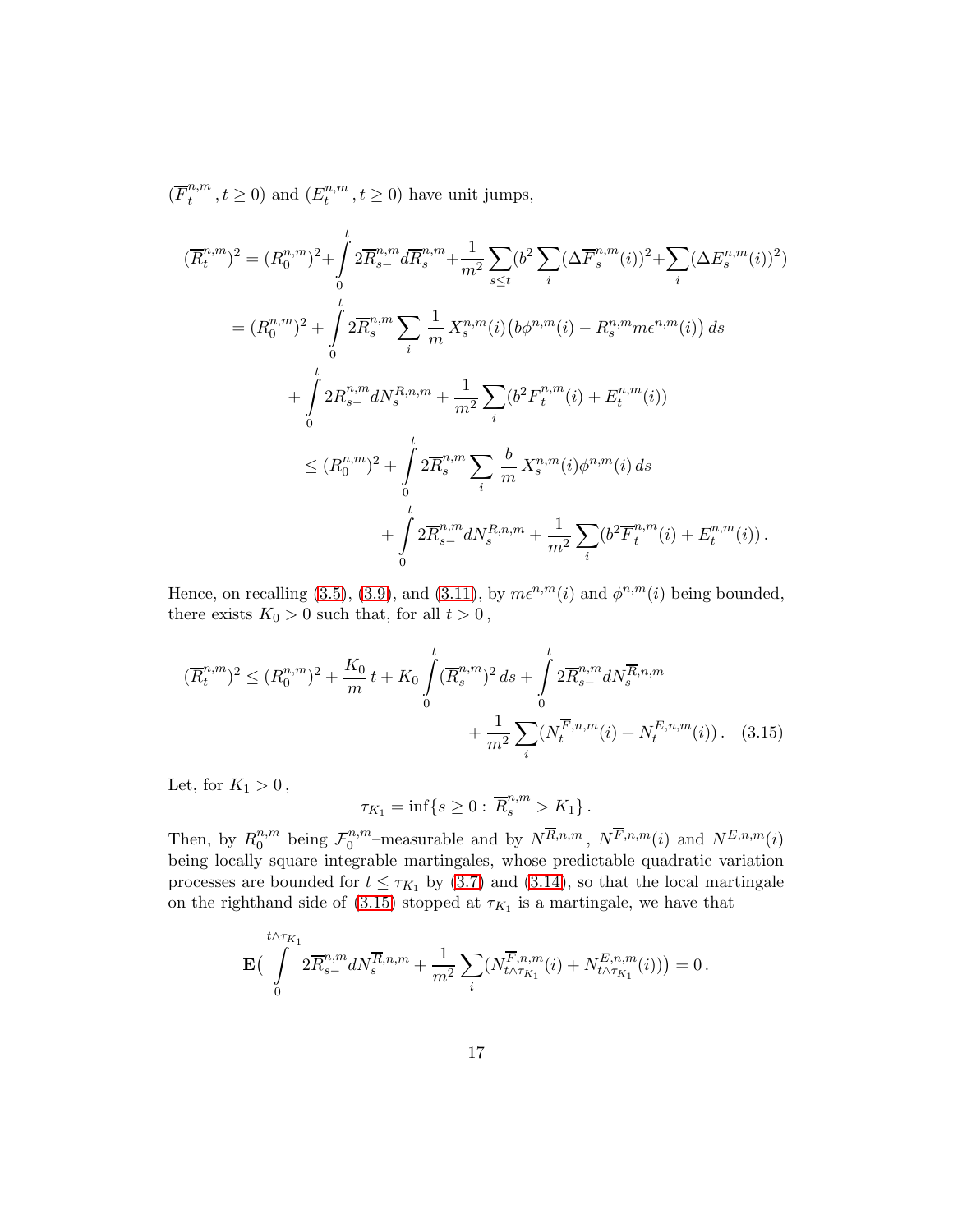$(\overline{F}_t^{n,m})$  $t^{n,m}_t, t \ge 0$ ) and  $(E_t^{n,m}_t)$  $t^{n,m}, t \geq 0$ ) have unit jumps,

$$
(\overline{R}_{t}^{n,m})^{2} = (R_{0}^{n,m})^{2} + \int_{0}^{t} 2\overline{R}_{s}^{n,m} d\overline{R}_{s}^{n,m} + \frac{1}{m^{2}} \sum_{s \leq t} (b^{2} \sum_{i} (\Delta \overline{F}_{s}^{n,m}(i))^{2} + \sum_{i} (\Delta E_{s}^{n,m}(i))^{2})
$$
  
\n
$$
= (R_{0}^{n,m})^{2} + \int_{0}^{t} 2\overline{R}_{s}^{n,m} \sum_{i} \frac{1}{m} X_{s}^{n,m}(i) (b\phi^{n,m}(i) - R_{s}^{n,m} m e^{n,m}(i)) ds
$$
  
\n
$$
+ \int_{0}^{t} 2\overline{R}_{s-}^{n,m} dN_{s}^{R,n,m} + \frac{1}{m^{2}} \sum_{i} (b^{2} \overline{F}_{t}^{n,m}(i) + E_{t}^{n,m}(i))
$$
  
\n
$$
\leq (R_{0}^{n,m})^{2} + \int_{0}^{t} 2\overline{R}_{s}^{n,m} \sum_{i} \frac{b}{m} X_{s}^{n,m}(i) \phi^{n,m}(i) ds
$$
  
\n
$$
+ \int_{0}^{t} 2\overline{R}_{s-}^{n,m} dN_{s}^{R,n,m} + \frac{1}{m^{2}} \sum_{i} (b^{2} \overline{F}_{t}^{n,m}(i) + E_{t}^{n,m}(i)).
$$

Hence, on recalling [\(3.5\)](#page-13-0), [\(3.9\)](#page-14-1), and [\(3.11\)](#page-15-2), by  $m\epsilon^{n,m}(i)$  and  $\phi^{n,m}(i)$  being bounded, there exists  $K_0 > 0$  such that, for all  $t > 0$ ,

$$
(\overline{R}_t^{n,m})^2 \le (R_0^{n,m})^2 + \frac{K_0}{m}t + K_0 \int_0^t (\overline{R}_s^{n,m})^2 ds + \int_0^t 2\overline{R}_{s-}^{n,m} dN_s^{\overline{R},n,m} + \frac{1}{m^2} \sum_i (N_t^{\overline{F},n,m}(i) + N_t^{E,n,m}(i)). \tag{3.15}
$$

Let, for  $K_1 > 0$ ,

<span id="page-16-0"></span>
$$
\tau_{K_1} = \inf \{ s \ge 0 : \overline{R}_s^{n,m} > K_1 \} .
$$

Then, by  $R_0^{n,m}$  $_{0}^{n,m}$  being  $\mathcal{F}_{0}^{n,m}$  $N^{n,m}$ -measurable and by  $N^{R,n,m}$ ,  $N^{F,n,m}(i)$  and  $N^{E,n,m}(i)$ being locally square integrable martingales, whose predictable quadratic variation processes are bounded for  $t \leq \tau_{K_1}$  by [\(3.7\)](#page-14-0) and [\(3.14\)](#page-15-3), so that the local martingale on the righthand side of [\(3.15\)](#page-16-0) stopped at  $\tau_{K_1}$  is a martingale, we have that

$$
\mathbf{E}\Big(\int_{0}^{t \wedge \tau_{K_1}} 2 \overline{R}_{s-}^{n,m} dN_s^{\overline{R},n,m} + \frac{1}{m^2} \sum_{i} \big(N_{t \wedge \tau_{K_1}}^{\overline{F},n,m}(i) + N_{t \wedge \tau_{K_1}}^{E,n,m}(i)\big) \Big) = 0.
$$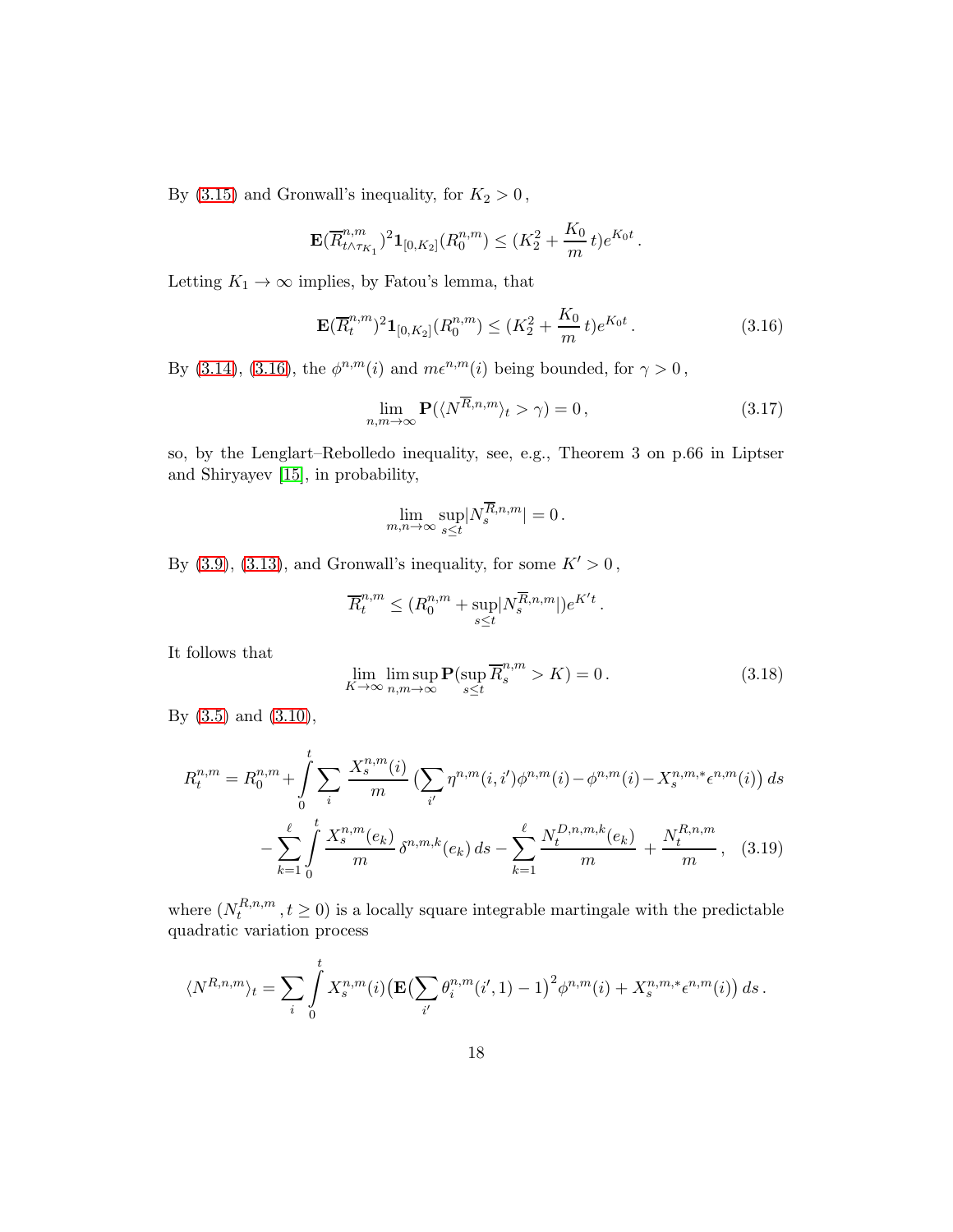By [\(3.15\)](#page-16-0) and Gronwall's inequality, for  $K_2 > 0$ ,

$$
\mathbf{E}(\overline{R}_{t\wedge\tau_{K_1}}^{n,m})^2\mathbf{1}_{[0,K_2]}(R_0^{n,m}) \leq (K_2^2 + \frac{K_0}{m}t)e^{K_0t}.
$$

Letting  $K_1 \rightarrow \infty$  implies, by Fatou's lemma, that

<span id="page-17-0"></span>
$$
\mathbf{E}(\overline{R}_t^{n,m})^2 \mathbf{1}_{[0,K_2]}(R_0^{n,m}) \le (K_2^2 + \frac{K_0}{m}t)e^{K_0t}.
$$
\n(3.16)

By [\(3.14\)](#page-15-3), [\(3.16\)](#page-17-0), the  $\phi^{n,m}(i)$  and  $m\epsilon^{n,m}(i)$  being bounded, for  $\gamma > 0$ ,

<span id="page-17-1"></span>
$$
\lim_{n,m \to \infty} \mathbf{P}(\langle N^{\overline{R},n,m} \rangle_t > \gamma) = 0, \qquad (3.17)
$$

so, by the Lenglart–Rebolledo inequality, see, e.g., Theorem 3 on p.66 in Liptser and Shiryayev [\[15\]](#page-46-7), in probability,

$$
\lim_{m,n\to\infty}\sup_{s\leq t}|N_s^{\overline{R},n,m}|=0.
$$

By  $(3.9)$ ,  $(3.13)$ , and Gronwall's inequality, for some  $K' > 0$ ,

$$
\overline{R}^{n,m}_t\leq (R^{n,m}_0+\sup_{s\leq t}|N^{\overline{R},n,m}_s|)e^{K't}\,.
$$

It follows that

<span id="page-17-3"></span><span id="page-17-2"></span>
$$
\lim_{K \to \infty} \limsup_{n,m \to \infty} \mathbf{P}(\sup_{s \le t} \overline{R}_s^{n,m} > K) = 0.
$$
\n(3.18)

By [\(3.5\)](#page-13-0) and [\(3.10\)](#page-15-4),

$$
R_t^{n,m} = R_0^{n,m} + \int_0^t \sum_i \frac{X_s^{n,m}(i)}{m} \left( \sum_{i'} \eta^{n,m}(i, i') \phi^{n,m}(i) - \phi^{n,m}(i) - X_s^{n,m,*} \epsilon^{n,m}(i) \right) ds
$$

$$
- \sum_{k=1}^\ell \int_0^t \frac{X_s^{n,m}(e_k)}{m} \delta^{n,m,k}(e_k) ds - \sum_{k=1}^\ell \frac{N_t^{D,n,m,k}(e_k)}{m} + \frac{N_t^{R,n,m}}{m}, \quad (3.19)
$$

where  $(N_t^{R,n,m})$  $t^{n,n,m}, t \geq 0$  is a locally square integrable martingale with the predictable quadratic variation process

$$
\langle N^{R,n,m} \rangle_t = \sum_i \int\limits_0^t X^{n,m}_s(i) \big( \mathbf{E} \big( \sum_{i'} \theta^{n,m}_i(i',1) - 1 \big)^2 \phi^{n,m}(i) + X^{n,m,*}_s \epsilon^{n,m}(i) \big) \, ds \, .
$$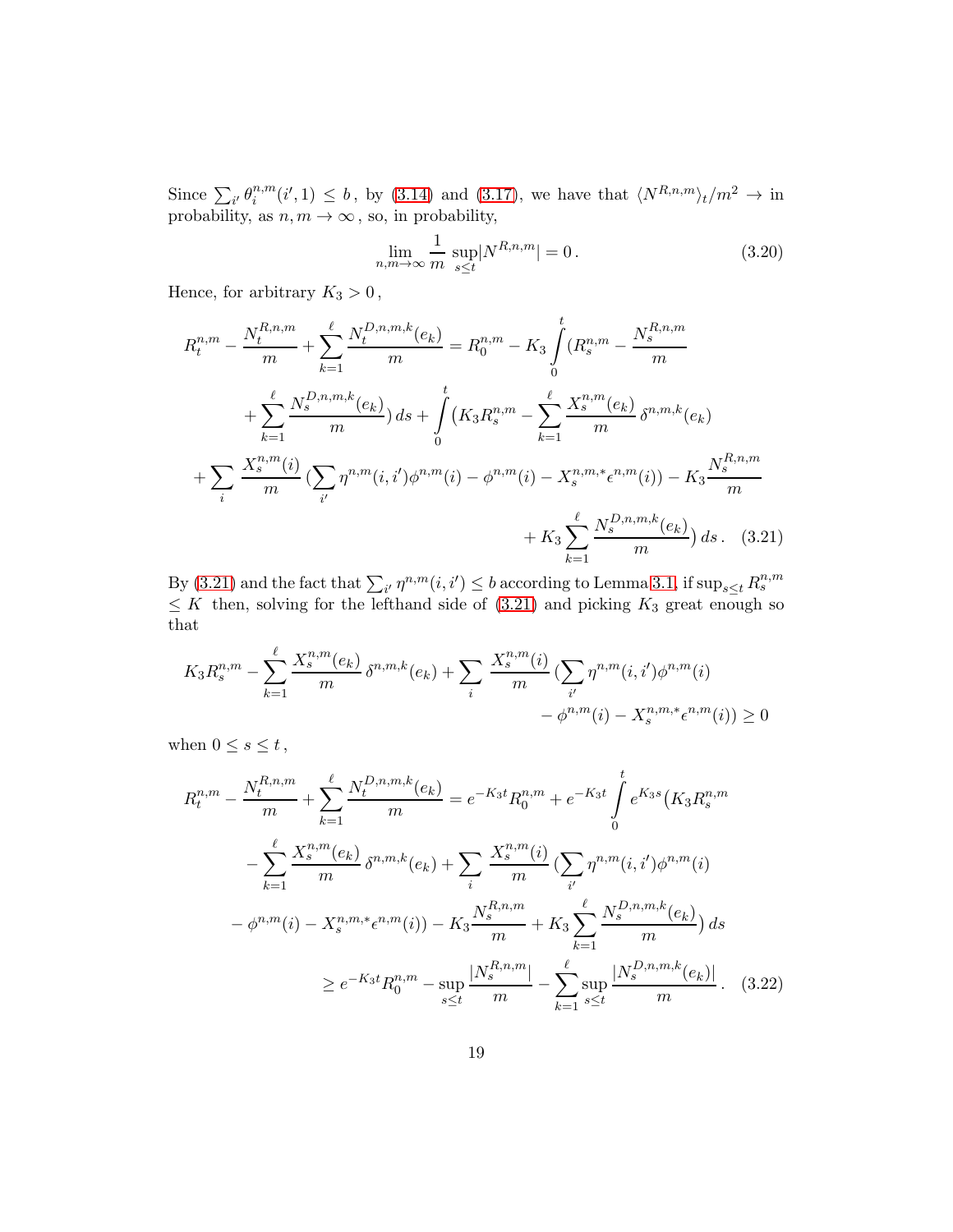Since  $\sum_{i'} \theta_i^{n,m}$  $i^{n,m}(i',1) \leq b$ , by [\(3.14\)](#page-15-3) and [\(3.17\)](#page-17-1), we have that  $\langle N^{R,n,m} \rangle_t/m^2 \to \text{in}$ probability, as  $n, m \to \infty$ , so, in probability,

<span id="page-18-1"></span><span id="page-18-0"></span>
$$
\lim_{n,m \to \infty} \frac{1}{m} \sup_{s \le t} |N^{R,n,m}| = 0. \tag{3.20}
$$

Hence, for arbitrary  $K_3 > 0$ ,

$$
R_{t}^{n,m} - \frac{N_{t}^{R,n,m}}{m} + \sum_{k=1}^{\ell} \frac{N_{t}^{D,n,m,k}(e_{k})}{m} = R_{0}^{n,m} - K_{3} \int_{0}^{t} (R_{s}^{n,m} - \frac{N_{s}^{R,n,m}}{m})
$$
  
+ 
$$
\sum_{k=1}^{\ell} \frac{N_{s}^{D,n,m,k}(e_{k})}{m} ds + \int_{0}^{t} (K_{3}R_{s}^{n,m} - \sum_{k=1}^{\ell} \frac{X_{s}^{n,m}(e_{k})}{m} \delta^{n,m,k}(e_{k})
$$
  
+ 
$$
\sum_{i} \frac{X_{s}^{n,m}(i)}{m} (\sum_{i'} \eta^{n,m}(i,i')\phi^{n,m}(i) - \phi^{n,m}(i) - X_{s}^{n,m,*}\epsilon^{n,m}(i)) - K_{3} \frac{N_{s}^{R,n,m}}{m}
$$
  
+ 
$$
K_{3} \sum_{k=1}^{\ell} \frac{N_{s}^{D,n,m,k}(e_{k})}{m} ds. \quad (3.21)
$$

By [\(3.21\)](#page-18-0) and the fact that  $\sum_{i'} \eta^{n,m}(i,i') \leq b$  according to Lemma [3.1,](#page-11-2) if  $\sup_{s \leq t} R_s^{n,m}$  $\leq K$  then, solving for the lefthand side of [\(3.21\)](#page-18-0) and picking  $K_3$  great enough so that

$$
K_3 R_s^{n,m} - \sum_{k=1}^{\ell} \frac{X_s^{n,m}(e_k)}{m} \delta^{n,m,k}(e_k) + \sum_i \frac{X_s^{n,m}(i)}{m} \left( \sum_{i'} \eta^{n,m}(i, i') \phi^{n,m}(i) - \phi^{n,m}(i) - X_s^{n,m,*} \epsilon^{n,m}(i) \right) \ge 0
$$

when  $0 \leq s \leq t$ ,

<span id="page-18-2"></span>
$$
R_t^{n,m} - \frac{N_t^{R,n,m}}{m} + \sum_{k=1}^{\ell} \frac{N_t^{D,n,m,k}(e_k)}{m} = e^{-K_3 t} R_0^{n,m} + e^{-K_3 t} \int_0^t e^{K_3 s} (K_3 R_s^{n,m})
$$
  

$$
- \sum_{k=1}^{\ell} \frac{X_s^{n,m}(e_k)}{m} \delta^{n,m,k}(e_k) + \sum_i \frac{X_s^{n,m}(i)}{m} \left( \sum_{i'} \eta^{n,m}(i, i') \phi^{n,m}(i) \right)
$$
  

$$
- \phi^{n,m}(i) - X_s^{n,m,*} \epsilon^{n,m}(i) - K_3 \frac{N_s^{R,n,m}}{m} + K_3 \sum_{k=1}^{\ell} \frac{N_s^{D,n,m,k}(e_k)}{m} \right) ds
$$
  

$$
\geq e^{-K_3 t} R_0^{n,m} - \sup_{s \leq t} \frac{|N_s^{R,n,m}|}{m} - \sum_{k=1}^{\ell} \sup_{s \leq t} \frac{|N_s^{D,n,m,k}(e_k)|}{m} . \quad (3.22)
$$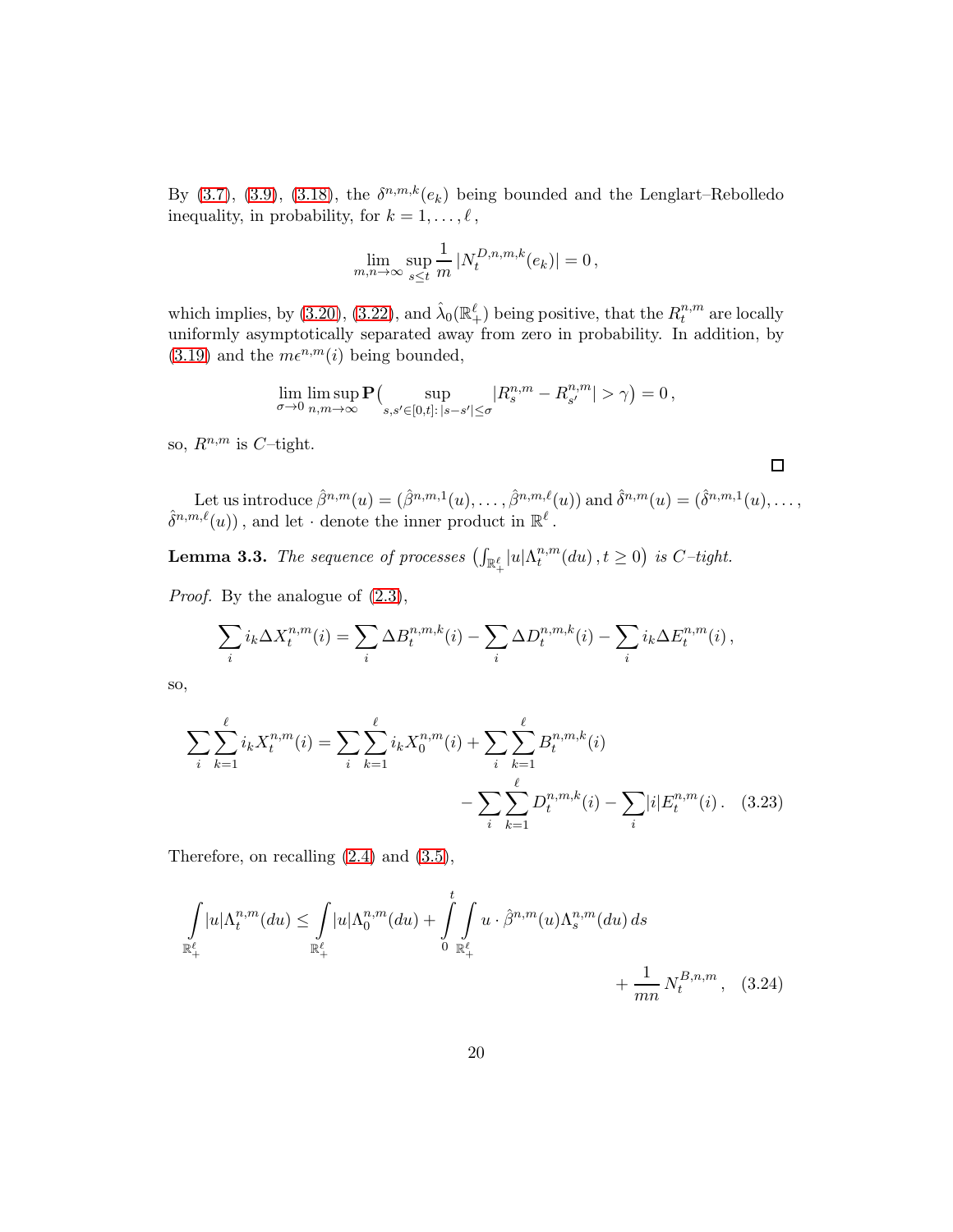By [\(3.7\)](#page-14-0), [\(3.9\)](#page-14-1), [\(3.18\)](#page-17-2), the  $\delta^{n,m,k}(e_k)$  being bounded and the Lenglart–Rebolledo inequality, in probability, for  $k = 1, \ldots, \ell$ ,

$$
\lim_{m,n \to \infty} \sup_{s \le t} \frac{1}{m} |N_t^{D,n,m,k}(e_k)| = 0,
$$

which implies, by [\(3.20\)](#page-18-1), [\(3.22\)](#page-18-2), and  $\hat{\lambda}_0(\mathbb{R}^{\ell}_+)$  being positive, that the  $R_t^{n,m}$  $t^{n,m}$  are locally uniformly asymptotically separated away from zero in probability. In addition, by  $(3.19)$  and the  $m\epsilon^{n,m}(i)$  being bounded,

$$
\lim_{\sigma\to 0}\limsup_{n,m\to\infty}{\bf P}\bigl(\sup_{s,s'\in[0,t]:\,|s-s'|\le\sigma}|R^{n,m}_s-R^{n,m}_{s'}|>\gamma\bigr)=0\,,
$$

so,  $R^{n,m}$  is C-tight.

Let us introduce  $\hat{\beta}^{n,m}(u) = (\hat{\beta}^{n,m,1}(u), \dots, \hat{\beta}^{n,m,\ell}(u))$  and  $\hat{\delta}^{n,m}(u) = (\hat{\delta}^{n,m,1}(u), \dots, \hat{\delta}^{n,m,\ell}(u))$  $\hat{\delta}^{n,m,\ell}(u)$ , and let  $\cdot$  denote the inner product in  $\mathbb{R}^{\ell}$ .

<span id="page-19-1"></span><span id="page-19-0"></span> $\Box$ 

<span id="page-19-2"></span>**Lemma 3.3.** The sequence of processes  $\left(\int_{\mathbb{R}^{\ell}_+}|u|\Lambda^{n,m}_t\right)$  $t^{n,m}_t(du)$ ,  $t \geq 0$ ) is C-tight.

Proof. By the analogue of [\(2.3\)](#page-5-1),

$$
\sum_i i_k \Delta X_t^{n,m}(i) = \sum_i \Delta B_t^{n,m,k}(i) - \sum_i \Delta D_t^{n,m,k}(i) - \sum_i i_k \Delta E_t^{n,m}(i),
$$

so,

$$
\sum_{i} \sum_{k=1}^{\ell} i_k X_t^{n,m}(i) = \sum_{i} \sum_{k=1}^{\ell} i_k X_0^{n,m}(i) + \sum_{i} \sum_{k=1}^{\ell} B_t^{n,m,k}(i) - \sum_{i} \sum_{k=1}^{\ell} D_t^{n,m,k}(i) - \sum_{i} |i| E_t^{n,m}(i). \quad (3.23)
$$

Therefore, on recalling [\(2.4\)](#page-6-0) and [\(3.5\)](#page-13-0),

$$
\int_{\mathbb{R}^{\ell}_{+}} |u| \Lambda_{t}^{n,m}(du) \leq \int_{\mathbb{R}^{\ell}_{+}} |u| \Lambda_{0}^{n,m}(du) + \int_{0}^{t} \int_{\mathbb{R}^{\ell}_{+}} u \cdot \hat{\beta}^{n,m}(u) \Lambda_{s}^{n,m}(du) ds + \frac{1}{mn} N_{t}^{B,n,m}, \quad (3.24)
$$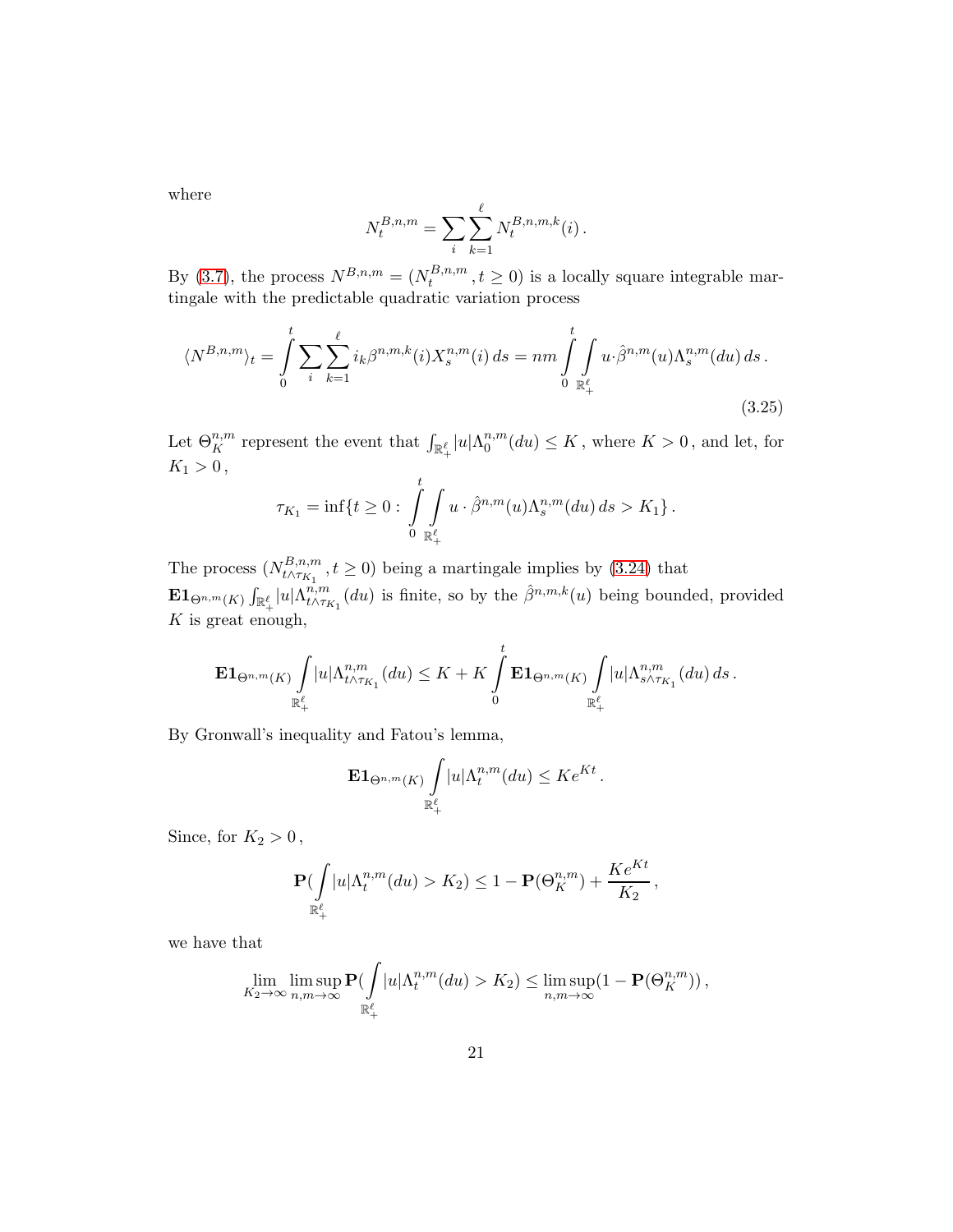where

<span id="page-20-0"></span>
$$
N_t^{B,n,m} = \sum_i \sum_{k=1}^{\ell} N_t^{B,n,m,k}(i).
$$

By [\(3.7\)](#page-14-0), the process  $N^{B,n,m} = (N_t^{B,n,m})$  $t_t^{D,n,m}, t \ge 0$  is a locally square integrable martingale with the predictable quadratic variation process

$$
\langle N^{B,n,m} \rangle_t = \int_0^t \sum_i \sum_{k=1}^\ell i_k \beta^{n,m,k}(i) X_s^{n,m}(i) \, ds = nm \int_0^t \int_{\mathbb{R}_+^{\ell}} u \cdot \hat{\beta}^{n,m}(u) \Lambda_s^{n,m}(du) \, ds \, .
$$
\n(3.25)

Let  $\Theta^{n,m}_K$  represent the event that  $\int_{\mathbb{R}^{\ell}_+}|u|\Lambda^{n,m}_0$  $\binom{n,m}{0}(du) \leq K$ , where  $K > 0$ , and let, for  $K_1 > 0$ ,

$$
\tau_{K_1} = \inf \{ t \ge 0 : \int_{0}^{t} \int_{\mathbb{R}_+^{\ell}} u \cdot \hat{\beta}^{n,m}(u) \Lambda_s^{n,m}(du) ds > K_1 \}.
$$

The process  $(N_{t \wedge \tau_K}^{B,n,m})$  $t^{D,n,m}_{t\wedge\tau_{K_1}}$ ,  $t \geq 0$ ) being a martingale implies by [\(3.24\)](#page-19-0) that  $\mathbf{E} \mathbf{1}_{\Theta^{n,m}(K)} \int_{\mathbb{R}_+^{\ell}} |u| \Lambda^{n,m}_{t\wedge \tau_I}$  $t^{n,m}_{t\wedge\tau_{K_1}}(du)$  is finite, so by the  $\hat{\beta}^{n,m,k}(u)$  being bounded, provided  $K$  is great enough,

$$
\mathbf{E} \mathbf{1}_{\Theta^{n,m}(K)} \int\limits_{\mathbb{R}^\ell_+} |u|\Lambda^{n,m}_{t\wedge\tau_{K_1}}(du) \leq K+K\int\limits_0^t \mathbf{E} \mathbf{1}_{\Theta^{n,m}(K)} \int\limits_{\mathbb{R}^\ell_+} |u|\Lambda^{n,m}_{s\wedge\tau_{K_1}}(du)\,ds\,.
$$

By Gronwall's inequality and Fatou's lemma,

$$
\mathbf{E} \mathbf{1}_{\Theta^{n,m}(K)} \int\limits_{\mathbb{R}_+^{\ell}} |u| \Lambda_t^{n,m}(du) \leq Ke^{Kt}.
$$

Since, for  $K_2 > 0$ ,

$$
\mathbf{P}(\int\limits_{\mathbb{R}^\ell_+}|u|\Lambda_t^{n,m}(du)>K_2)\leq 1-\mathbf{P}(\Theta^{n,m}_K)+\frac{Ke^{Kt}}{K_2}\,,
$$

we have that

$$
\lim_{K_2 \to \infty} \limsup_{n,m \to \infty} \mathbf{P}(\int_{\mathbb{R}_+^{\ell}} |u| \Lambda_t^{n,m}(du) > K_2) \le \limsup_{n,m \to \infty} (1 - \mathbf{P}(\Theta_K^{n,m}))
$$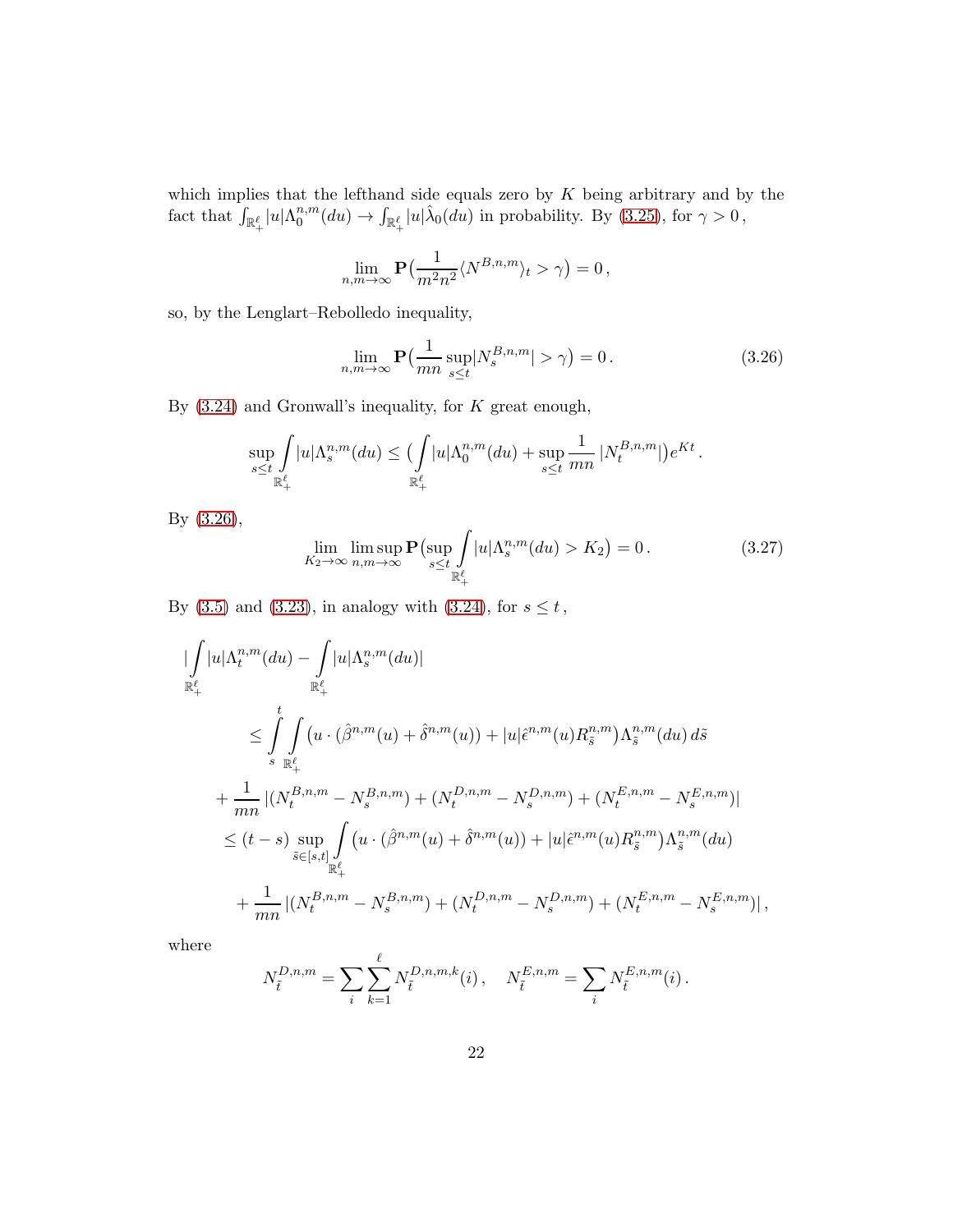which implies that the lefthand side equals zero by  $K$  being arbitrary and by the fact that  $\int_{\mathbb{R}^{\ell}_+} |u| \Lambda_0^{n,m}$  $\int_0^{n,m}(du) \to \int_{\mathbb{R}_+^{\ell}}|u|\hat{\lambda}_0(du)$  in probability. By [\(3.25\)](#page-20-0), for  $\gamma > 0$ ,

$$
\lim_{n,m\to\infty} \mathbf{P}\left(\frac{1}{m^2n^2} \langle N^{B,n,m} \rangle_t > \gamma\right) = 0,
$$

so, by the Lenglart–Rebolledo inequality,

<span id="page-21-0"></span>
$$
\lim_{n,m \to \infty} \mathbf{P}\left(\frac{1}{mn} \sup_{s \le t} |N_s^{B,n,m}| > \gamma\right) = 0. \tag{3.26}
$$

By  $(3.24)$  and Gronwall's inequality, for K great enough,

$$
\sup_{s\leq t}\int\limits_{\mathbb{R}^{\ell}_+}|u|\Lambda^{n,m}_s(du)\leq \bigl(\int\limits_{\mathbb{R}^{\ell}_+}|u|\Lambda^{n,m}_0(du)+\sup_{s\leq t}\frac{1}{mn}\,|N^{B,n,m}_t|\bigl)e^{Kt}\,.
$$

By [\(3.26\)](#page-21-0),

|

<span id="page-21-1"></span>
$$
\lim_{K_2 \to \infty} \limsup_{n,m \to \infty} \mathbf{P}\left(\sup_{s \le t} \int_{\mathbb{R}_+^{\ell}} |u| \Lambda_s^{n,m}(du) > K_2\right) = 0. \tag{3.27}
$$

By [\(3.5\)](#page-13-0) and [\(3.23\)](#page-19-1), in analogy with [\(3.24\)](#page-19-0), for  $s \le t$ ,

$$
\begin{split}\n&|\int_{\mathbb{R}^{\ell}_{+}} |u| \Lambda_{t}^{n,m}(du) - \int_{\mathbb{R}^{\ell}_{+}} |u| \Lambda_{s}^{n,m}(du)| \\
&\leq \int_{s}^{t} \int_{\mathbb{R}^{\ell}_{+}} (u \cdot (\hat{\beta}^{n,m}(u) + \hat{\delta}^{n,m}(u)) + |u| \hat{\epsilon}^{n,m}(u) R_{\tilde{s}}^{n,m}) \Lambda_{\tilde{s}}^{n,m}(du) d\tilde{s} \\
&+ \frac{1}{mn} |(N_{t}^{B,n,m} - N_{s}^{B,n,m}) + (N_{t}^{D,n,m} - N_{s}^{D,n,m}) + (N_{t}^{E,n,m} - N_{s}^{E,n,m})| \\
&\leq (t-s) \sup_{\tilde{s} \in [s,t]} \int_{\mathbb{R}^{\ell}_{+}} (u \cdot (\hat{\beta}^{n,m}(u) + \hat{\delta}^{n,m}(u)) + |u| \hat{\epsilon}^{n,m}(u) R_{\tilde{s}}^{n,m}) \Lambda_{\tilde{s}}^{n,m}(du) \\
&+ \frac{1}{mn} |(N_{t}^{B,n,m} - N_{s}^{B,n,m}) + (N_{t}^{D,n,m} - N_{s}^{D,n,m}) + (N_{t}^{E,n,m} - N_{s}^{E,n,m})| \,,\n\end{split}
$$

where

$$
N_{\tilde{t}}^{D,n,m} = \sum_{i} \sum_{k=1}^{\ell} N_{\tilde{t}}^{D,n,m,k}(i) , \quad N_{\tilde{t}}^{E,n,m} = \sum_{i} N_{\tilde{t}}^{E,n,m}(i) .
$$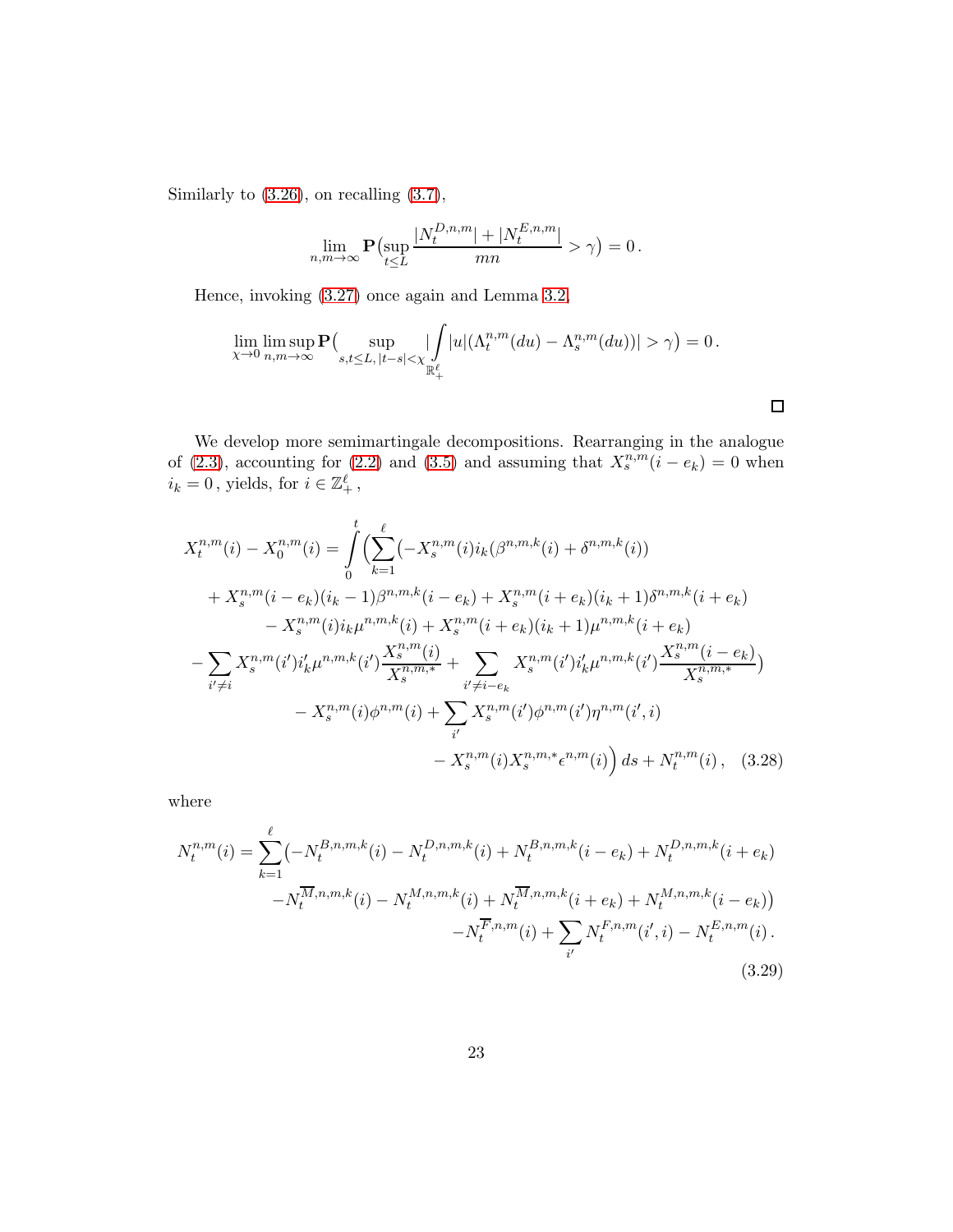Similarly to [\(3.26\)](#page-21-0), on recalling [\(3.7\)](#page-14-0),

$$
\lim_{n,m\to\infty} \mathbf{P}\left(\sup_{t\leq L} \frac{|N_t^{D,n,m}|+|N_t^{E,n,m}|}{mn} > \gamma\right) = 0.
$$

Hence, invoking [\(3.27\)](#page-21-1) once again and Lemma [3.2,](#page-15-5)

$$
\lim_{\chi \to 0} \limsup_{n,m \to \infty} \mathbf{P} \Big( \sup_{s,t \le L, |t-s| < \chi} \left| \int_{\mathbb{R}_+^{\ell}} |u| (\Lambda_t^{n,m}(du) - \Lambda_s^{n,m}(du)) \right| > \gamma \Big) = 0 \, .
$$

<span id="page-22-1"></span><span id="page-22-0"></span> $\Box$ 

We develop more semimartingale decompositions. Rearranging in the analogue of [\(2.3\)](#page-5-1), accounting for [\(2.2\)](#page-5-0) and [\(3.5\)](#page-13-0) and assuming that  $X_s^{n,m}$  ( $i - e_k$ ) = 0 when  $i_k = 0$ , yields, for  $i \in \mathbb{Z}_+^{\ell}$ ,

$$
X_{t}^{n,m}(i) - X_{0}^{n,m}(i) = \int_{0}^{t} \left( \sum_{k=1}^{\ell} (-X_{s}^{n,m}(i)i_{k}(\beta^{n,m,k}(i) + \delta^{n,m,k}(i)) + X_{s}^{n,m}(i - e_{k})(i_{k} - 1)\beta^{n,m,k}(i - e_{k}) + X_{s}^{n,m}(i + e_{k})(i_{k} + 1)\delta^{n,m,k}(i + e_{k}) - X_{s}^{n,m}(i)i_{k}\mu^{n,m,k}(i) + X_{s}^{n,m}(i + e_{k})(i_{k} + 1)\mu^{n,m,k}(i + e_{k}) - \sum_{i' \neq i} X_{s}^{n,m}(i')i'_{k}\mu^{n,m,k}(i')\frac{X_{s}^{n,m}(i)}{X_{s}^{n,m}} + \sum_{i' \neq i - e_{k}} X_{s}^{n,m}(i')i'_{k}\mu^{n,m,k}(i')\frac{X_{s}^{n,m}(i - e_{k})}{X_{s}^{n,m,k}} - X_{s}^{n,m}(i)\phi^{n,m}(i) + \sum_{i'} X_{s}^{n,m}(i')\phi^{n,m}(i')\eta^{n,m}(i',i) - X_{s}^{n,m}(i)X_{s}^{n,m,*}\epsilon^{n,m}(i) \right) ds + N_{t}^{n,m}(i), \quad (3.28)
$$

where

$$
N_t^{n,m}(i) = \sum_{k=1}^{\ell} \left( -N_t^{B,n,m,k}(i) - N_t^{D,n,m,k}(i) + N_t^{B,n,m,k}(i - e_k) + N_t^{D,n,m,k}(i + e_k) \right. \\ \left. - N_t^{\overline{M},n,m,k}(i) - N_t^{M,n,m,k}(i) + N_t^{\overline{M},n,m,k}(i + e_k) + N_t^{M,n,m,k}(i - e_k) \right) \\ \left. - N_t^{\overline{F},n,m}(i) + \sum_{i'} N_t^{\overline{F},n,m}(i',i) - N_t^{\overline{E},n,m}(i) \right). \tag{3.29}
$$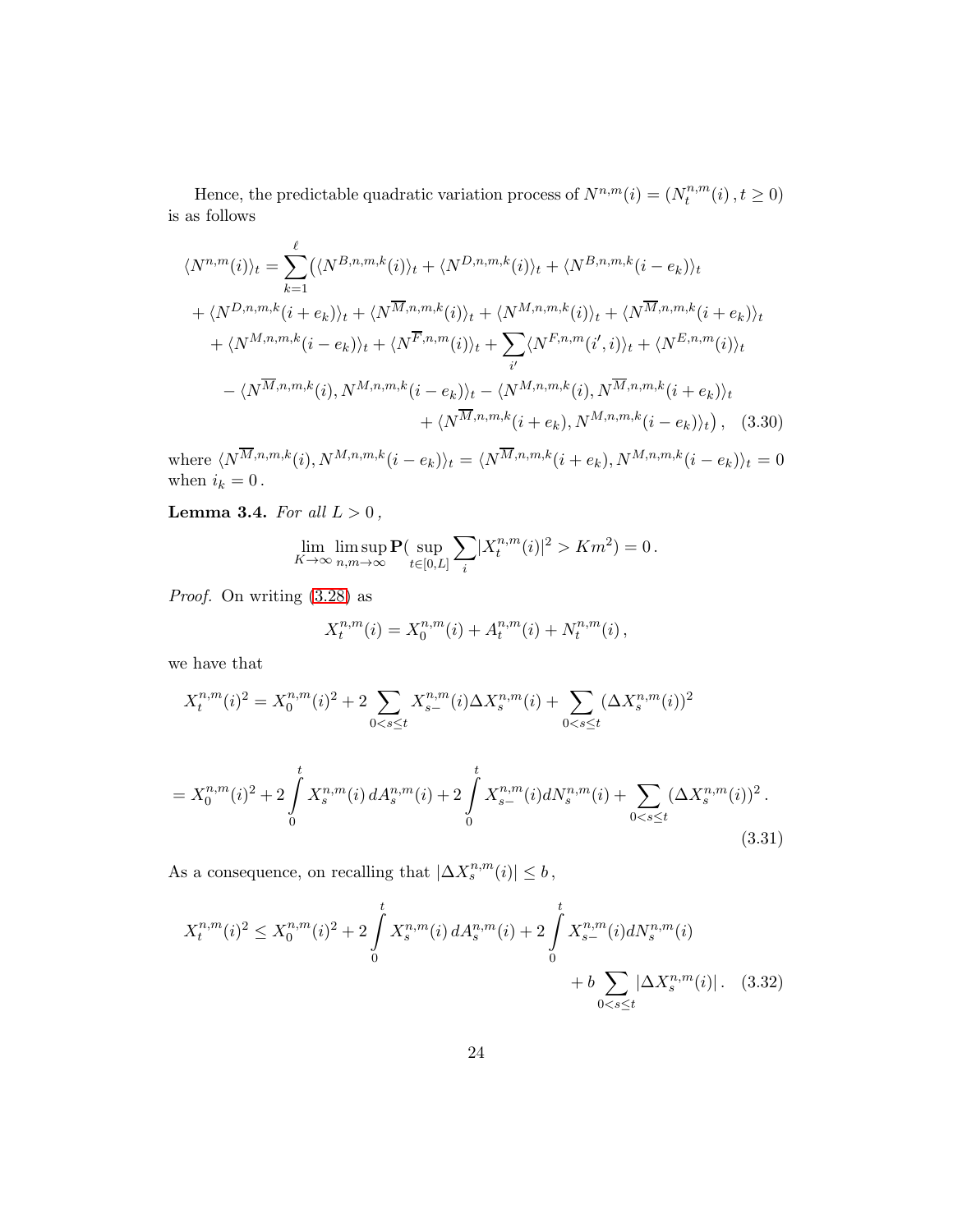Hence, the predictable quadratic variation process of  $N^{n,m}(i) = (N_t^{n,m})$  $t^{n,m}(i), t \ge 0)$ is as follows

$$
\langle N^{n,m}(i) \rangle_t = \sum_{k=1}^{\ell} (\langle N^{B,n,m,k}(i) \rangle_t + \langle N^{D,n,m,k}(i) \rangle_t + \langle N^{B,n,m,k}(i - e_k) \rangle_t
$$
  
+  $\langle N^{D,n,m,k}(i + e_k) \rangle_t + \langle N^{\overline{M},n,m,k}(i) \rangle_t + \langle N^{M,n,m,k}(i) \rangle_t + \langle N^{\overline{M},n,m,k}(i + e_k) \rangle_t$   
+  $\langle N^{M,n,m,k}(i - e_k) \rangle_t + \langle N^{\overline{F},n,m}(i) \rangle_t + \sum_{i'} \langle N^{F,n,m}(i',i) \rangle_t + \langle N^{E,n,m}(i) \rangle_t$   
-  $\langle N^{\overline{M},n,m,k}(i), N^{M,n,m,k}(i - e_k) \rangle_t - \langle N^{M,n,m,k}(i), N^{\overline{M},n,m,k}(i + e_k) \rangle_t$   
+  $\langle N^{\overline{M},n,m,k}(i + e_k), N^{M,n,m,k}(i - e_k) \rangle_t$  (3.30)

where  $\langle N^{M,n,m,k}(i), N^{M,n,m,k}(i - e_k) \rangle_t = \langle N^{M,n,m,k}(i + e_k), N^{M,n,m,k}(i - e_k) \rangle_t = 0$ when  $i_k = 0$ .

<span id="page-23-3"></span>Lemma 3.4. For all  $L > 0$ ,

$$
\lim_{K \to \infty} \limsup_{n,m \to \infty} \mathbf{P}(\sup_{t \in [0,L]} \sum_i |X_t^{n,m}(i)|^2 > Km^2) = 0.
$$

Proof. On writing [\(3.28\)](#page-22-0) as

$$
X_t^{n,m}(i) = X_0^{n,m}(i) + A_t^{n,m}(i) + N_t^{n,m}(i),
$$

we have that

$$
X_t^{n,m}(i)^2 = X_0^{n,m}(i)^2 + 2 \sum_{0 < s \le t} X_{s-}^{n,m}(i) \Delta X_s^{n,m}(i) + \sum_{0 < s \le t} (\Delta X_s^{n,m}(i))^2
$$
\n
$$
= X_0^{n,m}(i)^2 + 2 \int_0^t X_s^{n,m}(i) \, dA_s^{n,m}(i) + 2 \int_0^t X_{s-}^{n,m}(i) dN_s^{n,m}(i) + \sum_{0 < s \le t} (\Delta X_s^{n,m}(i))^2.
$$

As a consequence, on recalling that  $|\Delta X_s^{n,m}(i)| \leq b$ ,

$$
X_t^{n,m}(i)^2 \le X_0^{n,m}(i)^2 + 2\int_0^t X_s^{n,m}(i) dA_s^{n,m}(i) + 2\int_0^t X_{s-}^{n,m}(i) dN_s^{n,m}(i) + b \sum_{0 < s \le t} |\Delta X_s^{n,m}(i)|. \tag{3.32}
$$

<span id="page-23-2"></span><span id="page-23-1"></span><span id="page-23-0"></span>(3.31)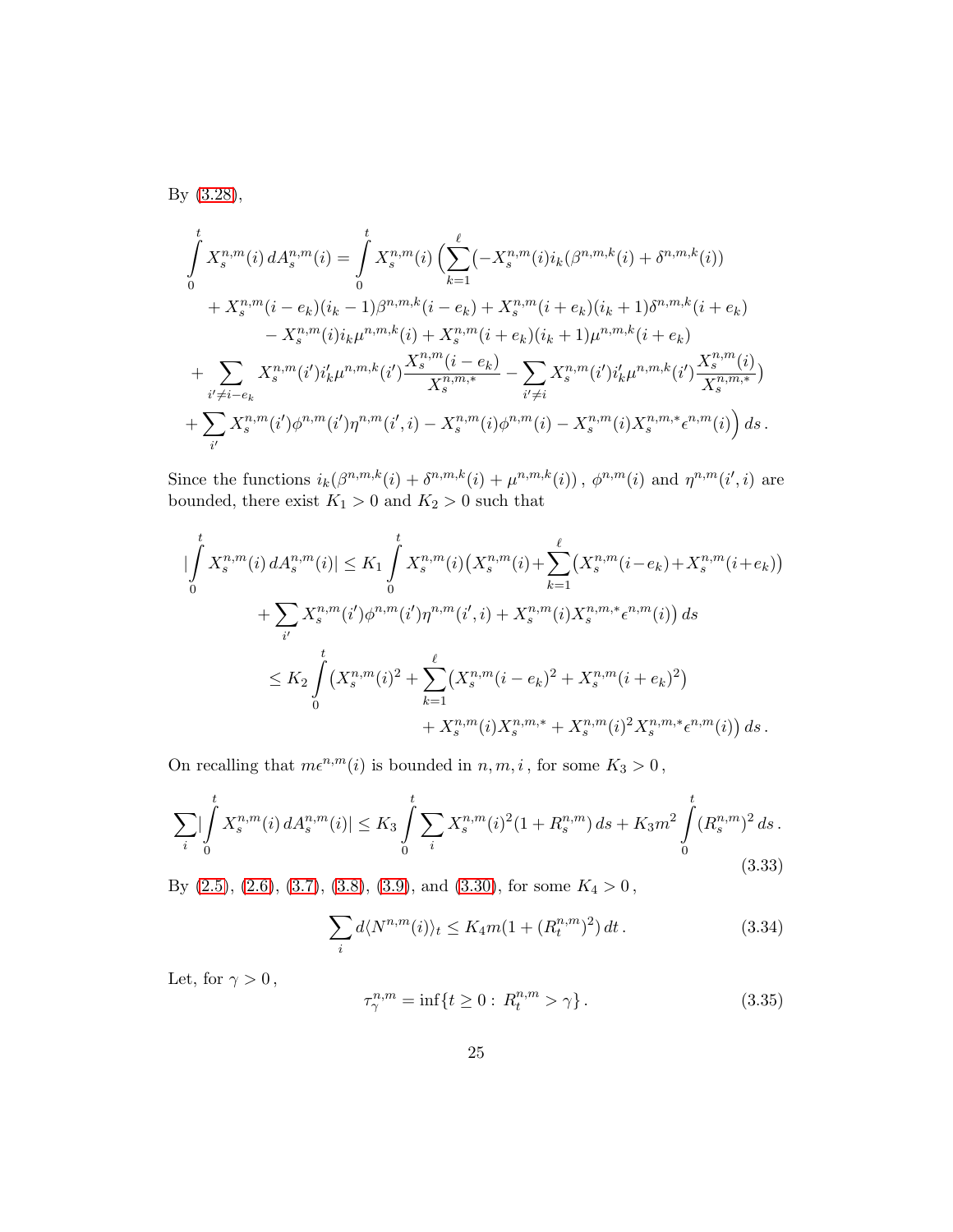By [\(3.28\)](#page-22-0),

$$
\int_{0}^{t} X_{s}^{n,m}(i) dA_{s}^{n,m}(i) = \int_{0}^{t} X_{s}^{n,m}(i) \left( \sum_{k=1}^{\ell} (-X_{s}^{n,m}(i)i_{k}(\beta^{n,m,k}(i) + \delta^{n,m,k}(i)) + X_{s}^{n,m}(i - e_{k})(i_{k} - 1)\beta^{n,m,k}(i - e_{k}) + X_{s}^{n,m}(i + e_{k})(i_{k} + 1)\delta^{n,m,k}(i + e_{k}) - X_{s}^{n,m}(i)i_{k}\mu^{n,m,k}(i) + X_{s}^{n,m}(i + e_{k})(i_{k} + 1)\mu^{n,m,k}(i + e_{k}) + \sum_{i' \neq i - e_{k}} X_{s}^{n,m}(i')i'_{k}\mu^{n,m,k}(i') \frac{X_{s}^{n,m}(i - e_{k})}{X_{s}^{n,m}} - \sum_{i' \neq i} X_{s}^{n,m}(i')i'_{k}\mu^{n,m,k}(i') \frac{X_{s}^{n,m}(i)}{X_{s}^{n,m,k}} + \sum_{i'} X_{s}^{n,m}(i')\phi^{n,m}(i')\eta^{n,m}(i',i) - X_{s}^{n,m}(i)\phi^{n,m}(i) - X_{s}^{n,m}(i)X_{s}^{n,m,*}e^{n,m}(i) \right) ds.
$$

Since the functions  $i_k(\beta^{n,m,k}(i) + \delta^{n,m,k}(i) + \mu^{n,m,k}(i))$ ,  $\phi^{n,m}(i)$  and  $\eta^{n,m}(i',i)$  are bounded, there exist  $K_1 > 0$  and  $K_2 > 0$  such that

$$
\left| \int_{0}^{t} X_{s}^{n,m}(i) dA_{s}^{n,m}(i) \right| \leq K_{1} \int_{0}^{t} X_{s}^{n,m}(i) \left( X_{s}^{n,m}(i) + \sum_{k=1}^{\ell} \left( X_{s}^{n,m}(i-e_{k}) + X_{s}^{n,m}(i+e_{k}) \right) \right) + \sum_{i'} X_{s}^{n,m}(i')\phi^{n,m}(i')\eta^{n,m}(i',i) + X_{s}^{n,m}(i)X_{s}^{n,m,*}\epsilon^{n,m}(i) \right) ds \leq K_{2} \int_{0}^{t} \left( X_{s}^{n,m}(i)^{2} + \sum_{k=1}^{\ell} \left( X_{s}^{n,m}(i-e_{k})^{2} + X_{s}^{n,m}(i+e_{k})^{2} \right) \right. + X_{s}^{n,m}(i)X_{s}^{n,m,*} + X_{s}^{n,m}(i)^{2}X_{s}^{n,m,*}\epsilon^{n,m}(i) \right) ds.
$$

On recalling that  $m\epsilon^{n,m}(i)$  is bounded in  $n,m,i$  , for some  $K_3>0$  ,

<span id="page-24-1"></span>
$$
\sum_{i} |\int_{0}^{t} X_{s}^{n,m}(i) dA_{s}^{n,m}(i)| \leq K_{3} \int_{0}^{t} \sum_{i} X_{s}^{n,m}(i)^{2} (1 + R_{s}^{n,m}) ds + K_{3} m^{2} \int_{0}^{t} (R_{s}^{n,m})^{2} ds.
$$
\n(3.33)

By [\(2.5\)](#page-7-2), [\(2.6\)](#page-7-0), [\(3.7\)](#page-14-0), [\(3.8\)](#page-14-2), [\(3.9\)](#page-14-1), and [\(3.30\)](#page-23-0), for some  $K_4 > 0$ ,

<span id="page-24-0"></span>
$$
\sum_{i} d\langle N^{n,m}(i)\rangle_t \le K_4 m (1 + (R_t^{n,m})^2) dt. \tag{3.34}
$$

Let, for  $\gamma>0\,,$ 

<span id="page-24-2"></span>
$$
\tau_{\gamma}^{n,m} = \inf \{ t \ge 0 : R_t^{n,m} > \gamma \}.
$$
\n(3.35)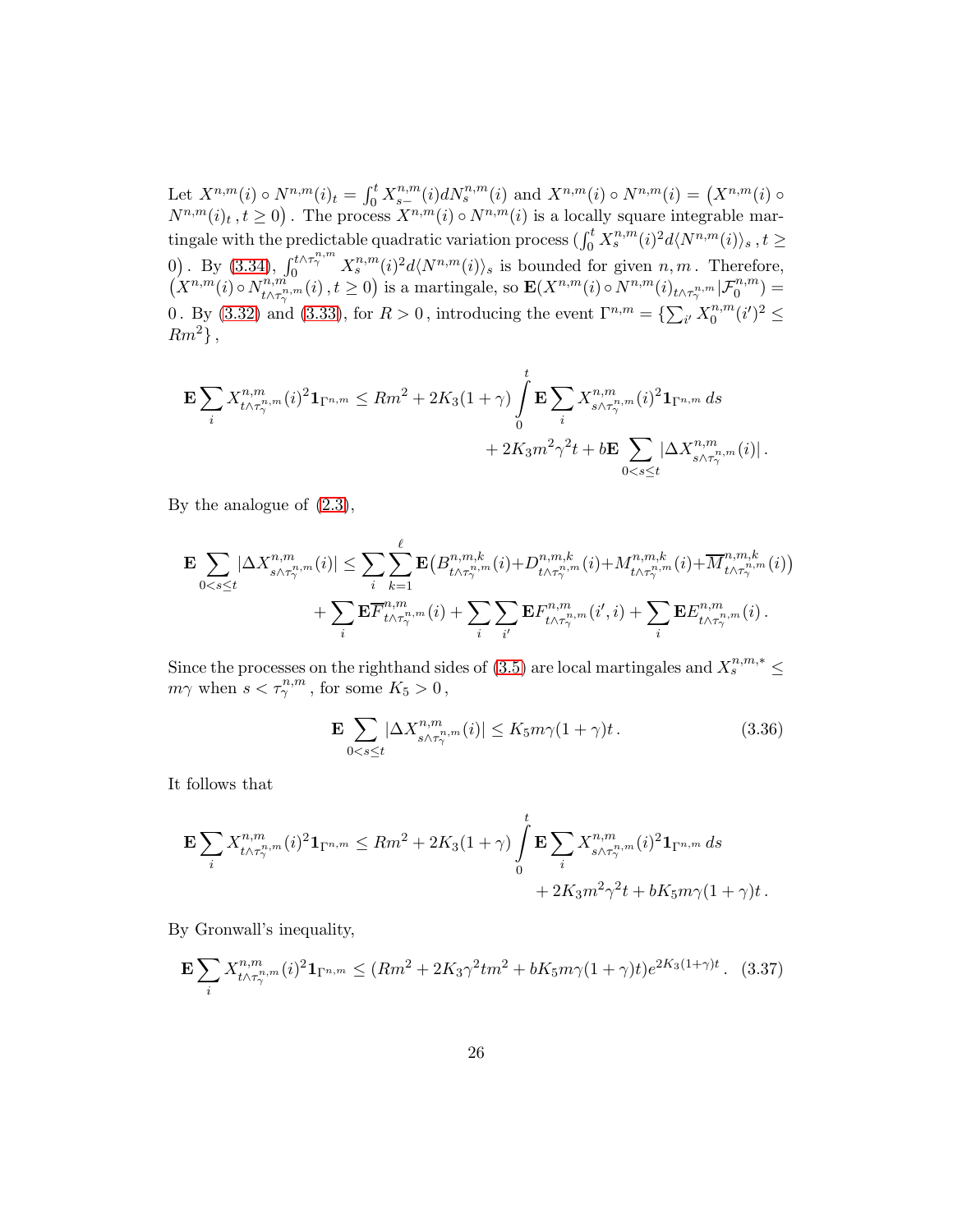Let  $X^{n,m}(i) \circ N^{n,m}(i)_t = \int_0^t X_{s-}^{n,m}(i) dN_s^{n,m}(i)$  and  $X^{n,m}(i) \circ N^{n,m}(i) = (X^{n,m}(i) \circ N^{n,m}(i))$  $N^{n,m}(i)_t$ ,  $t \geq 0$ . The process  $X^{n,m}(i) \circ N^{n,m}(i)$  is a locally square integrable martingale with the predictable quadratic variation process  $(\int_0^t X_s^{n,m}(i)^2 d\langle N^{n,m}(i)\rangle_s$ ,  $t \geq$ 0). By  $(3.34)$ ,  $\int_0^{t \wedge \tau_{\gamma}^{n,m}} X_s^{n,m}(i)^2 d\langle N^{n,m}(i) \rangle_s$  is bounded for given  $n, m$ . Therefore,  $(X^{n,m}(i) \circ N^{n,m}_{t \wedge \tau^{n}})$  $\hat{r}_{t\wedge\tau_{\gamma}^{n,m}}^{n,m}(i)$ ,  $t\geq 0$ ) is a martingale, so  $\textbf{E}(X^{n,m}(i) \circ N^{n,m}(i)_{t\wedge\tau_{\gamma}^{n,m}}|\mathcal{F}_{0}^{n,m}) = 0$ 0. By [\(3.32\)](#page-23-1) and [\(3.33\)](#page-24-1), for  $R > 0$ , introducing the event  $\Gamma^{n,m} = \{ \sum_{i'} X_0^{n,m} \}$  $n, m \n\in (i')^2 \leq$  $Rm^2\},\$ 

$$
\mathbf{E} \sum_{i} X^{n,m}_{t \wedge \tau^{n,m}_{\gamma}}(i)^2 \mathbf{1}_{\Gamma^{n,m}} \le Rm^2 + 2K_3(1+\gamma) \int_{0}^{t} \mathbf{E} \sum_{i} X^{n,m}_{s \wedge \tau^{n,m}_{\gamma}}(i)^2 \mathbf{1}_{\Gamma^{n,m}} ds + 2K_3 m^2 \gamma^2 t + b \mathbf{E} \sum_{0 < s \le t} |\Delta X^{n,m}_{s \wedge \tau^{n,m}_{\gamma}}(i)|.
$$

By the analogue of [\(2.3\)](#page-5-1),

$$
\mathbf{E} \sum_{0 < s \leq t} |\Delta X^{n,m}_{s \wedge \tau^{n,m}_{\gamma}}(i)| \leq \sum_{i} \sum_{k=1}^{\ell} \mathbf{E} \big( B^{n,m,k}_{t \wedge \tau^{n,m}_{\gamma}}(i) + D^{n,m,k}_{t \wedge \tau^{n,m}_{\gamma}}(i) + M^{n,m,k}_{t \wedge \tau^{n,m}_{\gamma}}(i) + \overline{M}^{n,m,k}_{t \wedge \tau^{n,m}_{\gamma}}(i) \big) + \sum_{i} \mathbf{E} \overline{F}^{n,m}_{t \wedge \tau^{n,m}_{\gamma}}(i) + \sum_{i} \sum_{i'} \mathbf{E} F^{n,m}_{t \wedge \tau^{n,m}_{\gamma}}(i',i) + \sum_{i} \mathbf{E} E^{n,m}_{t \wedge \tau^{n,m}_{\gamma}}(i) \,.
$$

Since the processes on the righthand sides of [\(3.5\)](#page-13-0) are local martingales and  $X_s^{n,m,*} \leq$  $m\gamma$  when  $s < \tau_{\gamma}^{n,m}$ , for some  $K_5 > 0$ ,

<span id="page-25-0"></span>
$$
\mathbf{E} \sum_{0 < s \le t} |\Delta X_{s \wedge \tau_\gamma^{n,m}}^{n,m}(i)| \le K_5 m \gamma (1 + \gamma) t \,. \tag{3.36}
$$

It follows that

$$
\begin{aligned} \mathbf{E}\sum_{i}X_{t\wedge\tau_{\gamma}^{n,m}}^{n,m}(i)^{2}\mathbf{1}_{\Gamma^{n,m}} &\leq Rm^{2}+2K_{3}(1+\gamma)\int\limits_{0}^{t}\mathbf{E}\sum_{i}X_{s\wedge\tau_{\gamma}^{n,m}}^{n,m}(i)^{2}\mathbf{1}_{\Gamma^{n,m}}\,ds\\ &\qquad+2K_{3}m^{2}\gamma^{2}t+bK_{5}m\gamma(1+\gamma)t\,. \end{aligned}
$$

By Gronwall's inequality,

<span id="page-25-1"></span>
$$
\mathbf{E} \sum_{i} X^{n,m}_{t \wedge \tau^{n,m}_{\gamma}}(i)^2 \mathbf{1}_{\Gamma^{n,m}} \le (Rm^2 + 2K_3\gamma^2 tm^2 + bK_5m\gamma (1+\gamma)t) e^{2K_3(1+\gamma)t} \,. \tag{3.37}
$$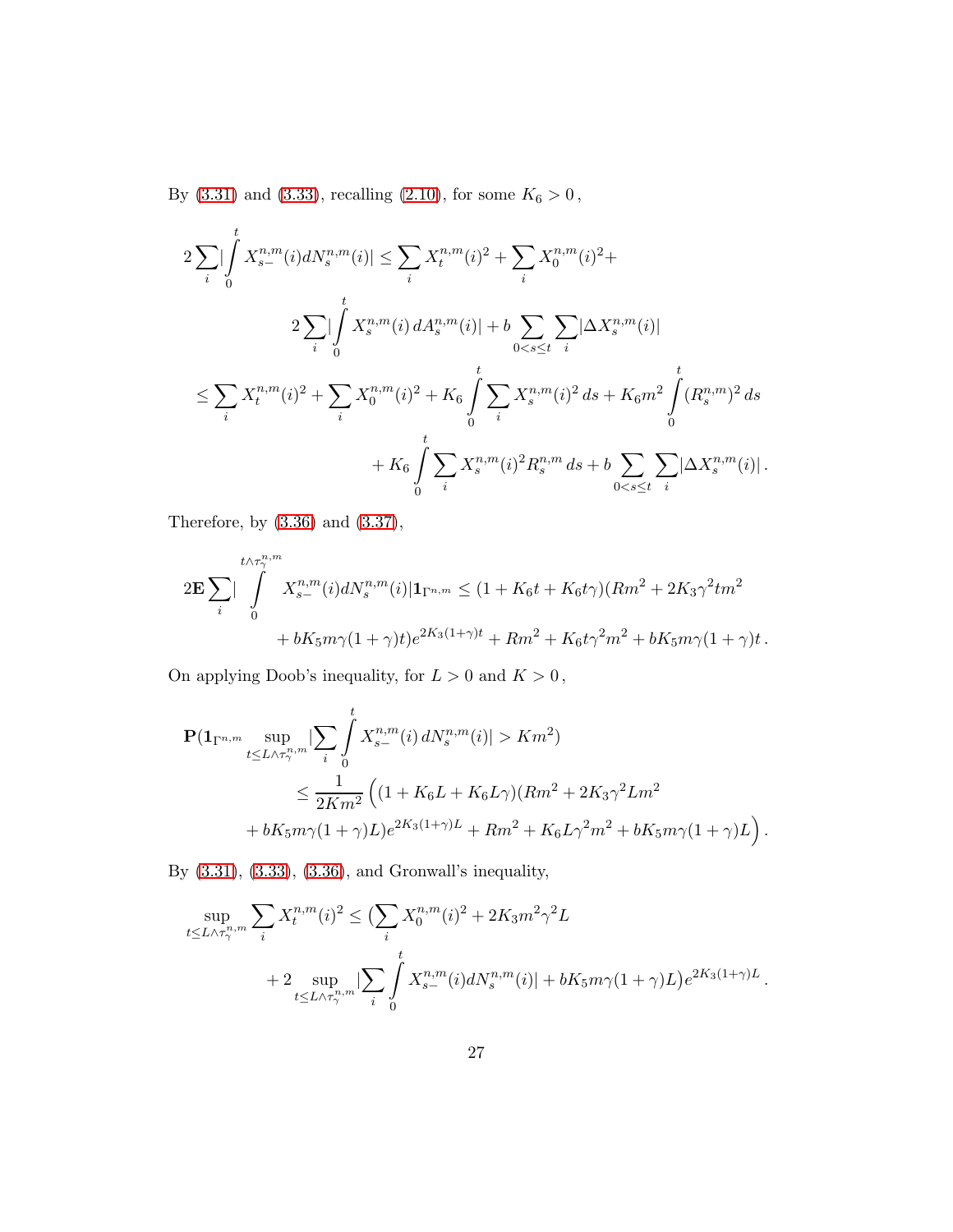By [\(3.31\)](#page-23-2) and [\(3.33\)](#page-24-1), recalling [\(2.10\)](#page-9-1), for some  $K_6>0\,,$ 

$$
2\sum_{i}\left|\int_{0}^{t} X_{s-}^{n,m}(i)dN_{s}^{n,m}(i)\right| \leq \sum_{i} X_{t}^{n,m}(i)^{2} + \sum_{i} X_{0}^{n,m}(i)^{2} +
$$
  

$$
2\sum_{i}\left|\int_{0}^{t} X_{s}^{n,m}(i)dA_{s}^{n,m}(i)\right| + b\sum_{0  

$$
\leq \sum_{i} X_{t}^{n,m}(i)^{2} + \sum_{i} X_{0}^{n,m}(i)^{2} + K_{6} \int_{0}^{t} \sum_{i} X_{s}^{n,m}(i)^{2} ds + K_{6}m^{2} \int_{0}^{t} (R_{s}^{n,m})^{2} ds
$$
  

$$
+ K_{6} \int_{0}^{t} \sum_{i} X_{s}^{n,m}(i)^{2} R_{s}^{n,m} ds + b \sum_{0
$$
$$

Therefore, by [\(3.36\)](#page-25-0) and [\(3.37\)](#page-25-1),

$$
2\mathbf{E}\sum_{i}\left|\int_{0}^{t\wedge\tau_{\gamma}^{n,m}}X_{s-}^{n,m}(i)dN_{s}^{n,m}(i)|\mathbf{1}_{\Gamma^{n,m}}\leq(1+K_{6}t+K_{6}t\gamma)(Rm^{2}+2K_{3}\gamma^{2}tm^{2}+bK_{5}m\gamma(1+\gamma)t)e^{2K_{3}(1+\gamma)t}+Rm^{2}+K_{6}t\gamma^{2}m^{2}+bK_{5}m\gamma(1+\gamma)t.
$$

On applying Doob's inequality, for  $L>0$  and  $K>0\,,$ 

$$
\begin{split} \mathbf{P}(\mathbf{1}_{\Gamma^{n,m}}\sup_{t\leq L\wedge\tau^{n,m}_{\gamma}}&|\sum_{i}\int\limits_{0}^{t}X^{n,m}_{s-}(i)\,dN^{n,m}_{s}(i)|>Km^{2})\\ &\leq \frac{1}{2Km^{2}}\left((1+K_{6}L+K_{6}L\gamma)(Rm^{2}+2K_{3}\gamma^{2}Lm^{2}\\ &+bK_{5}m\gamma(1+\gamma)L)e^{2K_{3}(1+\gamma)L}+Rm^{2}+K_{6}L\gamma^{2}m^{2}+bK_{5}m\gamma(1+\gamma)L\right). \end{split}
$$

By [\(3.31\)](#page-23-2), [\(3.33\)](#page-24-1), [\(3.36\)](#page-25-0), and Gronwall's inequality,

$$
\sup_{t \le L \wedge \tau_{\gamma}^{n,m}} \sum_{i} X_{t}^{n,m}(i)^{2} \le (\sum_{i} X_{0}^{n,m}(i)^{2} + 2K_{3}m^{2}\gamma^{2}L + 2 \sup_{t \le L \wedge \tau_{\gamma}^{n,m}} |\sum_{i} \int_{0}^{t} X_{s-}^{n,m}(i) dN_{s}^{n,m}(i)| + bK_{5}m\gamma(1+\gamma)L)e^{2K_{3}(1+\gamma)L}.
$$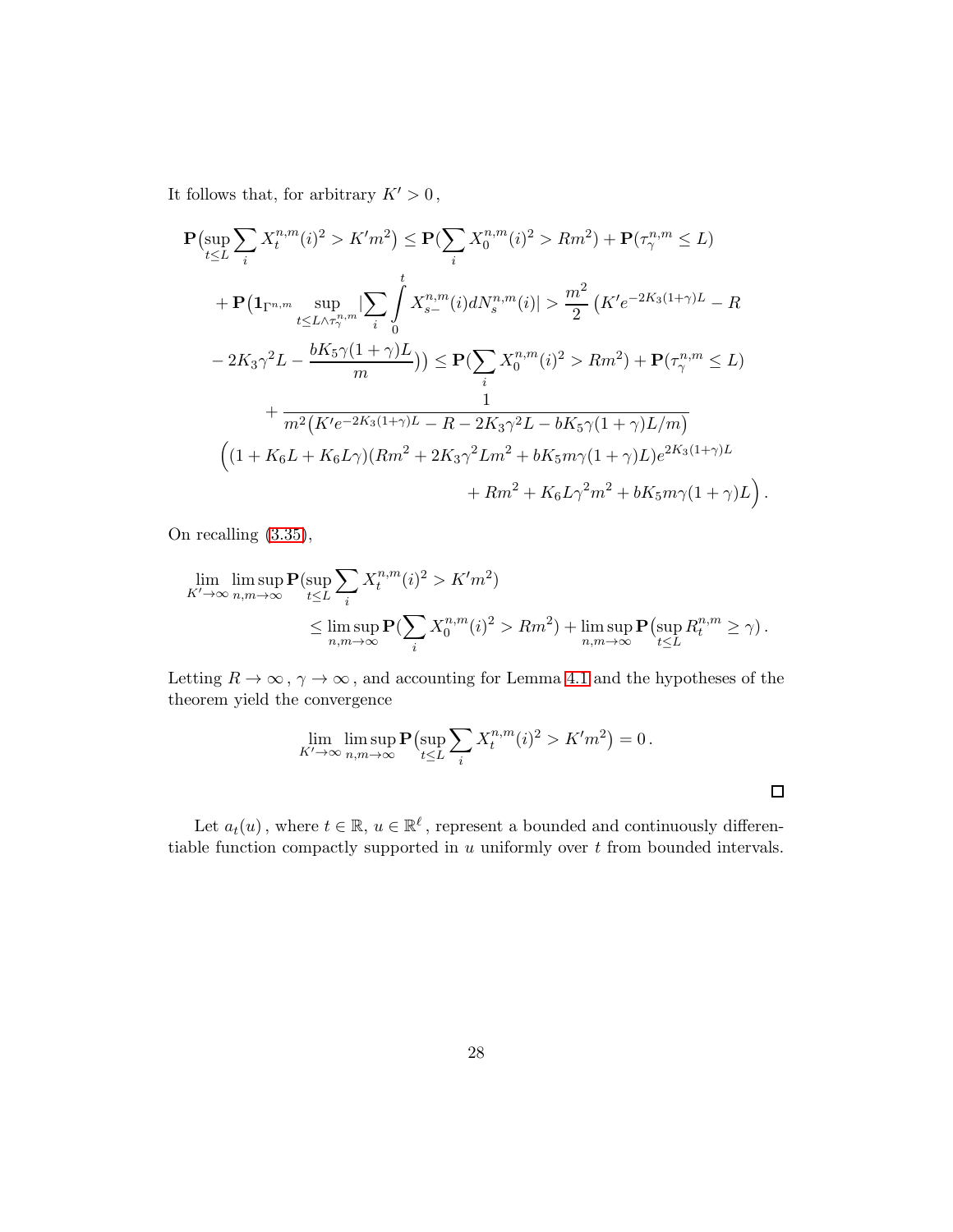It follows that, for arbitrary  $K' > 0$ ,

$$
\mathbf{P}(\sup_{t \le L} \sum_{i} X_{t}^{n,m}(i)^{2} > K'm^{2}) \le \mathbf{P}(\sum_{i} X_{0}^{n,m}(i)^{2} > Rm^{2}) + \mathbf{P}(\tau_{\gamma}^{n,m} \le L) \n+ \mathbf{P}(\mathbf{1}_{\Gamma^{n,m}} \sup_{t \le L \wedge \tau_{\gamma}^{n,m}} |\sum_{i} \int_{0}^{t} X_{s-}^{n,m}(i) dN_{s}^{n,m}(i)| > \frac{m^{2}}{2} \left( K'e^{-2K_{3}(1+\gamma)L} - R \n- 2K_{3}\gamma^{2}L - \frac{bK_{5}\gamma(1+\gamma)L}{m} \right) \le \mathbf{P}(\sum_{i} X_{0}^{n,m}(i)^{2} > Rm^{2}) + \mathbf{P}(\tau_{\gamma}^{n,m} \le L) \n+ \frac{1}{m^{2} \left( K'e^{-2K_{3}(1+\gamma)L} - R - 2K_{3}\gamma^{2}L - bK_{5}\gamma(1+\gamma)L/m \right)} \left( (1 + K_{6}L + K_{6}L\gamma)(Rm^{2} + 2K_{3}\gamma^{2}Lm^{2} + bK_{5}m\gamma(1+\gamma)L)e^{2K_{3}(1+\gamma)L} + Rm^{2} + K_{6}L\gamma^{2}m^{2} + bK_{5}m\gamma(1+\gamma)L \right)
$$

On recalling [\(3.35\)](#page-24-2),

$$
\lim_{K' \to \infty} \limsup_{n,m \to \infty} \mathbf{P}(\sup_{t \le L} \sum_{i} X_t^{n,m}(i)^2 > K'm^2)
$$
\n
$$
\le \limsup_{n,m \to \infty} \mathbf{P}(\sum_{i} X_0^{n,m}(i)^2 > Rm^2) + \limsup_{n,m \to \infty} \mathbf{P}(\sup_{t \le L} R_t^{n,m} \ge \gamma).
$$

.

 $\Box$ 

Letting  $R \to \infty$ ,  $\gamma \to \infty$ , and accounting for Lemma [4.1](#page-40-0) and the hypotheses of the theorem yield the convergence

$$
\lim_{K' \to \infty} \limsup_{n,m \to \infty} \mathbf{P} \left( \sup_{t \le L} \sum_i X_t^{n,m}(i)^2 > K'm^2 \right) = 0.
$$

Let  $a_t(u)$ , where  $t \in \mathbb{R}$ ,  $u \in \mathbb{R}^{\ell}$ , represent a bounded and continuously differentiable function compactly supported in  $u$  uniformly over  $t$  from bounded intervals.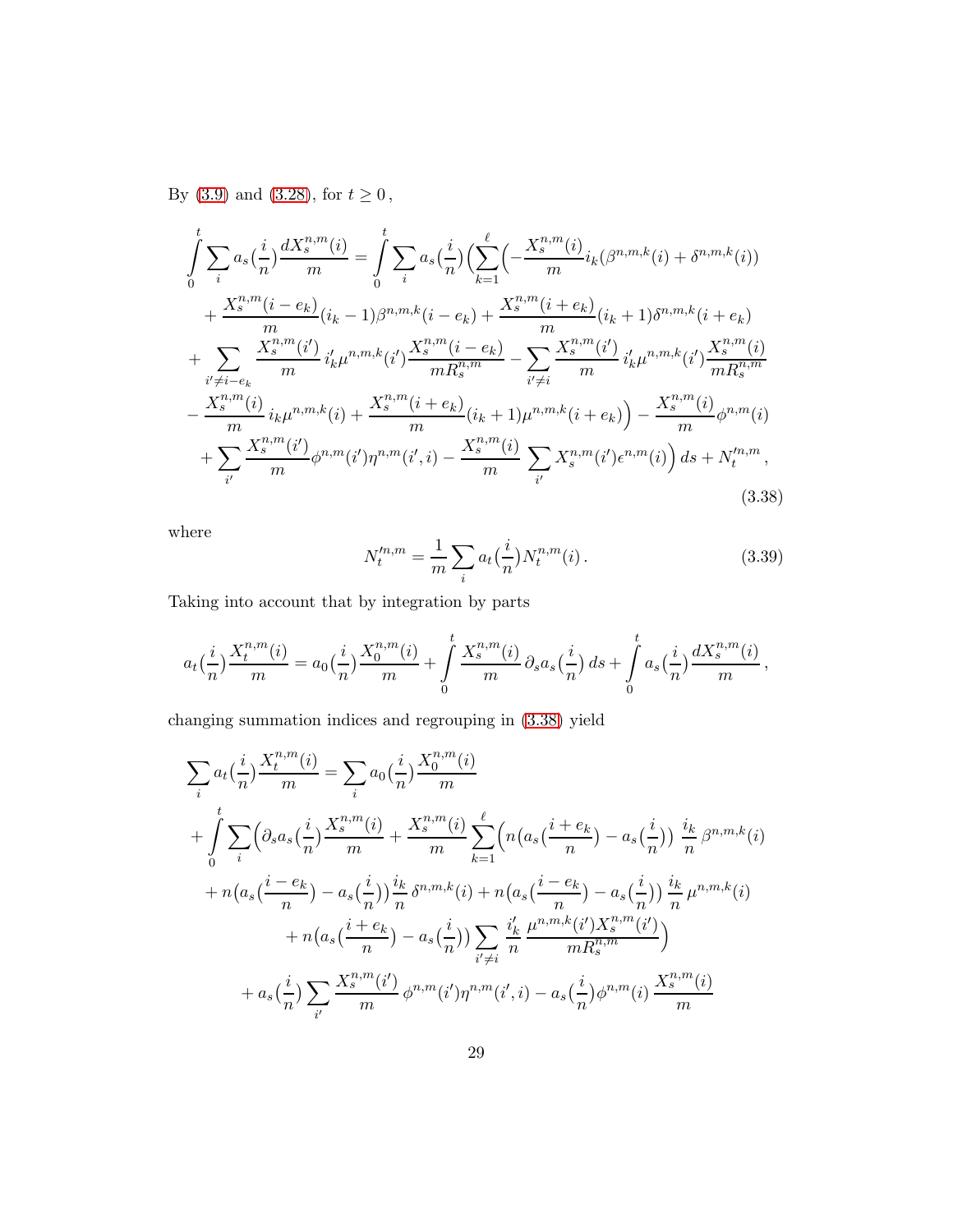By [\(3.9\)](#page-14-1) and [\(3.28\)](#page-22-0), for  $t\geq 0\,,$ 

$$
\int_{0}^{t} \sum_{i} a_{s} \left(\frac{i}{n}\right) \frac{dX_{s}^{n,m}(i)}{m} = \int_{0}^{t} \sum_{i} a_{s} \left(\frac{i}{n}\right) \left(\sum_{k=1}^{\ell} \left(-\frac{X_{s}^{n,m}(i)}{m} i_{k}(\beta^{n,m,k}(i) + \delta^{n,m,k}(i))\right)\right) \n+ \frac{X_{s}^{n,m}(i - e_{k})}{m} (i_{k} - 1)\beta^{n,m,k}(i - e_{k}) + \frac{X_{s}^{n,m}(i + e_{k})}{m} (i_{k} + 1)\delta^{n,m,k}(i + e_{k}) \n+ \sum_{i' \neq i - e_{k}} \frac{X_{s}^{n,m}(i')}{m} i'_{k} \mu^{n,m,k}(i') \frac{X_{s}^{n,m}(i - e_{k})}{mR_{s}^{n,m}} - \sum_{i' \neq i} \frac{X_{s}^{n,m}(i')}{m} i'_{k} \mu^{n,m,k}(i') \frac{X_{s}^{n,m}(i)}{mR_{s}^{n,m}} \n- \frac{X_{s}^{n,m}(i)}{m} i_{k} \mu^{n,m,k}(i) + \frac{X_{s}^{n,m}(i + e_{k})}{m} (i_{k} + 1) \mu^{n,m,k}(i + e_{k}) - \frac{X_{s}^{n,m}(i)}{m} \phi^{n,m}(i) \n+ \sum_{i'} \frac{X_{s}^{n,m}(i')}{m} \phi^{n,m}(i') \eta^{n,m}(i',i) - \frac{X_{s}^{n,m}(i)}{m} \sum_{i'} X_{s}^{n,m}(i') \epsilon^{n,m}(i) ds + N_{t}^{\prime n,m},
$$
\n(3.38)

where

<span id="page-28-1"></span><span id="page-28-0"></span>
$$
N_t^{m,m} = \frac{1}{m} \sum_i a_t \left(\frac{i}{n}\right) N_t^{n,m}(i) \,. \tag{3.39}
$$

Taking into account that by integration by parts

$$
a_t(\frac{i}{n})\frac{X_t^{n,m}(i)}{m} = a_0(\frac{i}{n})\frac{X_0^{n,m}(i)}{m} + \int\limits_0^t \frac{X_s^{n,m}(i)}{m} \partial_s a_s(\frac{i}{n}) ds + \int\limits_0^t a_s(\frac{i}{n})\frac{dX_s^{n,m}(i)}{m},
$$

changing summation indices and regrouping in [\(3.38\)](#page-28-0) yield

$$
\sum_{i} a_{t} \left(\frac{i}{n}\right) \frac{X_{t}^{n,m}(i)}{m} = \sum_{i} a_{0} \left(\frac{i}{n}\right) \frac{X_{0}^{n,m}(i)}{m} + \frac{X_{s}^{n,m}(i)}{m} + \frac{X_{s}^{n,m}(i)}{m} \sum_{k=1}^{\ell} \left(n\left(a_{s}\left(\frac{i+e_{k}}{n}\right) - a_{s}\left(\frac{i}{n}\right)\right) \frac{i_{k}}{n} \beta^{n,m,k}(i)\right) + n\left(a_{s}\left(\frac{i-e_{k}}{n}\right) - a_{s}\left(\frac{i}{n}\right)\right) \frac{i_{k}}{n} \delta^{n,m,k}(i) + n\left(a_{s}\left(\frac{i-e_{k}}{n}\right) - a_{s}\left(\frac{i}{n}\right)\right) \frac{i_{k}}{n} \mu^{n,m,k}(i) + n\left(a_{s}\left(\frac{i+e_{k}}{n}\right) - a_{s}\left(\frac{i}{n}\right)\right) \sum_{i'\neq i} \frac{i'_{k}}{n} \frac{\mu^{n,m,k}(i')X_{s}^{n,m}(i')}{mR_{s}^{n,m}} + a_{s}\left(\frac{i}{n}\right) \sum_{i'} \frac{X_{s}^{n,m}(i')}{m} \phi^{n,m}(i')\eta^{n,m}(i',i) - a_{s}\left(\frac{i}{n}\right) \phi^{n,m}(i) \frac{X_{s}^{n,m}(i)}{m}
$$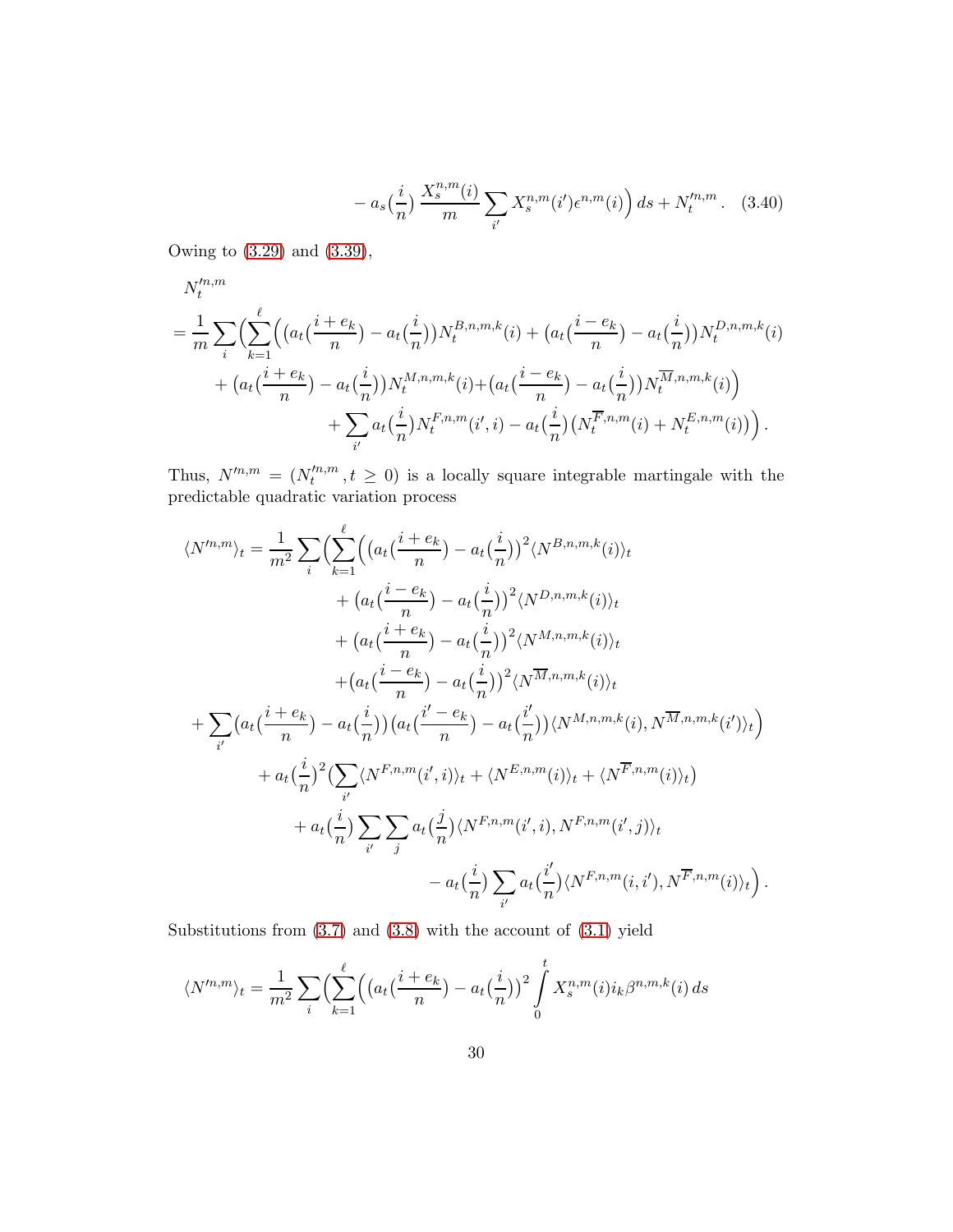<span id="page-29-0"></span>
$$
- a_s(\frac{i}{n}) \frac{X_s^{n,m}(i)}{m} \sum_{i'} X_s^{n,m}(i') \epsilon^{n,m}(i) ds + N_t^{\prime n,m}.
$$
 (3.40)

Owing to [\(3.29\)](#page-22-1) and [\(3.39\)](#page-28-1),

$$
N_t^{m,m}
$$
  
=  $\frac{1}{m} \sum_i \left( \sum_{k=1}^{\ell} \left( \left( a_t \left( \frac{i + e_k}{n} \right) - a_t \left( \frac{i}{n} \right) \right) N_t^{B,n,m,k}(i) + \left( a_t \left( \frac{i - e_k}{n} \right) - a_t \left( \frac{i}{n} \right) \right) N_t^{D,n,m,k}(i) + \left( a_t \left( \frac{i + e_k}{n} \right) - a_t \left( \frac{i}{n} \right) \right) N_t^{M,n,m,k}(i) + \left( a_t \left( \frac{i - e_k}{n} \right) - a_t \left( \frac{i}{n} \right) \right) N_t^{\overline{M},n,m,k}(i) \right) + \sum_{i'} a_t \left( \frac{i}{n} \right) N_t^{F,n,m}(i',i) - a_t \left( \frac{i}{n} \right) \left( N_t^{\overline{F},n,m}(i) + N_t^{E,n,m}(i) \right) \right).$ 

Thus,  $N'^{n,m} = (N'^{n,m}_t)$  $t^{m,m}, t \geq 0$  is a locally square integrable martingale with the predictable quadratic variation process

$$
\langle N^{m,m}\rangle_t = \frac{1}{m^2} \sum_i \Biggl( \sum_{k=1}^{\ell} \Bigl( \bigl( a_t \bigl( \frac{i+e_k}{n} \bigr) - a_t \bigl( \frac{i}{n} \bigr) \bigr)^2 \langle N^{B,n,m,k}(i) \rangle_t + \bigl( a_t \bigl( \frac{i-e_k}{n} \bigr) - a_t \bigl( \frac{i}{n} \bigr) \bigr)^2 \langle N^{D,n,m,k}(i) \rangle_t + \bigl( a_t \bigl( \frac{i+e_k}{n} \bigr) - a_t \bigl( \frac{i}{n} \bigr) \bigr)^2 \langle N^{M,n,m,k}(i) \rangle_t + \bigl( a_t \bigl( \frac{i-e_k}{n} \bigr) - a_t \bigl( \frac{i}{n} \bigr) \bigr)^2 \langle N^{\overline{M},n,m,k}(i) \rangle_t + \sum_{i'} \bigl( a_t \bigl( \frac{i+e_k}{n} \bigr) - a_t \bigl( \frac{i}{n} \bigr) \bigr) \bigl( a_t \bigl( \frac{i'-e_k}{n} \bigr) - a_t \bigl( \frac{i'}{n} \bigr) \bigl( N^{M,n,m,k}(i), N^{\overline{M},n,m,k}(i') \bigr)_t \bigr) + a_t \bigl( \frac{i}{n} \bigr)^2 \Bigl( \sum_{i'} \langle N^{F,n,m}(i',i) \rangle_t + \langle N^{E,n,m}(i) \rangle_t + \langle N^{\overline{F},n,m}(i) \rangle_t \bigr) + a_t \bigl( \frac{i}{n} \bigr) \sum_{i'} \sum_{j} a_t \bigl( \frac{j}{n} \bigr) \langle N^{F,n,m}(i',i), N^{F,n,m}(i',j) \rangle_t - a_t \bigl( \frac{i}{n} \bigr) \sum_{i'} a_t \bigl( \frac{i'}{n} \bigr) \langle N^{F,n,m}(i,i'), N^{\overline{F},n,m}(i) \rangle_t \Bigr) .
$$

Substitutions from [\(3.7\)](#page-14-0) and [\(3.8\)](#page-14-2) with the account of [\(3.1\)](#page-11-0) yield

$$
\langle N'^{n,m} \rangle_t = \frac{1}{m^2} \sum_i \Biggl( \sum_{k=1}^{\ell} \Bigl( \bigl( a_t \bigl( \frac{i + e_k}{n} \bigr) - a_t \bigl( \frac{i}{n} \bigr) \bigr)^2 \int_0^t X_s^{n,m}(i) i_k \beta^{n,m,k}(i) \, ds
$$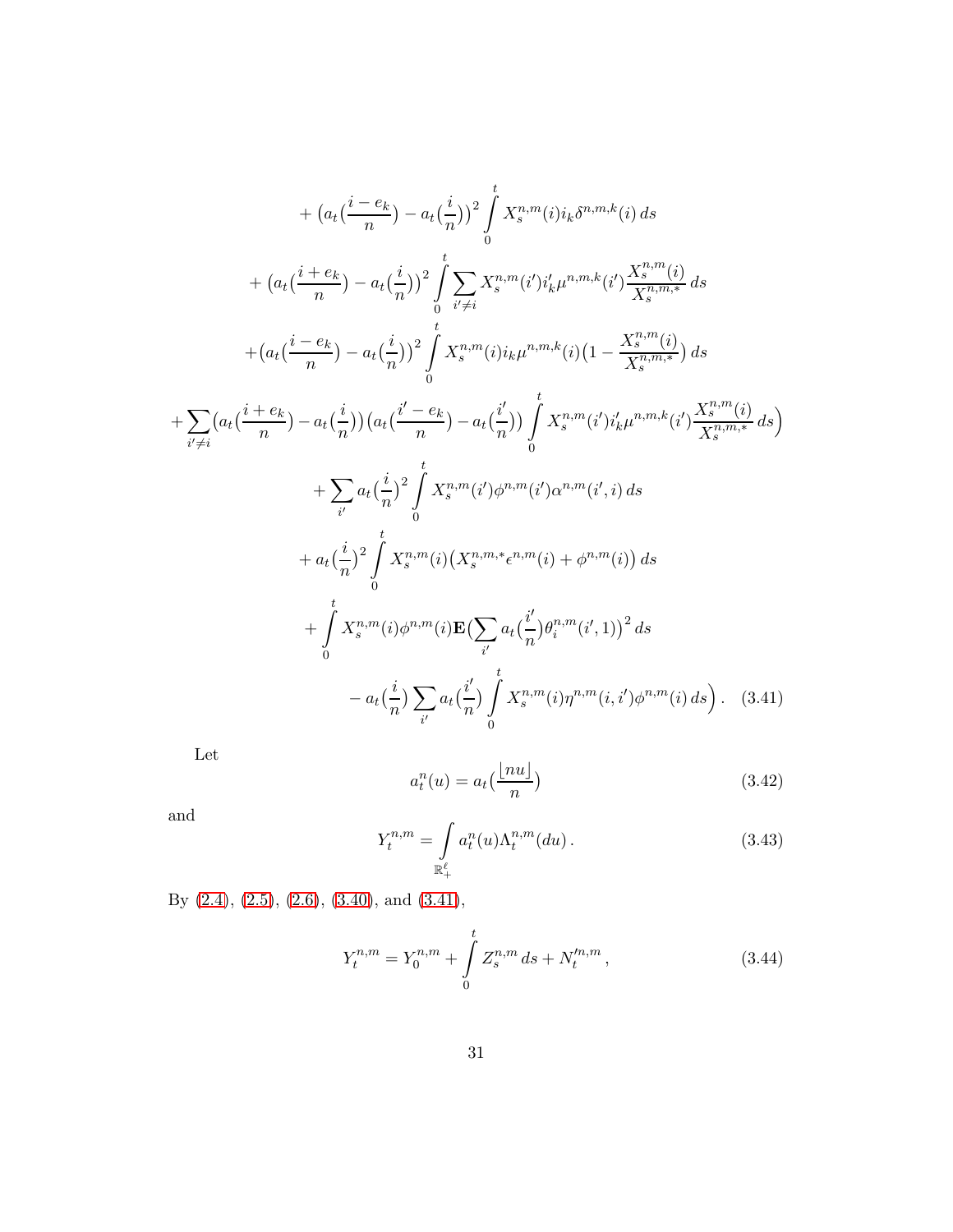$$
+ (a_{t}(\frac{i-e_{k}}{n}) - a_{t}(\frac{i}{n}))^{2} \int_{0}^{t} X_{s}^{n,m}(i)i_{k}\delta^{n,m,k}(i) ds
$$
  
+ 
$$
(a_{t}(\frac{i+e_{k}}{n}) - a_{t}(\frac{i}{n}))^{2} \int_{0}^{t} \sum_{i'\neq i} X_{s}^{n,m}(i')i'_{k}\mu^{n,m,k}(i') \frac{X_{s}^{n,m}(i)}{X_{s}^{n,m,*}} ds
$$
  
+ 
$$
(a_{t}(\frac{i-e_{k}}{n}) - a_{t}(\frac{i}{n}))^{2} \int_{0}^{t} X_{s}^{n,m}(i)i_{k}\mu^{n,m,k}(i)(1 - \frac{X_{s}^{n,m}(i)}{X_{s}^{n,m,*}}) ds
$$
  
+ 
$$
\sum_{i'\neq i} (a_{t}(\frac{i+e_{k}}{n}) - a_{t}(\frac{i}{n})) (a_{t}(\frac{i'-e_{k}}{n}) - a_{t}(\frac{i'}{n})) \int_{0}^{t} X_{s}^{n,m}(i')i'_{k}\mu^{n,m,k}(i') \frac{X_{s}^{n,m}(i)}{X_{s}^{n,m,*}} ds)
$$
  
+ 
$$
\sum_{i'} a_{t}(\frac{i}{n})^{2} \int_{0}^{t} X_{s}^{n,m}(i')\phi^{n,m}(i')\alpha^{n,m}(i',i) ds
$$
  
+ 
$$
a_{t}(\frac{i}{n})^{2} \int_{0}^{t} X_{s}^{n,m}(i)(X_{s}^{n,m,*}e^{n,m}(i) + \phi^{n,m}(i)) ds
$$
  
+ 
$$
\int_{0}^{t} X_{s}^{n,m}(i)\phi^{n,m}(i)\mathbf{E}(\sum_{i'} a_{t}(\frac{i'}{n})\theta_{i}^{n,m}(i',1))^{2} ds
$$
  
- 
$$
a_{t}(\frac{i}{n}) \sum_{i'} a_{t}(\frac{i'}{n}) \int_{0}^{t} X_{s}^{n,m}(i)\eta^{n,m}(i,i')\phi^{n,m}(i) ds).
$$
 (3.41)

Let

<span id="page-30-1"></span><span id="page-30-0"></span>
$$
a_t^n(u) = a_t\left(\frac{\lfloor nu \rfloor}{n}\right) \tag{3.42}
$$

and

<span id="page-30-2"></span>
$$
Y_t^{n,m} = \int_{\mathbb{R}_+^{\ell}} a_t^n(u) \Lambda_t^{n,m}(du).
$$
 (3.43)

By [\(2.4\)](#page-6-0), [\(2.5\)](#page-7-2), [\(2.6\)](#page-7-0), [\(3.40\)](#page-29-0), and [\(3.41\)](#page-30-0),

<span id="page-30-3"></span>
$$
Y_t^{n,m} = Y_0^{n,m} + \int_0^t Z_s^{n,m} \, ds + N_t'^{n,m},\tag{3.44}
$$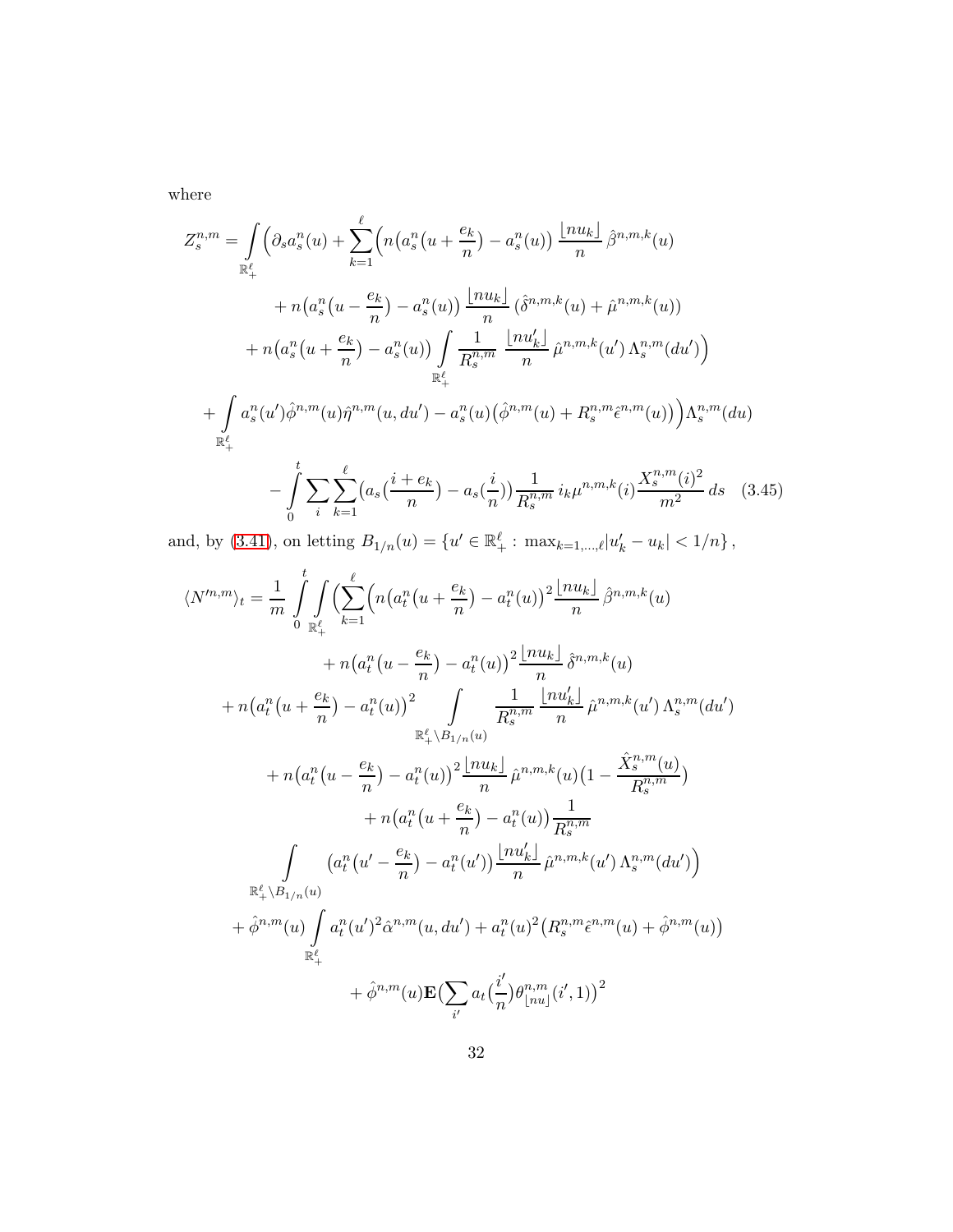where

$$
Z_{s}^{n,m} = \int_{\mathbb{R}^{2}_{+}} \left( \partial_{s} a_{s}^{n}(u) + \sum_{k=1}^{\ell} \left( n \left( a_{s}^{n}(u + \frac{e_{k}}{n}) - a_{s}^{n}(u) \right) \frac{\lfloor nu_{k} \rfloor}{n} \hat{\beta}^{n,m,k}(u) \right. \right. \\
\left. + n \left( a_{s}^{n}(u - \frac{e_{k}}{n}) - a_{s}^{n}(u) \right) \frac{\lfloor nu_{k} \rfloor}{n} \left( \hat{\delta}^{n,m,k}(u) + \hat{\mu}^{n,m,k}(u) \right) \right. \\
\left. + n \left( a_{s}^{n}(u + \frac{e_{k}}{n}) - a_{s}^{n}(u) \right) \int_{\mathbb{R}^{2}_{+}} \frac{1}{R_{s}^{n,m}} \frac{\lfloor nu_{k}' \rfloor}{n} \hat{\mu}^{n,m,k}(u') \Lambda_{s}^{n,m}(du') \right) \\
+ \int_{\mathbb{R}^{2}_{+}} a_{s}^{n}(u') \hat{\phi}^{n,m}(u) \hat{\eta}^{n,m}(u, du') - a_{s}^{n}(u) \left( \hat{\phi}^{n,m}(u) + R_{s}^{n,m} \hat{\epsilon}^{n,m}(u) \right) \right) \Lambda_{s}^{n,m}(du) \\
- \int_{0}^{t} \sum_{i} \sum_{k=1}^{\ell} \left( a_{s} \left( \frac{i + e_{k}}{n} \right) - a_{s} \left( \frac{i}{n} \right) \right) \frac{1}{R_{s}^{n,m}} i_{k} \mu^{n,m,k}(i) \frac{X_{s}^{n,m}(i)^{2}}{m^{2}} ds \quad (3.45)
$$

and, by [\(3.41\)](#page-30-0), on letting  $B_{1/n}(u) = \{u' \in \mathbb{R}_+^{\ell} : \max_{k=1,\dots,\ell} |u'_k - u_k| < 1/n\}$ ,

<span id="page-31-0"></span>
$$
\langle N^{m,m} \rangle_{t} = \frac{1}{m} \int_{0}^{t} \int_{\mathbb{R}_{+}^{\ell}} \left( \sum_{k=1}^{\ell} \left( n \left( a_{t}^{n} \left( u + \frac{e_{k}}{n} \right) - a_{t}^{n} \left( u \right) \right)^{2} \frac{\lfloor n u_{k} \rfloor}{n} \hat{\beta}^{n,m,k}(u) \right. \right. \\
\left. + n \left( a_{t}^{n} \left( u - \frac{e_{k}}{n} \right) - a_{t}^{n} \left( u \right) \right)^{2} \int_{\mathbb{R}_{+}^{\ell}} \frac{1}{R_{s}^{n,m}} \frac{\lfloor n u'_{k} \rfloor}{n} \hat{\mu}^{n,m,k}(u) \Lambda_{s}^{n,m}(du') \right. \\
\left. + n \left( a_{t}^{n} \left( u + \frac{e_{k}}{n} \right) - a_{t}^{n} \left( u \right) \right)^{2} \int_{\mathbb{R}_{+}^{\ell}} \frac{1}{R_{s}^{n,m}} \frac{\lfloor n u'_{k} \rfloor}{n} \hat{\mu}^{n,m,k}(u') \Lambda_{s}^{n,m}(du') \right. \\
\left. + n \left( a_{t}^{n} \left( u - \frac{e_{k}}{n} \right) - a_{t}^{n} \left( u \right) \right)^{2} \frac{\lfloor n u_{k} \rfloor}{n} \hat{\mu}^{n,m,k}(u) \left( 1 - \frac{\hat{X}_{s}^{n,m}(u)}{R_{s}^{n,m}} \right) \right. \\
\left. + n \left( a_{t}^{n} \left( u + \frac{e_{k}}{n} \right) - a_{t}^{n} \left( u \right) \right) \frac{1}{R_{s}^{n,m}} \right. \\
\left. \int_{\mathbb{R}_{+}^{\ell}} \left( a_{t}^{n} \left( u' - \frac{e_{k}}{n} \right) - a_{t}^{n} \left( u' \right) \right) \frac{\lfloor n u'_{k} \rfloor}{n} \hat{\mu}^{n,m,k}(u') \Lambda_{s}^{n,m}(du') \right) \right. \\
\left. + \hat{\phi}^{n,m}(u) \int_{\mathbb{R}_{+}^{\ell}} a_{t}^{n} \left( u' \right)^{2} \hat{\alpha}^{n,m}(u,du') + \
$$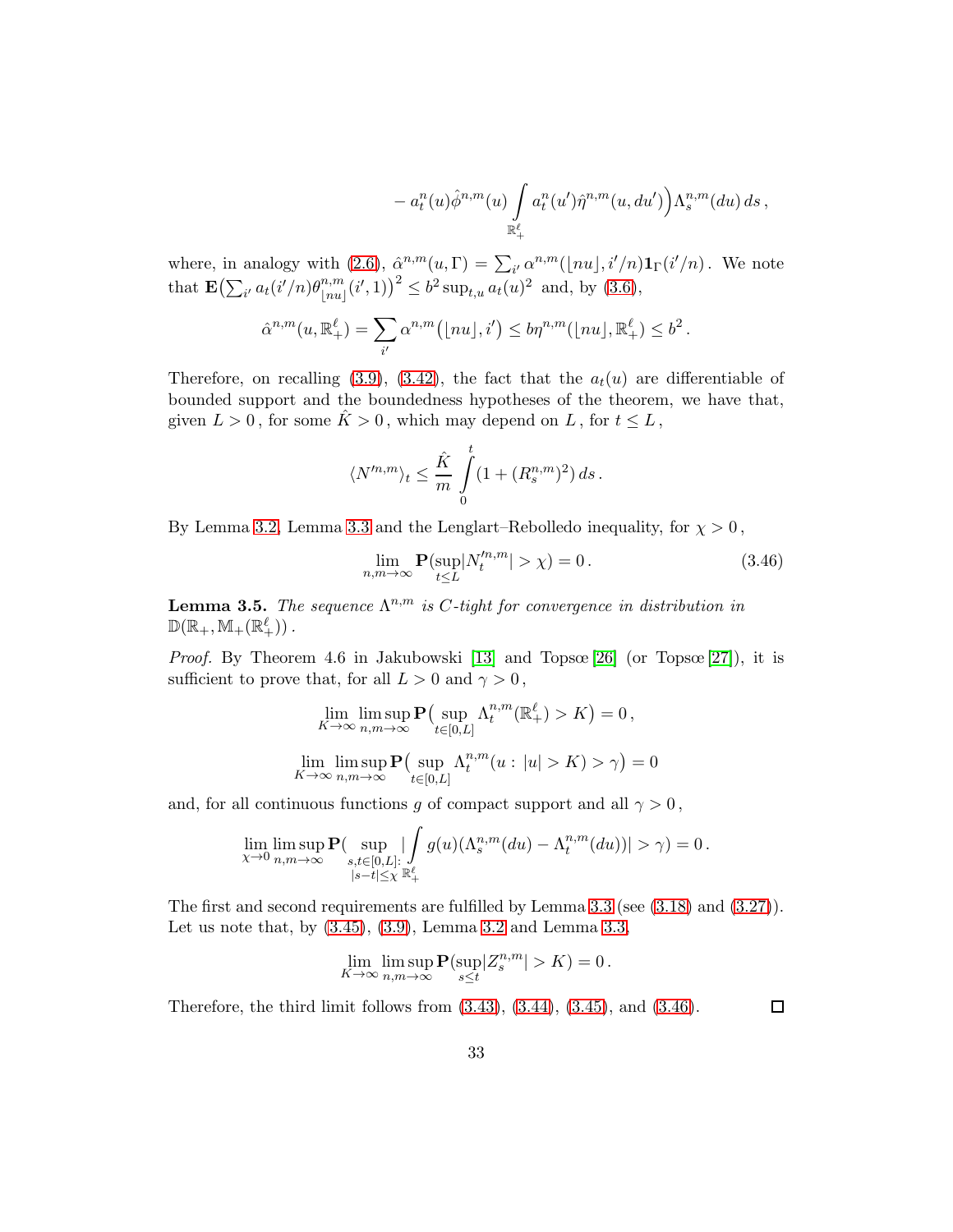$$
- a_t^n(u)\hat{\phi}^{n,m}(u) \int\limits_{\mathbb{R}_+^{\ell}} a_t^n(u') \hat{\eta}^{n,m}(u,du') \Big) \Lambda_s^{n,m}(du) ds,
$$

where, in analogy with [\(2.6\)](#page-7-0),  $\hat{\alpha}^{n,m}(u,\Gamma) = \sum_{i'} \alpha^{n,m}(|nu|, i'/n) \mathbf{1}_{\Gamma}(i'/n)$ . We note that  $\mathbf{E} \left( \sum_{i'} a_t(i'/n) \theta_{\parallel nu}^{n,m} \right)$  $\binom{n,m}{|nu|}(i',1)^2 \leq b^2 \sup_{t,u} a_t(u)^2$  and, by  $(3.6)$ ,

$$
\hat{\alpha}^{n,m}(u,\mathbb{R}^{\ell}_{+})=\sum_{i'}\alpha^{n,m}(\lfloor nu\rfloor,i')\le b\eta^{n,m}(\lfloor nu\rfloor,\mathbb{R}^{\ell}_{+})\le b^2.
$$

Therefore, on recalling [\(3.9\)](#page-14-1), [\(3.42\)](#page-30-1), the fact that the  $a_t(u)$  are differentiable of bounded support and the boundedness hypotheses of the theorem, we have that, given  $L > 0$ , for some  $\hat{K} > 0$ , which may depend on L, for  $t \leq L$ ,

$$
\langle N'^{n,m}\rangle_t \leq \frac{\hat{K}}{m} \int\limits_0^t (1+(R^{n,m}_s)^2)\,ds\,.
$$

By Lemma [3.2,](#page-15-5) Lemma [3.3](#page-19-2) and the Lenglart–Rebolledo inequality, for  $\chi > 0$ ,

<span id="page-32-0"></span>
$$
\lim_{n,m \to \infty} \mathbf{P}(\sup_{t \le L} |N_t^{m,m}| > \chi) = 0.
$$
\n(3.46)

<span id="page-32-1"></span>**Lemma 3.5.** The sequence  $\Lambda^{n,m}$  is C-tight for convergence in distribution in  $\mathbb{D}(\mathbb{R}_+, \mathbb{M}_+(\mathbb{R}^\ell_+))$  .

*Proof.* By Theorem 4.6 in Jakubowski [\[13\]](#page-46-6) and Topsœ [\[26\]](#page-47-11) (or Topsœ [\[27\]](#page-47-10)), it is sufficient to prove that, for all  $L > 0$  and  $\gamma > 0$ ,

$$
\lim_{K \to \infty} \limsup_{n,m \to \infty} \mathbf{P} \left( \sup_{t \in [0,L]} \Lambda_t^{n,m}(\mathbb{R}^\ell_+) > K \right) = 0,
$$
  

$$
\lim_{K \to \infty} \limsup_{n,m \to \infty} \mathbf{P} \left( \sup_{t \in [0,L]} \Lambda_t^{n,m}(u : |u| > K) > \gamma \right) = 0
$$

and, for all continuous functions g of compact support and all  $\gamma > 0$ ,

$$
\lim_{\chi \to 0} \limsup_{n,m \to \infty} \mathbf{P}(\sup_{\substack{s,t \in [0,L]:\\|s-t| \leq \chi}} |\int_{\mathbb{R}^{\ell}_{+}} g(u)(\Lambda_{s}^{n,m}(du) - \Lambda_{t}^{n,m}(du))| > \gamma) = 0.
$$

The first and second requirements are fulfilled by Lemma [3.3](#page-19-2) (see [\(3.18\)](#page-17-2) and [\(3.27\)](#page-21-1)). Let us note that, by  $(3.45)$ ,  $(3.9)$ , Lemma [3.2](#page-15-5) and Lemma [3.3,](#page-19-2)

$$
\lim_{K \to \infty} \limsup_{n,m \to \infty} \mathbf{P}(\sup_{s \le t} |Z_s^{n,m}| > K) = 0.
$$

Therefore, the third limit follows from [\(3.43\)](#page-30-2), [\(3.44\)](#page-30-3), [\(3.45\)](#page-31-0), and [\(3.46\)](#page-32-0).

 $\Box$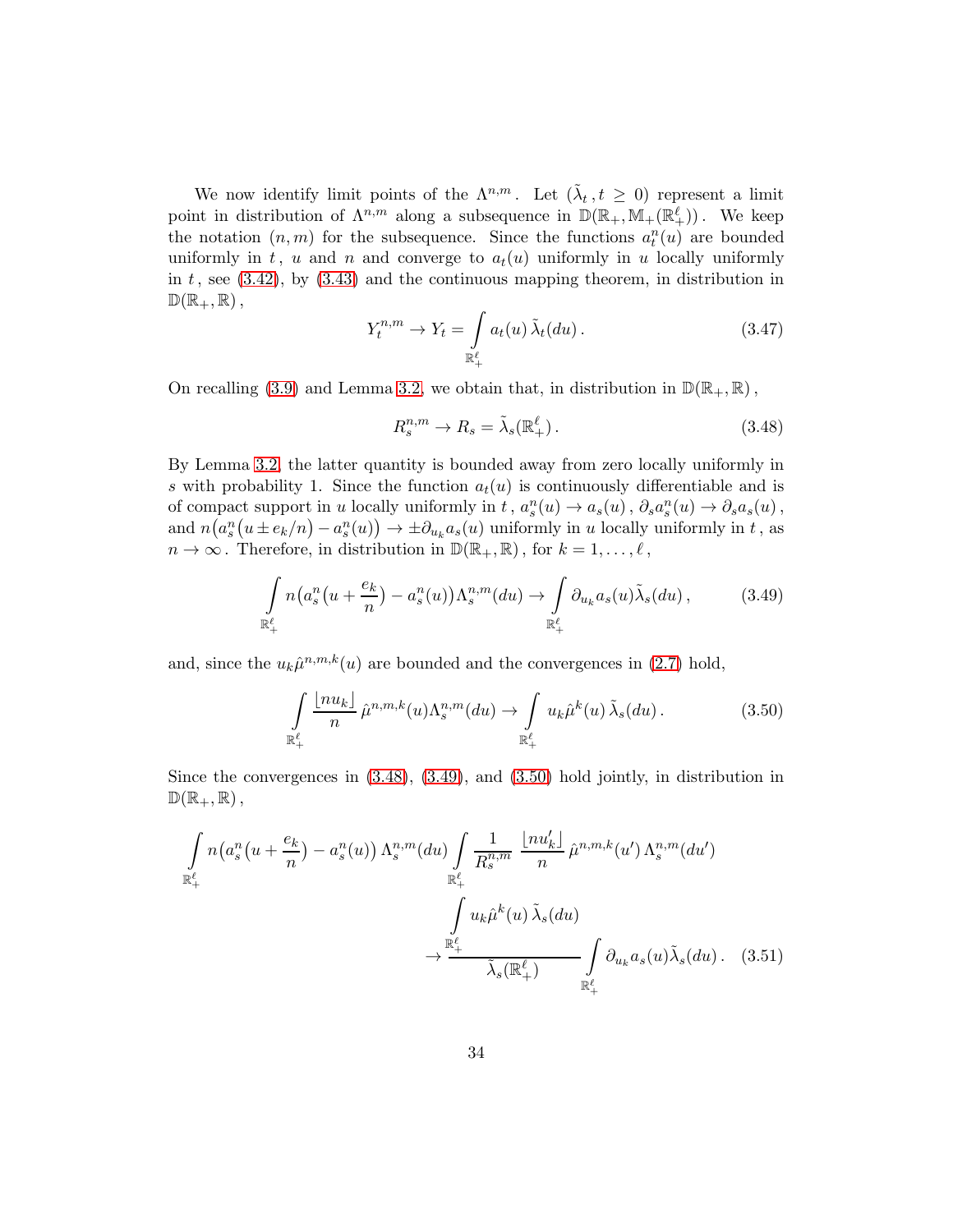We now identify limit points of the  $\Lambda^{n,m}$ . Let  $(\tilde{\lambda}_t, t \geq 0)$  represent a limit point in distribution of  $\Lambda^{n,m}$  along a subsequence in  $\mathbb{D}(\mathbb{R}_+, \mathbb{M}_+(\mathbb{R}^\ell_+))$ . We keep the notation  $(n, m)$  for the subsequence. Since the functions  $a_t^n(u)$  are bounded uniformly in t, u and n and converge to  $a_t(u)$  uniformly in u locally uniformly in t, see  $(3.42)$ , by  $(3.43)$  and the continuous mapping theorem, in distribution in  $\mathbb{D}(\mathbb{R}_+,\mathbb{R})$ ,

<span id="page-33-4"></span>
$$
Y_t^{n,m} \to Y_t = \int\limits_{\mathbb{R}_+^{\ell}} a_t(u) \, \tilde{\lambda}_t(du). \tag{3.47}
$$

On recalling [\(3.9\)](#page-14-1) and Lemma [3.2,](#page-15-5) we obtain that, in distribution in  $\mathbb{D}(\mathbb{R}_+, \mathbb{R})$ ,

<span id="page-33-0"></span>
$$
R_s^{n,m} \to R_s = \tilde{\lambda}_s(\mathbb{R}^\ell_+).
$$
\n(3.48)

By Lemma [3.2,](#page-15-5) the latter quantity is bounded away from zero locally uniformly in s with probability 1. Since the function  $a_t(u)$  is continuously differentiable and is of compact support in u locally uniformly in t,  $a_s^n(u) \to a_s(u)$ ,  $\partial_s a_s^n(u) \to \partial_s a_s(u)$ , and  $n(a_s^n(u \pm e_k/n) - a_s^n(u)) \to \pm \partial_{u_k} a_s(u)$  uniformly in u locally uniformly in t, as  $n \to \infty$ . Therefore, in distribution in  $\mathbb{D}(\mathbb{R}_+, \mathbb{R})$ , for  $k = 1, \ldots, \ell$ ,

<span id="page-33-1"></span>
$$
\int_{\mathbb{R}^{\ell}_+} n\big(a_s^n(u+\frac{e_k}{n})-a_s^n(u)\big)\Lambda_s^{n,m}(du)\to \int_{\mathbb{R}^{\ell}_+} \partial_{u_k} a_s(u)\tilde{\lambda}_s(du)\,,\tag{3.49}
$$

and, since the  $u_k\hat{\mu}^{n,m,k}(u)$  are bounded and the convergences in [\(2.7\)](#page-7-1) hold,

<span id="page-33-3"></span><span id="page-33-2"></span>
$$
\int_{\mathbb{R}^{\ell}_+} \frac{\lfloor nu_k \rfloor}{n} \,\hat{\mu}^{n,m,k}(u) \Lambda_s^{n,m}(du) \to \int_{\mathbb{R}^{\ell}_+} u_k \hat{\mu}^k(u) \,\tilde{\lambda}_s(du) \,. \tag{3.50}
$$

Since the convergences in [\(3.48\)](#page-33-0), [\(3.49\)](#page-33-1), and [\(3.50\)](#page-33-2) hold jointly, in distribution in  $\mathbb{D}(\mathbb{R}_+,\mathbb{R})$ ,

$$
\int_{\mathbb{R}^{\ell}_{+}} n\big(a_{s}^{n}(u+\frac{e_{k}}{n})-a_{s}^{n}(u)\big) \Lambda_{s}^{n,m}(du) \int_{\mathbb{R}^{\ell}_{+}} \frac{1}{R_{s}^{n,m}} \frac{\lfloor nu'_{k}\rfloor}{n} \hat{\mu}^{n,m,k}(u') \Lambda_{s}^{n,m}(du')
$$
\n
$$
\to \frac{\int_{\mathbb{R}^{\ell}_{+}} u_{k}\hat{\mu}^{k}(u) \tilde{\lambda}_{s}(du)}{\tilde{\lambda}_{s}(\mathbb{R}^{\ell}_{+})} \int_{\mathbb{R}^{\ell}_{+}} \partial_{u_{k}} a_{s}(u) \tilde{\lambda}_{s}(du). \quad (3.51)
$$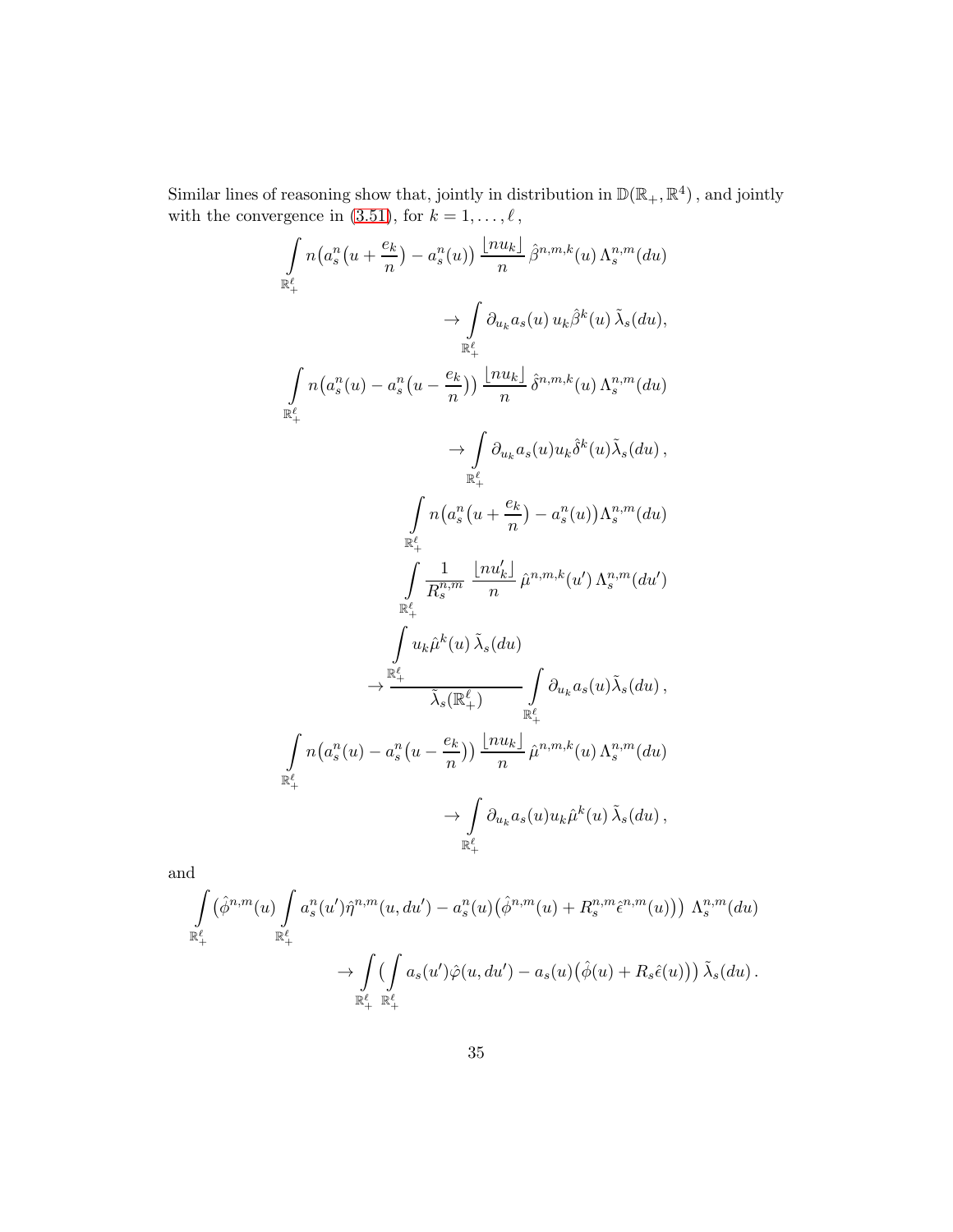Similar lines of reasoning show that, jointly in distribution in  $\mathbb{D}(\mathbb{R}_+, \mathbb{R}^4)$ , and jointly with the convergence in  $(3.51)$ , for  $k = 1, \ldots, \ell$ ,

$$
\int_{\mathbb{R}^{\ell}_{+}} n\left(a_{s}^{n}(u + \frac{e_{k}}{n}) - a_{s}^{n}(u)\right) \frac{\left[nu_{k}\right]}{n} \hat{\beta}^{n,m,k}(u) \Lambda_{s}^{n,m}(du)
$$
\n
$$
\rightarrow \int_{\mathbb{R}^{\ell}_{+}} \partial_{u_{k}} a_{s}(u) u_{k} \hat{\beta}^{k}(u) \tilde{\lambda}_{s}(du),
$$
\n
$$
\int_{\mathbb{R}^{\ell}_{+}} n\left(a_{s}^{n}(u) - a_{s}^{n}(u - \frac{e_{k}}{n})\right) \frac{\left[nu_{k}\right]}{n} \hat{\delta}^{n,m,k}(u) \Lambda_{s}^{n,m}(du)
$$
\n
$$
\rightarrow \int_{\mathbb{R}^{\ell}_{+}} \partial_{u_{k}} a_{s}(u) u_{k} \hat{\delta}^{k}(u) \tilde{\lambda}_{s}(du),
$$
\n
$$
\int_{\mathbb{R}^{\ell}_{+}} n\left(a_{s}^{n}(u + \frac{e_{k}}{n}) - a_{s}^{n}(u)\right) \Lambda_{s}^{n,m}(du)
$$
\n
$$
\rightarrow \int_{\mathbb{R}^{\ell}_{+}} \frac{1}{R_{s}^{n,m}} \frac{\left[nu_{k}'\right]}{n} \hat{\mu}^{n,m,k}(u') \Lambda_{s}^{n,m}(du')
$$
\n
$$
\rightarrow \int_{\mathbb{R}^{\ell}_{+}} u_{k} \hat{\mu}^{k}(u) \tilde{\lambda}_{s}(du)
$$
\n
$$
\rightarrow \int_{\mathbb{R}^{\ell}_{+}} \partial_{u_{k}} a_{s}(u) \tilde{\lambda}_{s}(du),
$$
\n
$$
\int_{\mathbb{R}^{\ell}_{+}} n\left(a_{s}^{n}(u) - a_{s}^{n}(u - \frac{e_{k}}{n})\right) \frac{\left[nu_{k}\right]}{n} \hat{\mu}^{n,m,k}(u) \Lambda_{s}^{n,m}(du)
$$
\n
$$
\rightarrow \int_{\mathbb{R}^{\ell}_{+}} \partial_{u_{k}} a_{s}(u) u_{k} \hat{\mu}^{k}(u) \tilde{\lambda}_{s}(du),
$$

and

$$
\int_{\mathbb{R}^{\ell}_{+}} \left( \hat{\phi}^{n,m}(u) \int_{\mathbb{R}^{\ell}_{+}} a_{s}^{n}(u') \hat{\eta}^{n,m}(u,du') - a_{s}^{n}(u) \left( \hat{\phi}^{n,m}(u) + R_{s}^{n,m} \hat{\epsilon}^{n,m}(u) \right) \right) \Lambda_{s}^{n,m}(du) \n\to \int_{\mathbb{R}^{\ell}_{+}} \left( \int_{\mathbb{R}^{\ell}_{+}} a_{s}(u') \hat{\varphi}(u,du') - a_{s}(u) \left( \hat{\phi}(u) + R_{s} \hat{\epsilon}(u) \right) \right) \tilde{\lambda}_{s}(du).
$$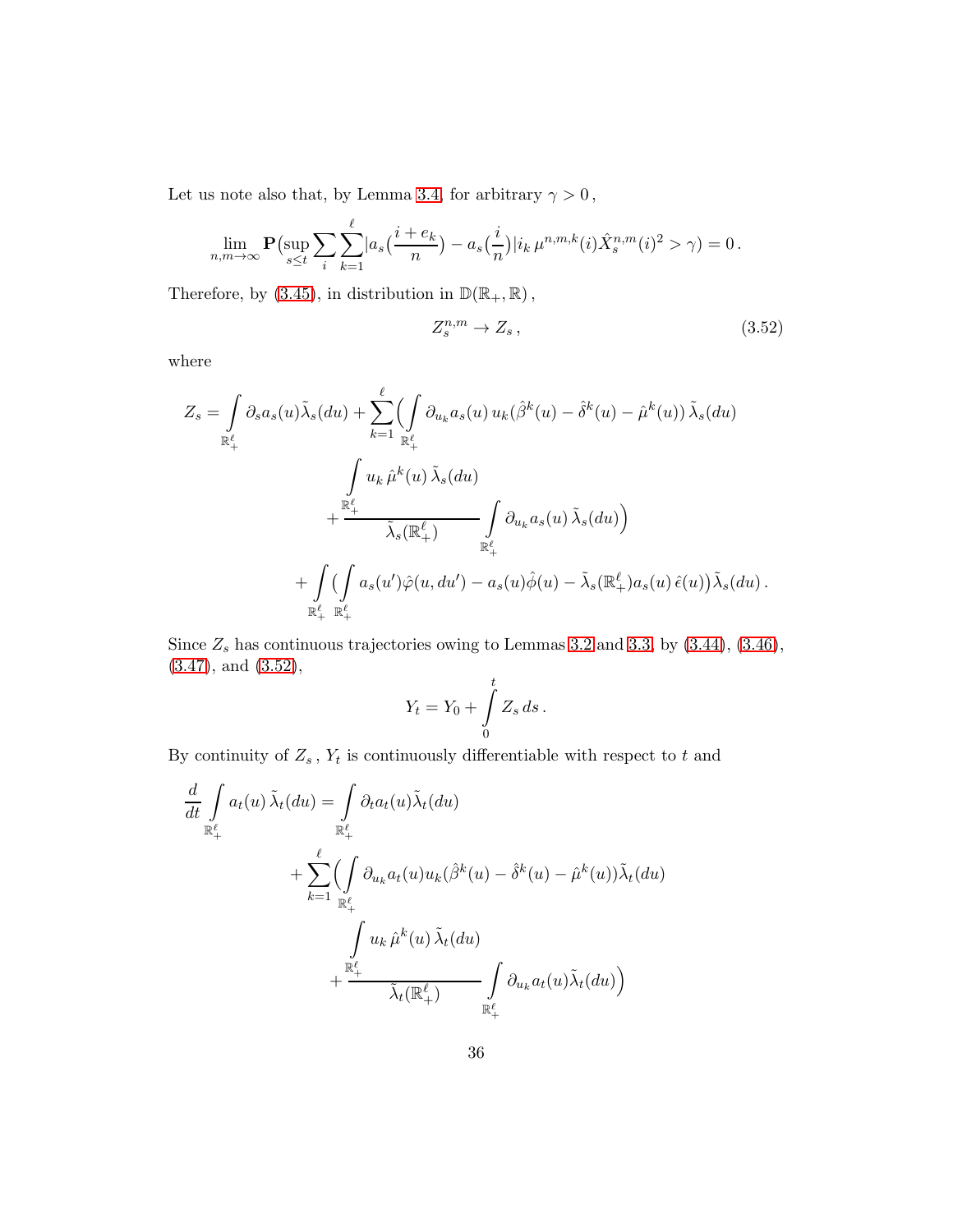Let us note also that, by Lemma [3.4,](#page-23-3) for arbitrary  $\gamma>0\,,$ 

$$
\lim_{n,m \to \infty} \mathbf{P}(\sup_{s \le t} \sum_{i} \sum_{k=1}^{\ell} |a_s(\frac{i + e_k}{n}) - a_s(\frac{i}{n})| i_k \,\mu^{n,m,k}(i) \hat{X}_s^{n,m}(i)^2 > \gamma) = 0.
$$

Therefore, by [\(3.45\)](#page-31-0), in distribution in  $\mathbb{D}(\mathbb{R}_+,\mathbb{R})\,,$ 

<span id="page-35-0"></span>
$$
Z_s^{n,m} \to Z_s \,,\tag{3.52}
$$

where

$$
Z_s = \int_{\mathbb{R}_+^{\ell}} \partial_s a_s(u) \tilde{\lambda}_s(du) + \sum_{k=1}^{\ell} \left( \int_{\mathbb{R}_+^{\ell}} \partial_{u_k} a_s(u) u_k(\hat{\beta}^k(u) - \hat{\delta}^k(u) - \hat{\mu}^k(u)) \tilde{\lambda}_s(du) \right. \\ \left. + \frac{\sum_{k=1}^{\ell} u_k \hat{\mu}^k(u) \tilde{\lambda}_s(du)}{\tilde{\lambda}_s(\mathbb{R}_+^{\ell})} \int_{\mathbb{R}_+^{\ell}} \partial_{u_k} a_s(u) \tilde{\lambda}_s(du) \right) \\ + \int_{\mathbb{R}_+^{\ell}} \left( \int_{\mathbb{R}_+^{\ell}} a_s(u') \hat{\varphi}(u, du') - a_s(u) \hat{\varphi}(u) - \tilde{\lambda}_s(\mathbb{R}_+^{\ell}) a_s(u) \hat{\epsilon}(u) \right) \tilde{\lambda}_s(du).
$$

Since  $Z_s$  has continuous trajectories owing to Lemmas [3.2](#page-15-5) and [3.3,](#page-19-2) by [\(3.44\)](#page-30-3), [\(3.46\)](#page-32-0), [\(3.47\)](#page-33-4), and [\(3.52\)](#page-35-0),

$$
Y_t = Y_0 + \int\limits_0^t Z_s ds.
$$

By continuity of  $Z_s$ ,  $Y_t$  is continuously differentiable with respect to t and

$$
\frac{d}{dt} \int_{\mathbb{R}^{\ell}_{+}} a_{t}(u) \, \tilde{\lambda}_{t}(du) = \int_{\mathbb{R}^{\ell}_{+}} \partial_{t} a_{t}(u) \tilde{\lambda}_{t}(du) \n+ \sum_{k=1}^{\ell} \left( \int_{\mathbb{R}^{\ell}_{+}} \partial_{u_{k}} a_{t}(u) u_{k}(\hat{\beta}^{k}(u) - \hat{\delta}^{k}(u) - \hat{\mu}^{k}(u)) \tilde{\lambda}_{t}(du) \n+ \frac{\int_{\mathbb{R}^{\ell}_{+}} a_{k} \hat{\mu}^{k}(u) \, \tilde{\lambda}_{t}(du) \n+ \frac{\int_{\mathbb{R}^{\ell}_{+}} a_{k} \hat{\mu}^{k}(u) \, \tilde{\lambda}_{t}(du) \int_{\mathbb{R}^{\ell}_{+}} \partial_{u_{k}} a_{t}(u) \tilde{\lambda}_{t}(du) \right)
$$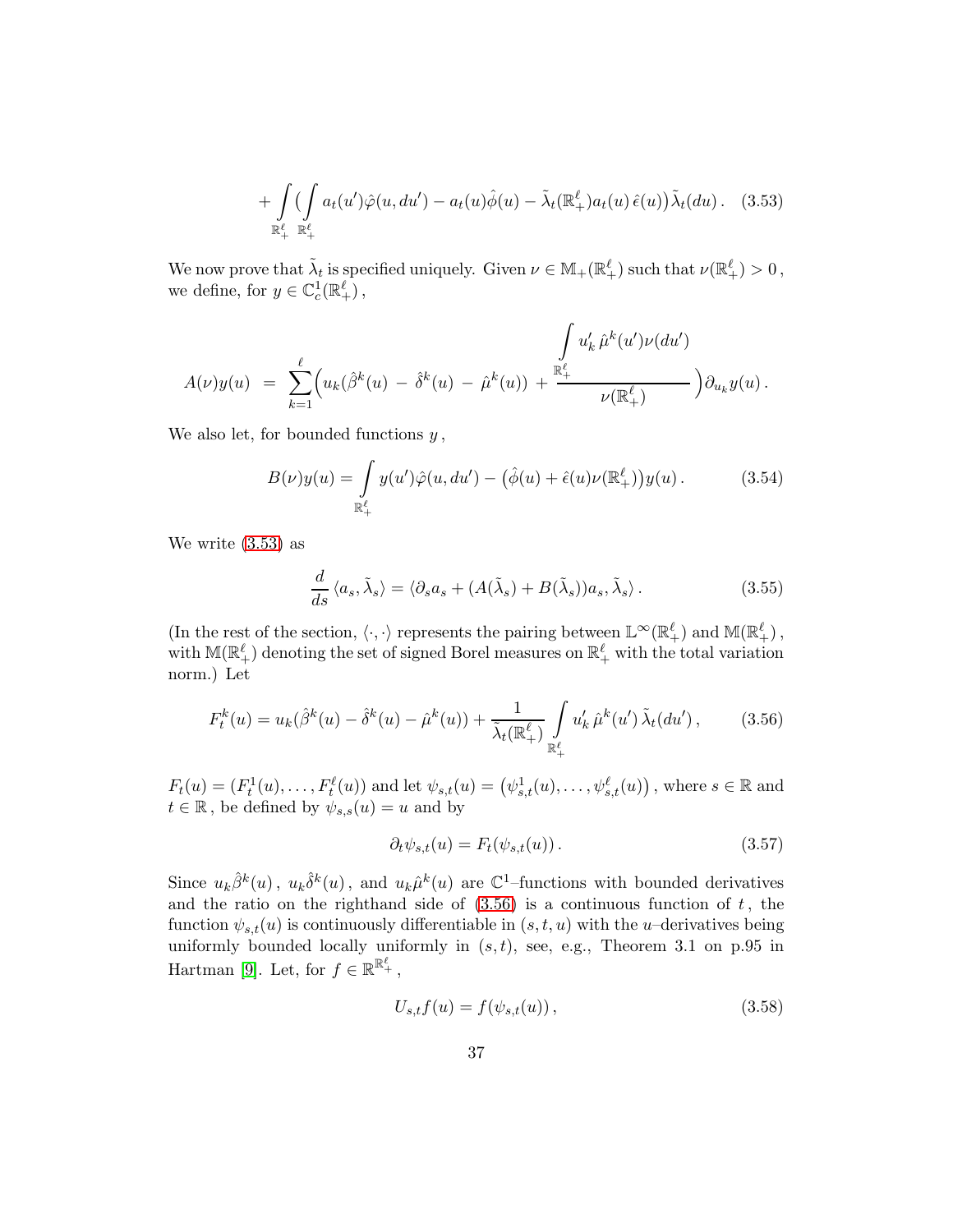<span id="page-36-0"></span>
$$
+\int_{\mathbb{R}^{\ell}_{+}}\left(\int_{\mathbb{R}^{\ell}_{+}}a_{t}(u')\hat{\varphi}(u,du')-a_{t}(u)\hat{\phi}(u)-\tilde{\lambda}_{t}(\mathbb{R}^{\ell}_{+})a_{t}(u)\,\hat{\epsilon}(u)\right)\tilde{\lambda}_{t}(du). \quad (3.53)
$$

We now prove that  $\tilde{\lambda}_t$  is specified uniquely. Given  $\nu \in M_+(\mathbb{R}^\ell_+)$  such that  $\nu(\mathbb{R}^\ell_+) > 0$ , we define, for  $y \in \mathbb{C}_c^1(\mathbb{R}^{\ell}_+)$ ,

$$
A(\nu)y(u) = \sum_{k=1}^{\ell} \left( u_k(\hat{\beta}^k(u) - \hat{\delta}^k(u) - \hat{\mu}^k(u)) + \frac{\sum_{k=1}^{\mathbb{R}^{\ell}} u'_k \hat{\mu}^k(u')\nu(du')}{\nu(\mathbb{R}^{\ell}_+)} \right) \partial_{u_k} y(u).
$$

We also let, for bounded functions  $y$ ,

<span id="page-36-4"></span>
$$
B(\nu)y(u) = \int_{\mathbb{R}_+^{\ell}} y(u')\hat{\varphi}(u, du') - (\hat{\phi}(u) + \hat{\epsilon}(u)\nu(\mathbb{R}_+^{\ell}))y(u).
$$
 (3.54)

We write [\(3.53\)](#page-36-0) as

<span id="page-36-2"></span>
$$
\frac{d}{ds}\langle a_s, \tilde{\lambda}_s \rangle = \langle \partial_s a_s + (A(\tilde{\lambda}_s) + B(\tilde{\lambda}_s))a_s, \tilde{\lambda}_s \rangle. \tag{3.55}
$$

(In the rest of the section,  $\langle \cdot, \cdot \rangle$  represents the pairing between  $\mathbb{L}^{\infty}(\mathbb{R}^{\ell}_{+})$  and  $\mathbb{M}(\mathbb{R}^{\ell}_{+})$ , with  $\mathbb{M}(\mathbb{R}^{\ell}_+)$  denoting the set of signed Borel measures on  $\mathbb{R}^{\ell}_+$  with the total variation norm.) Let

<span id="page-36-1"></span>
$$
F_t^k(u) = u_k(\hat{\beta}^k(u) - \hat{\delta}^k(u) - \hat{\mu}^k(u)) + \frac{1}{\tilde{\lambda}_t(\mathbb{R}^{\ell}_+)} \int_{\mathbb{R}^{\ell}_+} u'_k \,\hat{\mu}^k(u') \,\tilde{\lambda}_t(du'), \qquad (3.56)
$$

 $F_t(u) = (F_t^1(u), \ldots, F_t^{\ell}(u))$  and let  $\psi_{s,t}(u) = (\psi_{s,t}^1(u), \ldots, \psi_{s,t}^{\ell}(u))$ , where  $s \in \mathbb{R}$  and  $t \in \mathbb{R}$ , be defined by  $\psi_{s,s}(u) = u$  and by

<span id="page-36-5"></span>
$$
\partial_t \psi_{s,t}(u) = F_t(\psi_{s,t}(u)). \tag{3.57}
$$

Since  $u_k \hat{\beta}^k(u)$ ,  $u_k \hat{\delta}^k(u)$ , and  $u_k \hat{\mu}^k(u)$  are  $\mathbb{C}^1$ -functions with bounded derivatives and the ratio on the righthand side of  $(3.56)$  is a continuous function of t, the function  $\psi_{s,t}(u)$  is continuously differentiable in  $(s, t, u)$  with the u–derivatives being uniformly bounded locally uniformly in  $(s, t)$ , see, e.g., Theorem 3.1 on p.95 in Hartman [\[9\]](#page-46-9). Let, for  $f \in \mathbb{R}^{\mathbb{R}^{\ell}_+}$ ,

<span id="page-36-3"></span>
$$
U_{s,t}f(u) = f(\psi_{s,t}(u)),
$$
\n(3.58)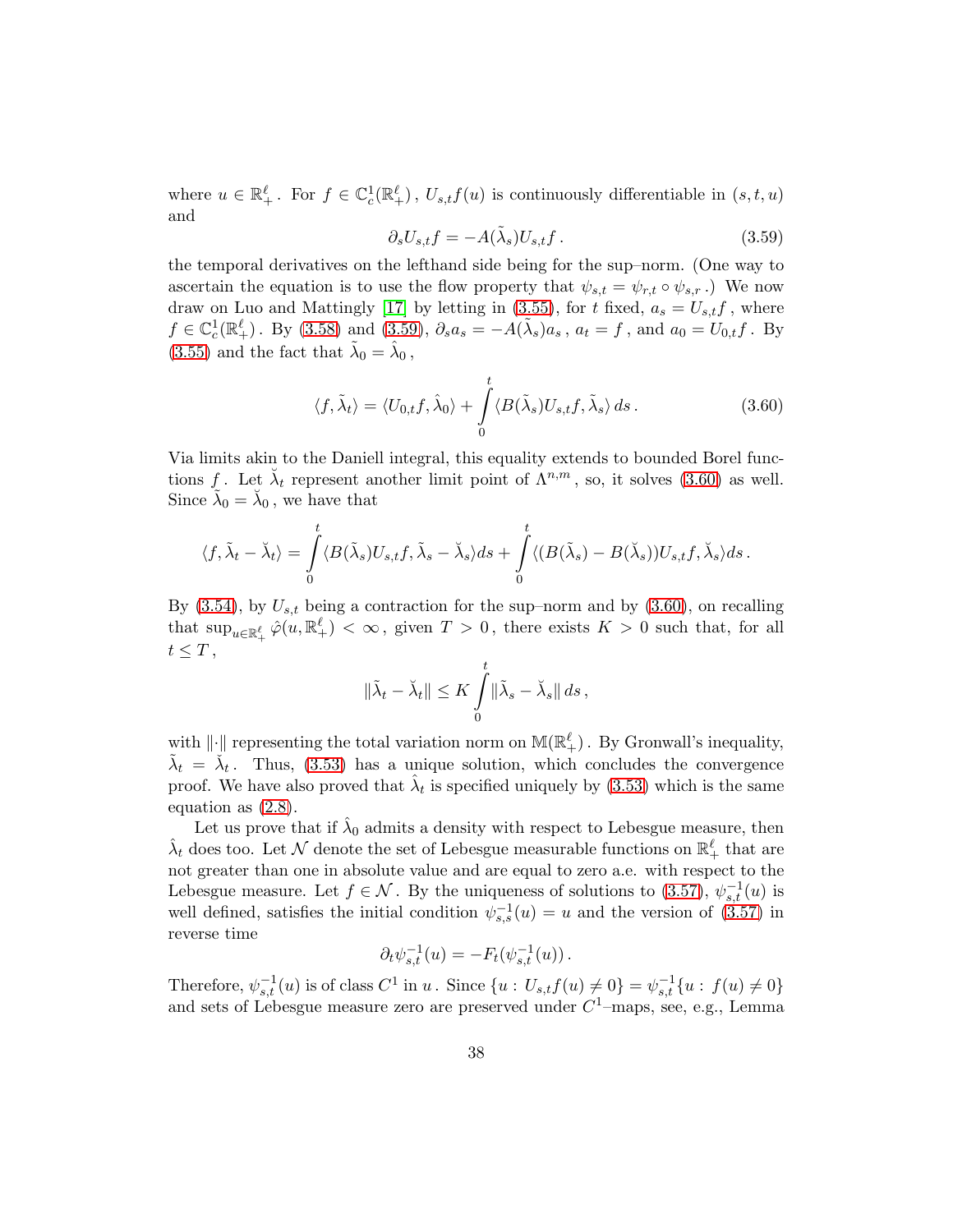where  $u \in \mathbb{R}_+^{\ell}$ . For  $f \in \mathbb{C}_c^1(\mathbb{R}_+^{\ell})$ ,  $U_{s,t}f(u)$  is continuously differentiable in  $(s,t,u)$ and

<span id="page-37-0"></span>
$$
\partial_s U_{s,t} f = -A(\tilde{\lambda}_s) U_{s,t} f. \tag{3.59}
$$

the temporal derivatives on the lefthand side being for the sup–norm. (One way to ascertain the equation is to use the flow property that  $\psi_{s,t} = \psi_{r,t} \circ \psi_{s,r}$ .) We now draw on Luo and Mattingly [\[17\]](#page-46-4) by letting in [\(3.55\)](#page-36-2), for t fixed,  $a_s = U_{s,t}f$ , where  $f \in \mathbb{C}_c^1(\mathbb{R}^{\ell}_+)$ . By [\(3.58\)](#page-36-3) and [\(3.59\)](#page-37-0),  $\partial_s a_s = -A(\tilde{\lambda}_s)a_s$ ,  $a_t = f$ , and  $a_0 = U_{0,t}f$ . By [\(3.55\)](#page-36-2) and the fact that  $\tilde{\lambda}_0 = \hat{\lambda}_0$ ,

<span id="page-37-1"></span>
$$
\langle f, \tilde{\lambda}_t \rangle = \langle U_{0,t} f, \hat{\lambda}_0 \rangle + \int_0^t \langle B(\tilde{\lambda}_s) U_{s,t} f, \tilde{\lambda}_s \rangle ds. \tag{3.60}
$$

Via limits akin to the Daniell integral, this equality extends to bounded Borel functions f. Let  $\lambda_t$  represent another limit point of  $\Lambda^{n,m}$ , so, it solves [\(3.60\)](#page-37-1) as well. Since  $\tilde{\lambda}_0 = \tilde{\lambda}_0$ , we have that

$$
\langle f, \tilde{\lambda}_t - \breve{\lambda}_t \rangle = \int_0^t \langle B(\tilde{\lambda}_s)U_{s,t}f, \tilde{\lambda}_s - \breve{\lambda}_s \rangle ds + \int_0^t \langle (B(\tilde{\lambda}_s) - B(\breve{\lambda}_s))U_{s,t}f, \breve{\lambda}_s \rangle ds.
$$

By  $(3.54)$ , by  $U_{s,t}$  being a contraction for the sup–norm and by  $(3.60)$ , on recalling that  $\sup_{u \in \mathbb{R}^{\ell}_+} \hat{\varphi}(u, \mathbb{R}^{\ell}_+) < \infty$ , given  $T > 0$ , there exists  $K > 0$  such that, for all  $t \leq T$ ,

$$
\|\tilde{\lambda}_t - \breve{\lambda}_t\| \leq K \int_0^t \|\tilde{\lambda}_s - \breve{\lambda}_s\| ds,
$$

with  $\|\cdot\|$  representing the total variation norm on  $\mathbb{M}(\mathbb{R}^{\ell}_+)$ . By Gronwall's inequality,  $\tilde{\lambda}_t = \tilde{\lambda}_t$ . Thus, [\(3.53\)](#page-36-0) has a unique solution, which concludes the convergence proof. We have also proved that  $\hat{\lambda}_t$  is specified uniquely by [\(3.53\)](#page-36-0) which is the same equation as [\(2.8\)](#page-8-0).

Let us prove that if  $\hat{\lambda}_0$  admits a density with respect to Lebesgue measure, then  $\hat{\lambda}_t$  does too. Let  $\mathcal N$  denote the set of Lebesgue measurable functions on  $\mathbb R^{\ell}_+$  that are not greater than one in absolute value and are equal to zero a.e. with respect to the Lebesgue measure. Let  $f \in \mathcal{N}$ . By the uniqueness of solutions to [\(3.57\)](#page-36-5),  $\psi_{s,t}^{-1}(u)$  is well defined, satisfies the initial condition  $\psi_{s,s}^{-1}(u) = u$  and the version of  $(3.57)$  in reverse time

$$
\partial_t \psi_{s,t}^{-1}(u) = -F_t(\psi_{s,t}^{-1}(u)).
$$

Therefore,  $\psi_{s,t}^{-1}(u)$  is of class  $C^1$  in  $u$ . Since  $\{u: U_{s,t}f(u) \neq 0\} = \psi_{s,t}^{-1}\{u: f(u) \neq 0\}$ and sets of Lebesgue measure zero are preserved under  $C^1$ -maps, see, e.g., Lemma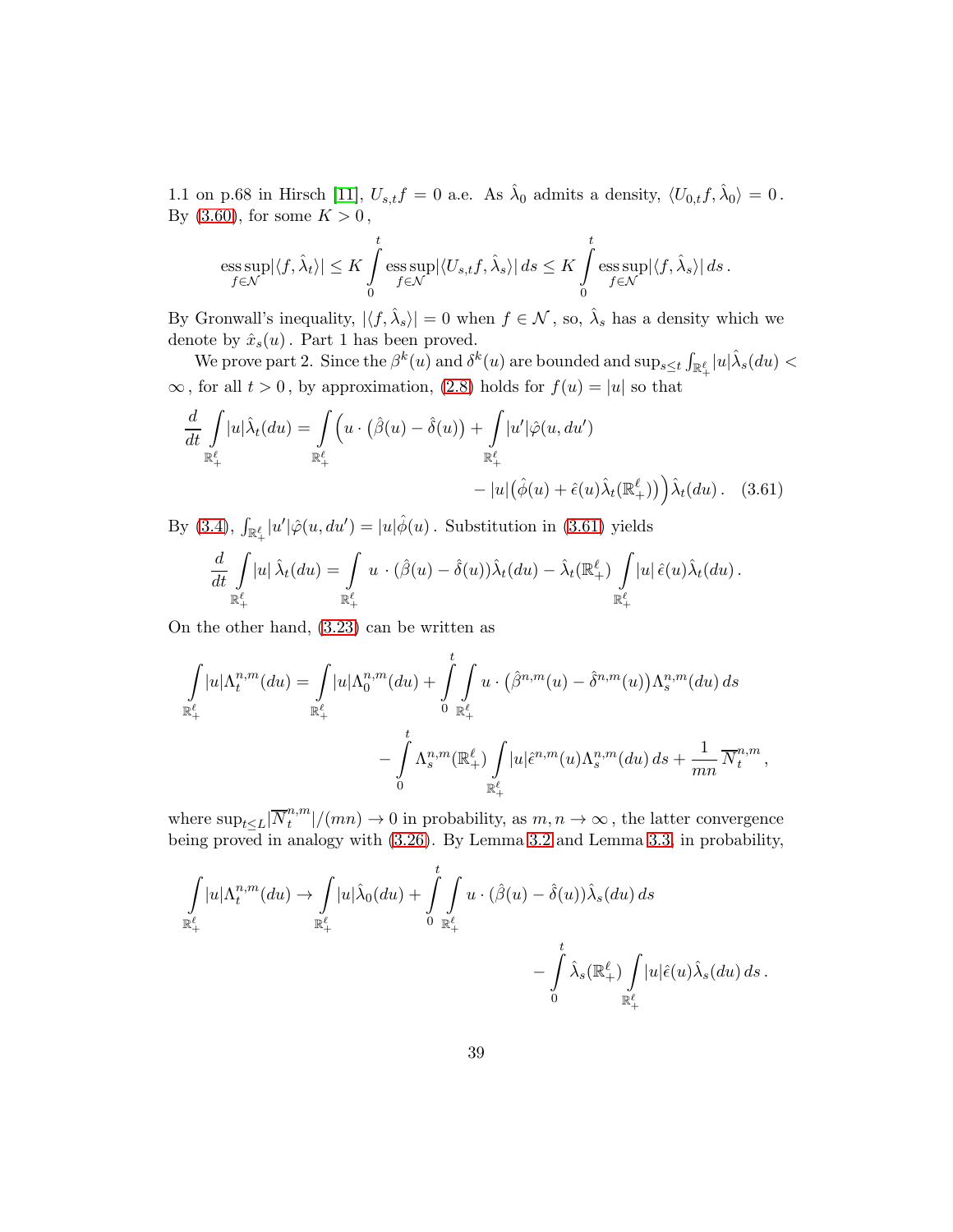1.1 on p.68 in Hirsch [\[11\]](#page-46-10),  $U_{s,t}f = 0$  a.e. As  $\hat{\lambda}_0$  admits a density,  $\langle U_{0,t}f, \hat{\lambda}_0 \rangle = 0$ . By [\(3.60\)](#page-37-1), for some  $K > 0$ ,

$$
\underset{f \in \mathcal{N}}{\mathrm{ess}\sup} |\langle f, \hat{\lambda}_t \rangle| \leq K \int\limits_0^t \underset{f \in \mathcal{N}}{\mathrm{ess}\sup} |\langle U_{s,t} f, \hat{\lambda}_s \rangle| \, ds \leq K \int\limits_0^t \underset{f \in \mathcal{N}}{\mathrm{ess}\sup} |\langle f, \hat{\lambda}_s \rangle| \, ds \, .
$$

By Gronwall's inequality,  $|\langle f, \hat{\lambda}_s \rangle| = 0$  when  $f \in \mathcal{N}$ , so,  $\hat{\lambda}_s$  has a density which we denote by  $\hat{x}_s(u)$ . Part 1 has been proved.

We prove part 2. Since the  $\beta^k(u)$  and  $\delta^k(u)$  are bounded and  $\sup_{s\leq t}\int_{\mathbb{R}_+^{\ell}}|u|\hat{\lambda}_s(du)<$  $\infty$ , for all  $t > 0$ , by approximation, [\(2.8\)](#page-8-0) holds for  $f(u) = |u|$  so that

$$
\frac{d}{dt} \int_{\mathbb{R}_+^{\ell}} |u| \hat{\lambda}_t(du) = \int_{\mathbb{R}_+^{\ell}} \left( u \cdot (\hat{\beta}(u) - \hat{\delta}(u)) + \int_{\mathbb{R}_+^{\ell}} |u'| \hat{\varphi}(u, du') \right. \\
\left. - |u| \left( \hat{\phi}(u) + \hat{\epsilon}(u) \hat{\lambda}_t(\mathbb{R}_+^{\ell})) \right) \hat{\lambda}_t(du) \right. . \tag{3.61}
$$

By [\(3.4\)](#page-12-1),  $\int_{\mathbb{R}_+^{\ell}} |u'| \hat{\varphi}(u, du') = |u| \hat{\phi}(u)$ . Substitution in [\(3.61\)](#page-38-0) yields

<span id="page-38-0"></span>
$$
\frac{d}{dt} \int\limits_{\mathbb{R}^{\ell}_+} |u| \,\hat{\lambda}_t(du) = \int\limits_{\mathbb{R}^{\ell}_+} u \cdot (\hat{\beta}(u) - \hat{\delta}(u)) \hat{\lambda}_t(du) - \hat{\lambda}_t(\mathbb{R}^{\ell}_+) \int\limits_{\mathbb{R}^{\ell}_+} |u| \,\hat{\epsilon}(u) \hat{\lambda}_t(du).
$$

On the other hand, [\(3.23\)](#page-19-1) can be written as

$$
\int_{\mathbb{R}^{\ell}_+} |u| \Lambda_t^{n,m}(du) = \int_{\mathbb{R}^{\ell}_+} |u| \Lambda_0^{n,m}(du) + \int_0^t \int_{\mathbb{R}^{\ell}_+} u \cdot (\hat{\beta}^{n,m}(u) - \hat{\delta}^{n,m}(u)) \Lambda_s^{n,m}(du) ds
$$

$$
- \int_0^t \Lambda_s^{n,m}(\mathbb{R}^{\ell}_+) \int_{\mathbb{R}^{\ell}_+} |u| \hat{\epsilon}^{n,m}(u) \Lambda_s^{n,m}(du) ds + \frac{1}{mn} \overline{N}_t^{n,m},
$$

where  $\sup_{t\leq L}|\overline{N}^{n,m}_t$  $t^{n,m}_{t}$ / $(mn) \rightarrow 0$  in probability, as  $m, n \rightarrow \infty$ , the latter convergence being proved in analogy with [\(3.26\)](#page-21-0). By Lemma [3.2](#page-15-5) and Lemma [3.3,](#page-19-2) in probability,

$$
\int_{\mathbb{R}^{\ell}_{+}} |u| \Lambda_{t}^{n,m}(du) \to \int_{\mathbb{R}^{\ell}_{+}} |u| \hat{\lambda}_{0}(du) + \int_{0}^{t} \int_{\mathbb{R}^{\ell}_{+}} u \cdot (\hat{\beta}(u) - \hat{\delta}(u)) \hat{\lambda}_{s}(du) ds
$$

$$
- \int_{0}^{t} \hat{\lambda}_{s}(\mathbb{R}^{\ell}_{+}) \int_{\mathbb{R}^{\ell}_{+}} |u| \hat{\epsilon}(u) \hat{\lambda}_{s}(du) ds.
$$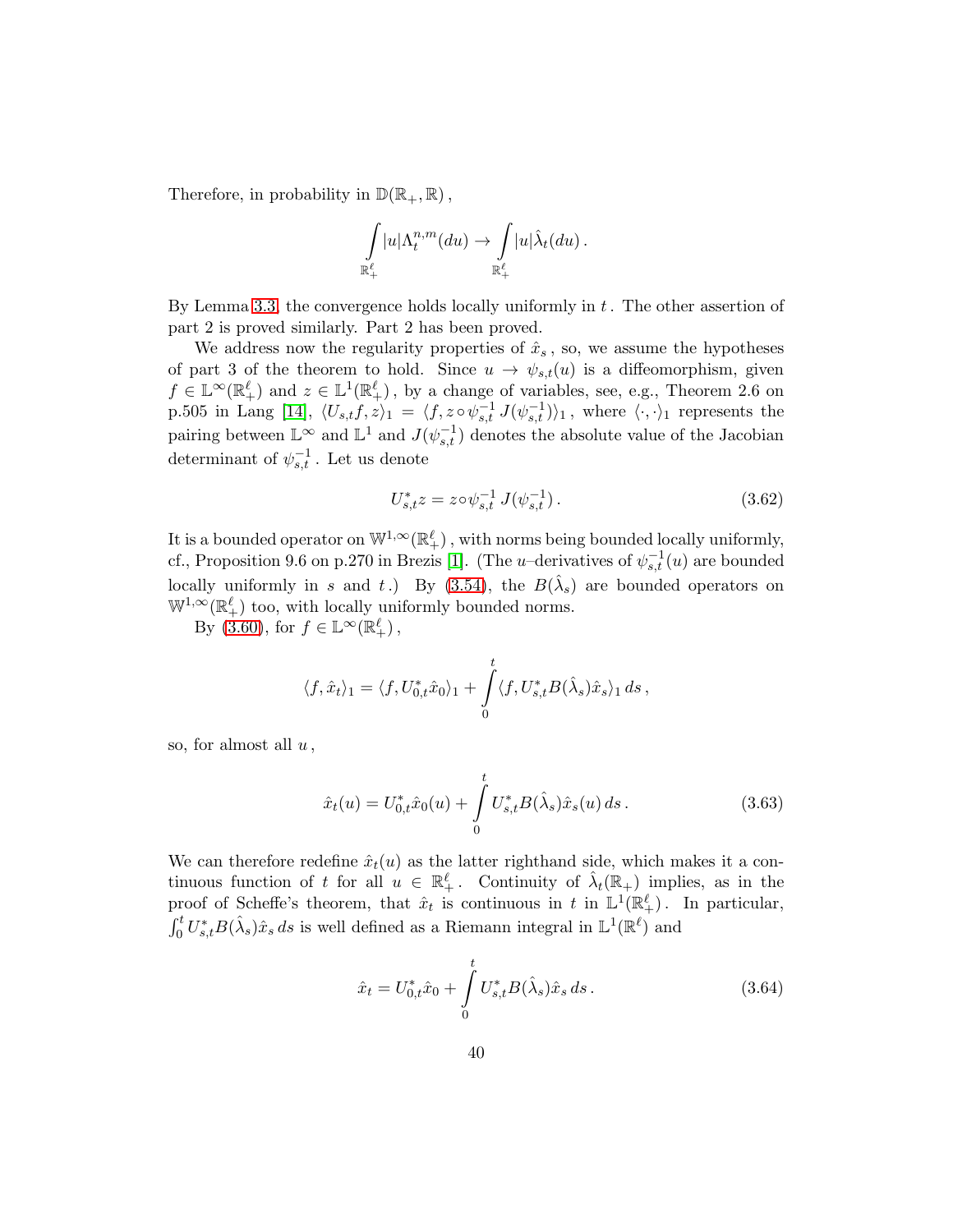Therefore, in probability in  $\mathbb{D}(\mathbb{R}_+, \mathbb{R})$ ,

$$
\int\limits_{\mathbb{R}^{\ell}_+}|u|\Lambda_t^{n,m}(du)\rightarrow \int\limits_{\mathbb{R}^{\ell}_+}|u|\hat{\lambda}_t(du)\,.
$$

By Lemma [3.3,](#page-19-2) the convergence holds locally uniformly in t. The other assertion of part 2 is proved similarly. Part 2 has been proved.

We address now the regularity properties of  $\hat{x}_s$ , so, we assume the hypotheses of part 3 of the theorem to hold. Since  $u \to \psi_{s,t}(u)$  is a diffeomorphism, given  $f \in \mathbb{L}^{\infty}(\mathbb{R}^{\ell}_{+})$  and  $z \in \mathbb{L}^{1}(\mathbb{R}^{\ell}_{+})$ , by a change of variables, see, e.g., Theorem 2.6 on p.505 in Lang [\[14\]](#page-46-11),  $\langle U_{s,t}f, z\rangle_1 = \langle f, z \circ \psi_{s,t}^{-1} J(\psi_{s,t}^{-1})\rangle_1$ , where  $\langle \cdot, \cdot \rangle_1$  represents the pairing between  $\mathbb{L}^{\infty}$  and  $\mathbb{L}^{1}$  and  $J(\psi_{s,t}^{-1})$  denotes the absolute value of the Jacobian determinant of  $\psi_{s,t}^{-1}$ . Let us denote

<span id="page-39-1"></span>
$$
U_{s,t}^* z = z \circ \psi_{s,t}^{-1} J(\psi_{s,t}^{-1}). \tag{3.62}
$$

It is a bounded operator on  $\mathbb{W}^{1,\infty}(\mathbb{R}^{\ell}_+)$ , with norms being bounded locally uniformly, cf., Proposition 9.6 on p.270 in Brezis [\[1\]](#page-45-1). (The *u*-derivatives of  $\psi_{s,t}^{-1}(u)$  are bounded locally uniformly in s and t.) By  $(3.54)$ , the  $B(\hat{\lambda}_s)$  are bounded operators on  $\mathbb{W}^{1,\infty}(\mathbb{R}^{\ell}_+)$  too, with locally uniformly bounded norms.

By [\(3.60\)](#page-37-1), for  $f \in \mathbb{L}^{\infty}(\mathbb{R}^{\ell}_+)$ ,

$$
\langle f, \hat{x}_t \rangle_1 = \langle f, U_{0,t}^* \hat{x}_0 \rangle_1 + \int\limits_0^t \langle f, U_{s,t}^* B(\hat{\lambda}_s) \hat{x}_s \rangle_1 ds \,,
$$

so, for almost all  $u$ ,

<span id="page-39-2"></span>
$$
\hat{x}_t(u) = U_{0,t}^* \hat{x}_0(u) + \int_0^t U_{s,t}^* B(\hat{\lambda}_s) \hat{x}_s(u) ds.
$$
 (3.63)

We can therefore redefine  $\hat{x}_t(u)$  as the latter righthand side, which makes it a continuous function of t for all  $u \in \mathbb{R}^{\ell}_+$ . Continuity of  $\hat{\lambda}_t(\mathbb{R}_+)$  implies, as in the proof of Scheffe's theorem, that  $\hat{x}_t$  is continuous in t in  $\mathbb{L}^1(\mathbb{R}^{\ell}_+)$ . In particular,  $\int_0^t U_{s,t}^* B(\hat{\lambda}_s) \hat{x}_s ds$  is well defined as a Riemann integral in  $\mathbb{L}^1(\mathbb{R}^\ell)$  and

<span id="page-39-0"></span>
$$
\hat{x}_t = U_{0,t}^* \hat{x}_0 + \int_0^t U_{s,t}^* B(\hat{\lambda}_s) \hat{x}_s ds .
$$
\n(3.64)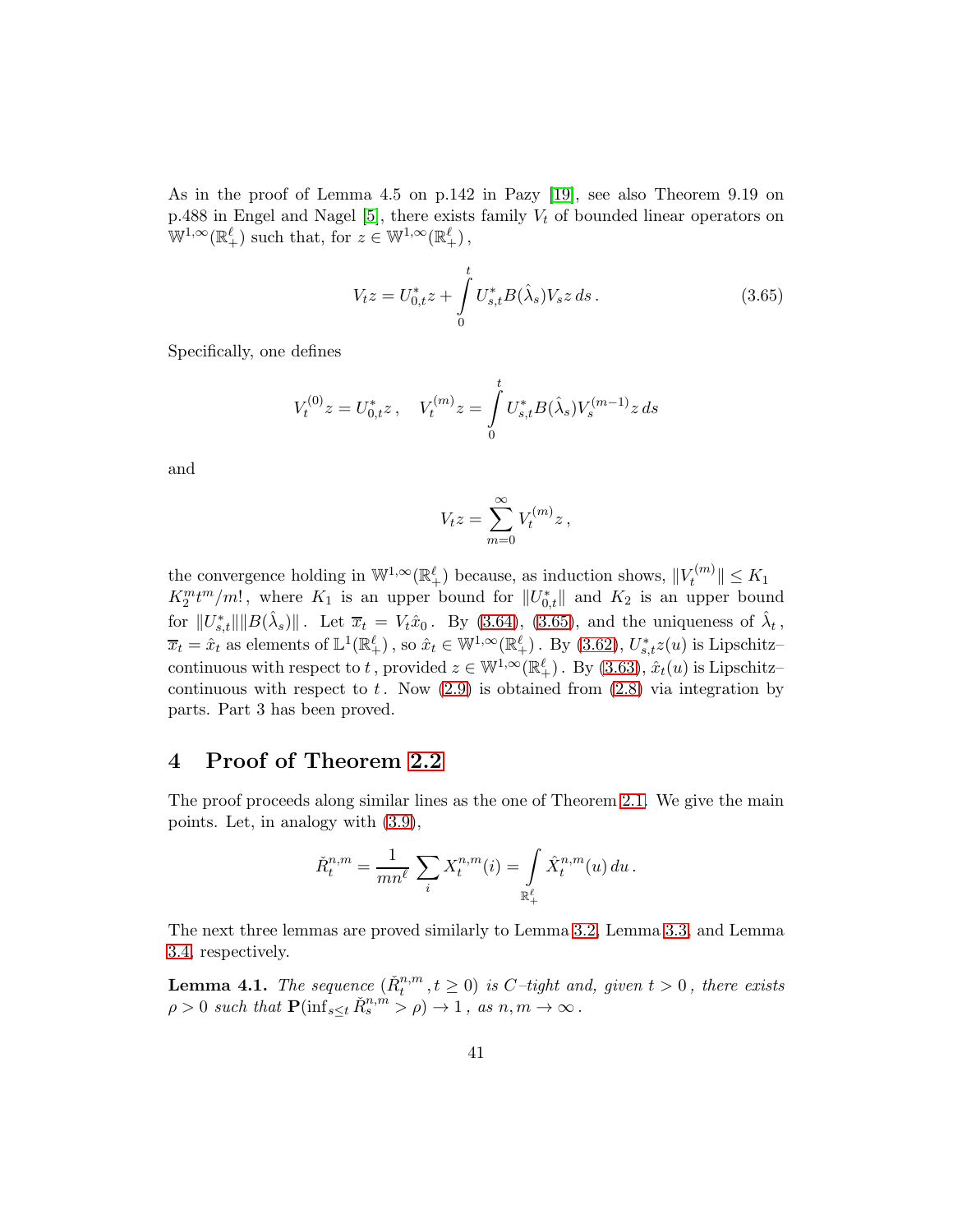As in the proof of Lemma 4.5 on p.142 in Pazy [\[19\]](#page-47-12), see also Theorem 9.19 on p.488 in Engel and Nagel [\[5\]](#page-46-12), there exists family  $V_t$  of bounded linear operators on  $\mathbb{W}^{1,\infty}(\mathbb{R}^{\ell}_+)$  such that, for  $z \in \mathbb{W}^{1,\infty}(\mathbb{R}^{\ell}_+)$ ,

<span id="page-40-1"></span>
$$
V_t z = U_{0,t}^* z + \int_0^t U_{s,t}^* B(\hat{\lambda}_s) V_s z \, ds. \tag{3.65}
$$

Specifically, one defines

$$
V_t^{(0)}z=U_{0,t}^*z\,,\quad V_t^{(m)}z=\int\limits_0^tU_{s,t}^*B(\hat{\lambda}_s)V_s^{(m-1)}z\,ds
$$

and

$$
V_t z = \sum_{m=0}^{\infty} V_t^{(m)} z,
$$

the convergence holding in  $\mathbb{W}^{1,\infty}(\mathbb{R}^{\ell}_+)$  because, as induction shows,  $||V_t^{(m)}||$  $\Vert_t^{\tau^{(m)}}\Vert \leq K_1$  $K_2^m t^m/m!$ , where  $K_1$  is an upper bound for  $||U^*_{0,t}||$  and  $K_2$  is an upper bound for  $||U_{s,t}^*|| ||B(\hat{\lambda}_s)||$ . Let  $\overline{x}_t = V_t \hat{x}_0$ . By [\(3.64\)](#page-39-0), [\(3.65\)](#page-40-1), and the uniqueness of  $\hat{\lambda}_t$ ,  $\overline{x}_t = \hat{x}_t$  as elements of  $\mathbb{L}^1(\mathbb{R}^{\ell}_+)$ , so  $\hat{x}_t \in \mathbb{W}^{1,\infty}(\mathbb{R}^{\ell}_+)$ . By  $(3.62)$ ,  $U^*_{s,t}z(u)$  is Lipschitzcontinuous with respect to t, provided  $z \in \mathbb{W}^{1,\infty}(\mathbb{R}^{\ell}_+)$ . By  $(3.63), \hat{x}_t(u)$  is Lipschitz– continuous with respect to  $t$ . Now  $(2.9)$  is obtained from  $(2.8)$  via integration by parts. Part 3 has been proved.

# 4 Proof of Theorem 2.2

The proof proceeds along similar lines as the one of Theorem 2.1. We give the main points. Let, in analogy with [\(3.9\)](#page-14-1),

$$
\check{R}^{n,m}_t = \frac{1}{mn^{\ell}} \sum_i X^{n,m}_t(i) = \int_{\mathbb{R}^{\ell}_+} \hat{X}^{n,m}_t(u) \, du \, .
$$

The next three lemmas are proved similarly to Lemma [3.2,](#page-15-5) Lemma [3.3,](#page-19-2) and Lemma [3.4,](#page-23-3) respectively.

<span id="page-40-0"></span>**Lemma 4.1.** The sequence  $(\check{R}_t^{n,m}, t \geq 0)$  is C-tight and, given  $t > 0$ , there exists  $\rho > 0$  such that  $\mathbf{P}(\inf_{s \leq t} \check{R}_s^{n,m} > \rho) \to 1$ , as  $n, m \to \infty$ .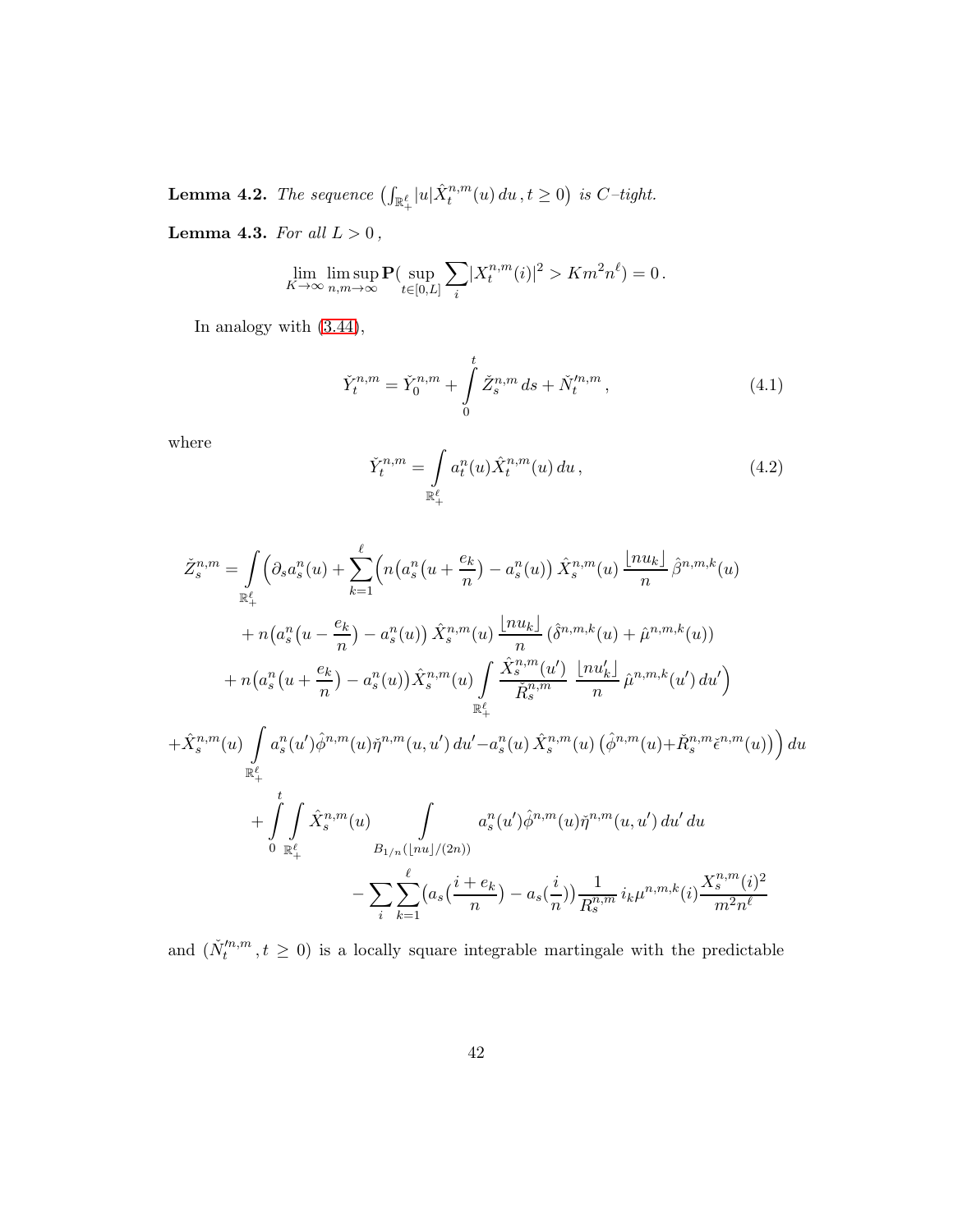<span id="page-41-0"></span>**Lemma 4.2.** The sequence  $\left(\int_{\mathbb{R}_+^{\ell}}|u|\hat{X}_t^{n,m}(u)\,du\,,t\geq 0\right)$  is  $C$ -tight.

<span id="page-41-1"></span>Lemma 4.3. For all  $L > 0$ ,

$$
\lim_{K \to \infty} \limsup_{n,m \to \infty} \mathbf{P}(\sup_{t \in [0,L]} \sum_i |X_t^{n,m}(i)|^2 > Km^2n^{\ell}) = 0.
$$

In analogy with [\(3.44\)](#page-30-3),

<span id="page-41-2"></span>
$$
\check{Y}_t^{n,m} = \check{Y}_0^{n,m} + \int_0^t \check{Z}_s^{n,m} \, ds + \check{N}_t^{\prime n,m},\tag{4.1}
$$

where

<span id="page-41-3"></span>
$$
\check{Y}_t^{n,m} = \int\limits_{\mathbb{R}_+^{\ell}} a_t^n(u) \hat{X}_t^{n,m}(u) \, du \,, \tag{4.2}
$$

$$
\tilde{Z}_{s}^{n,m} = \int_{\mathbb{R}^{d}_{+}} \left( \partial_{s} a_{s}^{n}(u) + \sum_{k=1}^{\ell} \left( n \left( a_{s}^{n}(u + \frac{e_{k}}{n}) - a_{s}^{n}(u) \right) \hat{X}_{s}^{n,m}(u) \frac{\lfloor nu_{k} \rfloor}{n} \hat{\beta}^{n,m,k}(u) \right) \right. \\
\left. + n \left( a_{s}^{n}(u - \frac{e_{k}}{n}) - a_{s}^{n}(u) \right) \hat{X}_{s}^{n,m}(u) \frac{\lfloor nu_{k} \rfloor}{n} \left( \hat{\delta}^{n,m,k}(u) + \hat{\mu}^{n,m,k}(u) \right) \right. \\
\left. + n \left( a_{s}^{n}(u + \frac{e_{k}}{n}) - a_{s}^{n}(u) \right) \hat{X}_{s}^{n,m}(u) \int_{\mathbb{R}^{d}_{+}} \frac{\hat{X}_{s}^{n,m}(u)}{\tilde{R}_{s}^{n,m}} \frac{\lfloor nu_{k}' \rfloor}{n} \hat{\mu}^{n,m,k}(u') du' \right) \right. \\
\left. + \hat{X}_{s}^{n,m}(u) \int_{\mathbb{R}^{d}_{+}} a_{s}^{n}(u') \hat{\phi}^{n,m}(u) \tilde{\eta}^{n,m}(u, u') du' - a_{s}^{n}(u) \hat{X}_{s}^{n,m}(u) \left( \hat{\phi}^{n,m}(u) + \check{R}_{s}^{n,m} \check{\epsilon}^{n,m}(u) \right) \right) du \\
\left. + \int_{\mathbb{R}^{d}_{+}} \int_{\mathbb{R}^{d}_{+}} \hat{X}_{s}^{n,m}(u) \int_{B_{\ell}^{n}(u)} a_{s}^{n}(u') \hat{\phi}^{n,m}(u) \tilde{\eta}^{n,m}(u, u') du' du \right. \\
\left. - \sum_{i} \sum_{k=1}^{\ell} \left( a_{s} \left( \frac{i + e_{k}}{n} \right) - a_{s} \left( \frac{i}{n} \right) \right) \frac{1}{R_{s}^{n,m}} i_{k} \mu^{n,m,k}(i) \frac{X_{s}^{n,m}(i)^{2}}{m^{2} n^{\ell}} \right)
$$

and  $(\check{N}'^{n,m}_t, t \geq 0)$  is a locally square integrable martingale with the predictable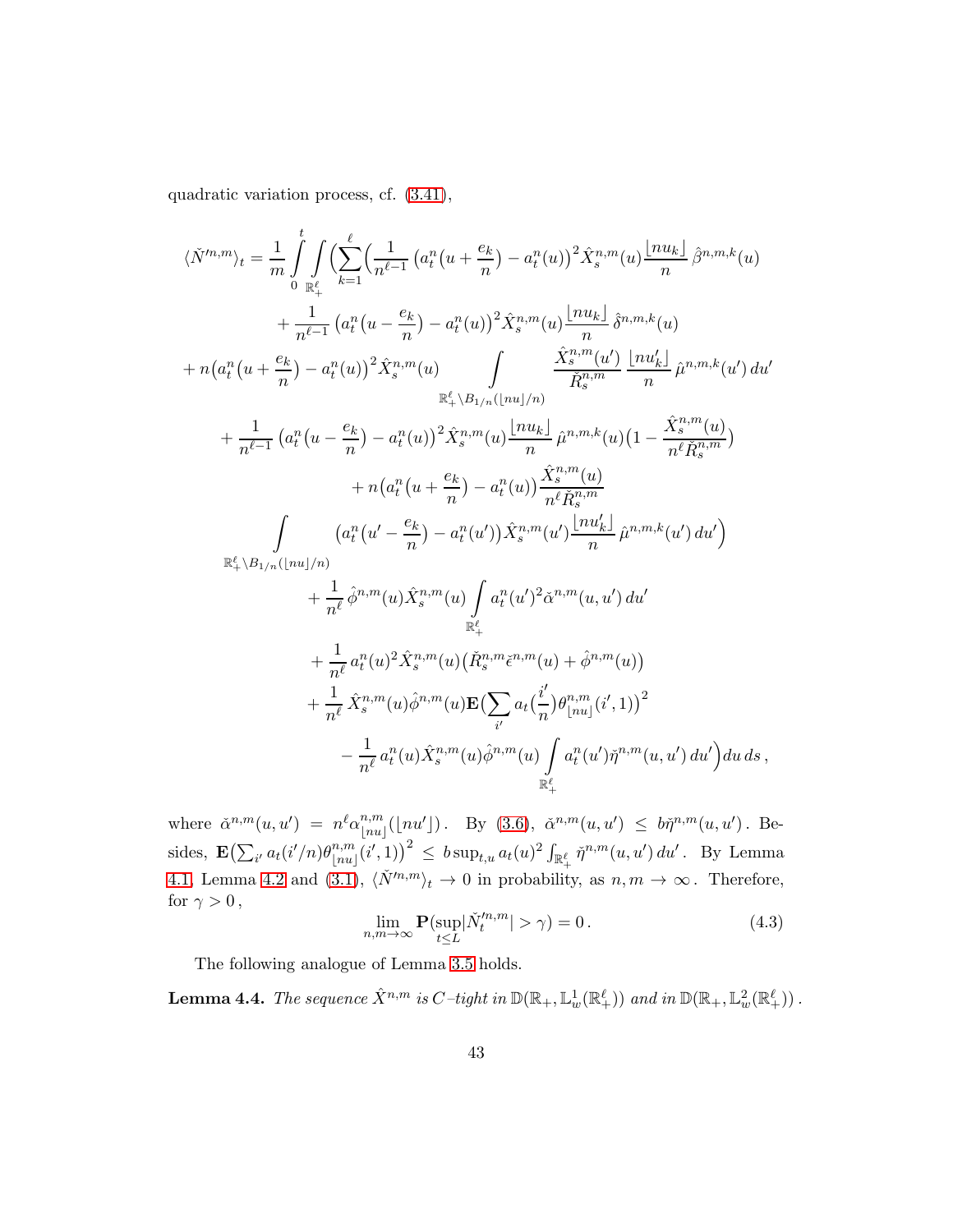quadratic variation process, cf. [\(3.41\)](#page-30-0),

$$
\langle \check{N}^{m,m} \rangle_{t} = \frac{1}{m} \int_{0}^{t} \int_{\mathbb{R}_{+}^{\ell}} \left( \sum_{n=1}^{\ell} \left( a_{t}^{n} (u + \frac{e_{k}}{n}) - a_{t}^{n}(u) \right)^{2} \hat{X}_{s}^{n,m}(u) \frac{\lfloor nu_{k} \rfloor}{n} \hat{\beta}^{n,m,k}(u) \right. \\ \left. + \frac{1}{n^{\ell-1}} \left( a_{t}^{n} (u - \frac{e_{k}}{n}) - a_{t}^{n}(u) \right)^{2} \hat{X}_{s}^{n,m}(u) \frac{\lfloor nu_{k} \rfloor}{n} \hat{\delta}^{n,m,k}(u) \right. \\ \left. + n \left( a_{t}^{n} (u + \frac{e_{k}}{n}) - a_{t}^{n}(u) \right)^{2} \hat{X}_{s}^{n,m}(u) \int_{\mathbb{R}_{+}^{\ell} \setminus B_{1/n}(\lfloor nu \rfloor/n)} \frac{\hat{X}_{s}^{n,m}(u)}{n} \frac{\lfloor nu_{k}' \rfloor}{n} \hat{\mu}^{n,m,k}(u') du' \right. \\ \left. + \frac{1}{n^{\ell-1}} \left( a_{t}^{n} (u - \frac{e_{k}}{n}) - a_{t}^{n}(u) \right)^{2} \hat{X}_{s}^{n,m}(u) \frac{\lfloor nu_{k} \rfloor}{n} \hat{\mu}^{n,m,k}(u) \left( 1 - \frac{\hat{X}_{s}^{n,m}(u)}{n^{\ell} \tilde{R}_{s}^{n,m}} \right) \right. \\ \left. + n \left( a_{t}^{n} (u + \frac{e_{k}}{n}) - a_{t}^{n}(u) \right) \frac{\hat{X}_{s}^{n,m}(u)}{n^{\ell} \tilde{R}_{s}^{n,m}} \right. \\ \left. \int_{\mathbb{R}_{+}^{\ell} \setminus B_{1/n}(\lfloor nu \rfloor/n)} \left( a_{t}^{n} (u' - \frac{e_{k}}{n}) - a_{t}^{n}(u') \right) \hat{X}_{s}^{n,m}(u') \frac{\lfloor nu_{k}' \rfloor}{n} \hat{\mu}^{n,m,k}(u') du' \right) \right. \\ \left. + \frac{1}{n^{\ell}} \hat{\phi}^{n,m}(u) \hat{X}_{s}^{n,m}(u
$$

where  $\check{\alpha}^{n,m}(u,u') = n^{\ell} \alpha_{\lfloor n u \rfloor}^{n,m}$  $\lim_{\|nu\| \leq \|nu\| \leq 1}$  (1nu']). By [\(3.6\)](#page-13-1),  $\check{\alpha}^{n,m}(u, u') \leq b\check{\eta}^{n,m}(u, u')$ . Besides,  $\mathbf{E} \left( \sum_{i'} a_t(i'/n) \theta_{\mid nu}^{n,m} \right)$  $\lim_{\|nu\|_{[n]}(i',1)}^{n,m}$  (i', 1))<sup>2</sup>  $\leq b \sup_{t,u} a_t(u)^2 \int_{\mathbb{R}^{\ell}_+} \check{\eta}^{n,m}(u,u') du'$ . By Lemma [4.1,](#page-40-0) Lemma [4.2](#page-41-0) and [\(3.1\)](#page-11-0),  $\langle N^{\prime n,m}\rangle_t \to 0$  in probability, as  $n, m \to \infty$ . Therefore, for  $\gamma > 0$ ,

<span id="page-42-0"></span>
$$
\lim_{n,m \to \infty} \mathbf{P}(\sup_{t \le L} |\check{N}^{n,m}_t| > \gamma) = 0.
$$
\n(4.3)

The following analogue of Lemma [3.5](#page-32-1) holds.

**Lemma 4.4.** The sequence  $\hat{X}^{n,m}$  is  $C$  –tight in  $\mathbb{D}(\mathbb{R}_+,\mathbb{L}^1_w(\mathbb{R}^{\ell}_+))$  and in  $\mathbb{D}(\mathbb{R}_+,\mathbb{L}^2_w(\mathbb{R}^{\ell}_+))$  .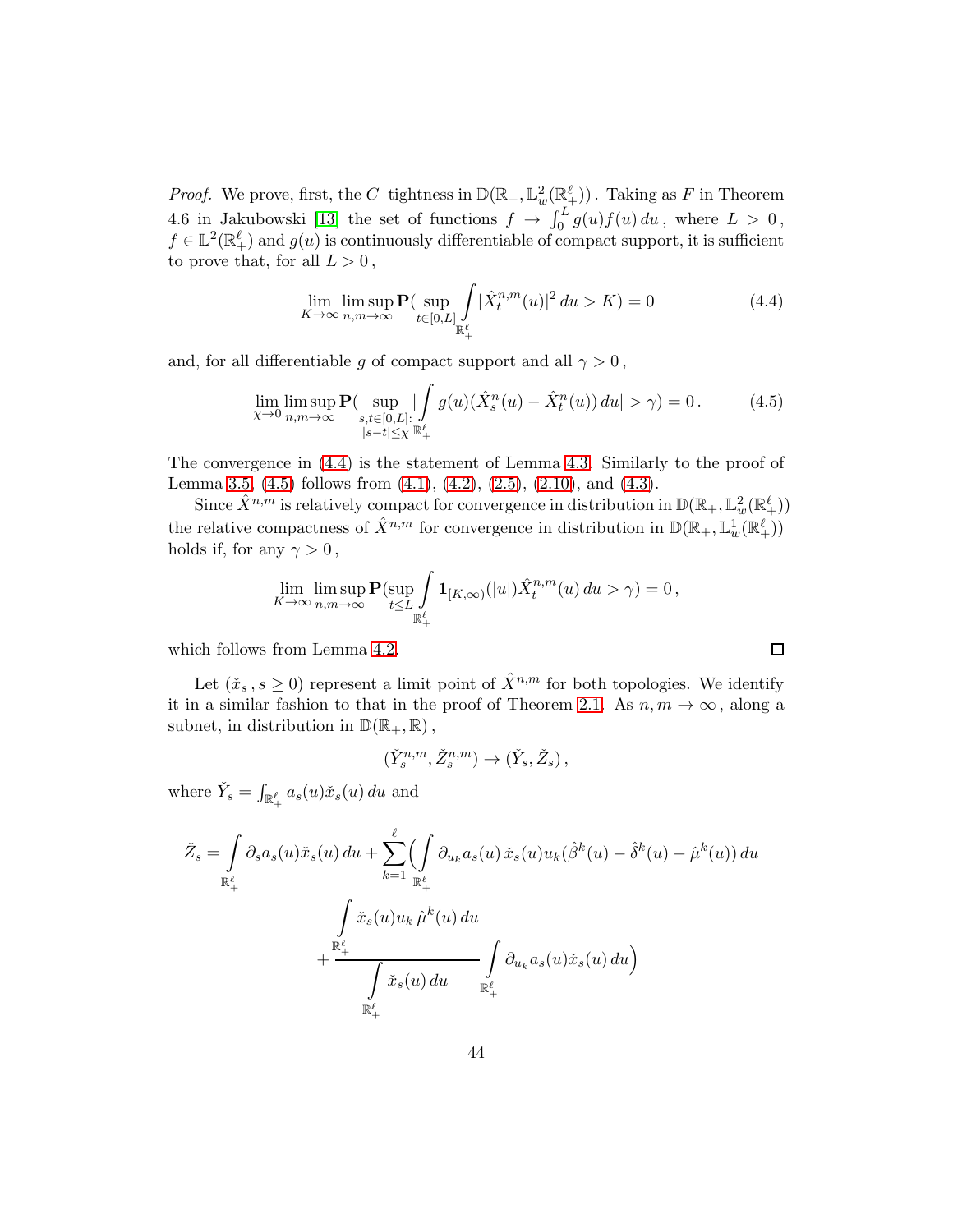*Proof.* We prove, first, the C-tightness in  $\mathbb{D}(\mathbb{R}_+, \mathbb{L}^2_w(\mathbb{R}^{\ell}_+))$ . Taking as F in Theorem 4.6 in Jakubowski [\[13\]](#page-46-6) the set of functions  $f \to \int_0^L g(u)f(u) du$ , where  $L > 0$ ,  $f \in \mathbb{L}^{2}(\mathbb{R}^{\ell})$  and  $g(u)$  is continuously differentiable of compact support, it is sufficient to prove that, for all  $L > 0$ ,

<span id="page-43-0"></span>
$$
\lim_{K \to \infty} \limsup_{n,m \to \infty} \mathbf{P}(\sup_{t \in [0,L]} \int_{\mathbb{R}^{\ell}_+} |\hat{X}^{n,m}_t(u)|^2 du > K) = 0
$$
\n(4.4)

 $\Box$ 

and, for all differentiable g of compact support and all  $\gamma > 0$ ,

<span id="page-43-1"></span>
$$
\lim_{\chi \to 0} \limsup_{n,m \to \infty} \mathbf{P}(\sup_{\substack{s,t \in [0,L]:\\|s-t| \le \chi}} |\int_{\mathbb{R}^{\ell}_{+}} g(u)(\hat{X}_{s}^{n}(u) - \hat{X}_{t}^{n}(u)) du| > \gamma) = 0.
$$
 (4.5)

The convergence in [\(4.4\)](#page-43-0) is the statement of Lemma [4.3.](#page-41-1) Similarly to the proof of Lemma [3.5,](#page-32-1)  $(4.5)$  follows from  $(4.1)$ ,  $(4.2)$ ,  $(2.5)$ ,  $(2.10)$ , and  $(4.3)$ .

Since  $\hat{X}^{n,m}$  is relatively compact for convergence in distribution in  $\mathbb{D}(\mathbb{R}_+,\mathbb{L}^2_w(\mathbb{R}^\ell_+))$ the relative compactness of  $\hat{X}^{n,m}$  for convergence in distribution in  $\mathbb{D}(\mathbb{R}_+,\mathbb{L}^1_w(\mathbb{R}^\ell_+))$ holds if, for any  $\gamma > 0$ ,

$$
\lim_{K \to \infty} \limsup_{n,m \to \infty} \mathbf{P}(\sup_{t \le L} \int_{\mathbb{R}_+^{\ell}} \mathbf{1}_{[K,\infty)}(|u|) \hat{X}_t^{n,m}(u) du > \gamma) = 0,
$$

which follows from Lemma [4.2.](#page-41-0)

Let  $(\check{x}_s, s \geq 0)$  represent a limit point of  $\hat{X}^{n,m}$  for both topologies. We identify it in a similar fashion to that in the proof of Theorem 2.1. As  $n, m \to \infty$ , along a subnet, in distribution in  $\mathbb{D}(\mathbb{R}_+, \mathbb{R})$ ,

$$
(\check{Y}^{n,m}_s, \check{Z}^{n,m}_s) \to (\check{Y}_s, \check{Z}_s) ,
$$

where  $\check{Y}_s = \int_{\mathbb{R}_+^{\ell}} a_s(u)\check{x}_s(u) du$  and

$$
\check{Z}_{s} = \int\limits_{\mathbb{R}^{\ell}_{+}} \partial_{s} a_{s}(u) \check{x}_{s}(u) du + \sum\limits_{k=1}^{\ell} \int\limits_{\mathbb{R}^{\ell}_{+}} \partial_{u_{k}} a_{s}(u) \check{x}_{s}(u) u_{k}(\hat{\beta}^{k}(u) - \hat{\delta}^{k}(u) - \hat{\mu}^{k}(u)) du \n+ \frac{\int\limits_{\mathbb{R}^{\ell}_{+}} \check{x}_{s}(u) u_{k} \hat{\mu}^{k}(u) du}{\int\limits_{\mathbb{R}^{\ell}_{+}} \check{x}_{s}(u) du} \int\limits_{\mathbb{R}^{\ell}_{+}} \partial_{u_{k}} a_{s}(u) \check{x}_{s}(u) du
$$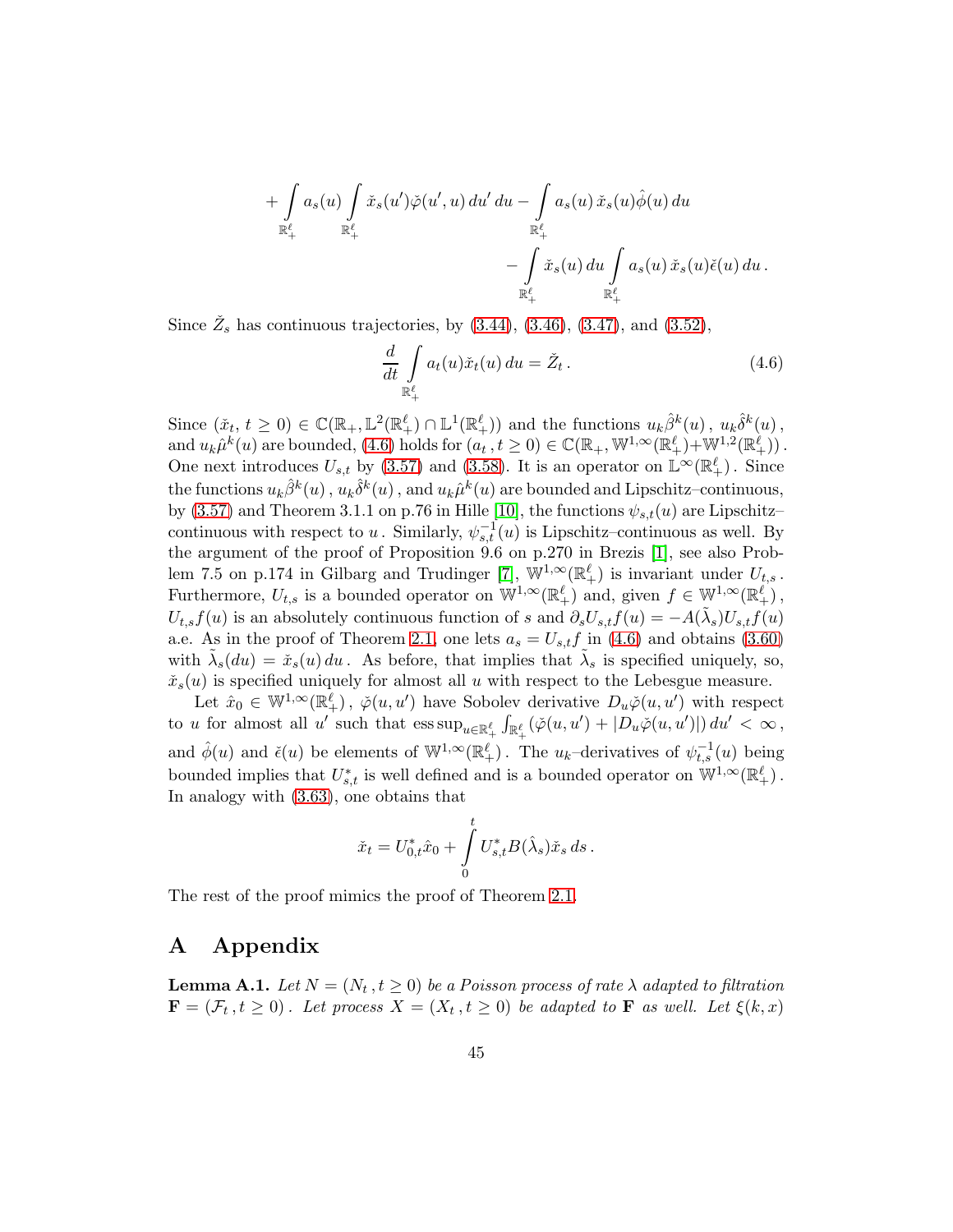$$
+ \int\limits_{\mathbb{R}^{\ell}_+} a_s(u) \int\limits_{\mathbb{R}^{\ell}_+} \tilde{x}_s(u') \check{\varphi}(u',u) du' du - \int\limits_{\mathbb{R}^{\ell}_+} a_s(u) \tilde{x}_s(u) \hat{\phi}(u) du - \int\limits_{\mathbb{R}^{\ell}_+} \tilde{x}_s(u) du \int\limits_{\mathbb{R}^{\ell}_+} a_s(u) \tilde{x}_s(u) \check{\epsilon}(u) du.
$$

Since  $\check{Z}_s$  has continuous trajectories, by  $(3.44)$ ,  $(3.46)$ ,  $(3.47)$ , and  $(3.52)$ ,

<span id="page-44-1"></span>
$$
\frac{d}{dt} \int_{\mathbb{R}_+^{\ell}} a_t(u)\check{x}_t(u) du = \check{Z}_t.
$$
\n(4.6)

Since  $(\check{x}_t, t \geq 0) \in \mathbb{C}(\mathbb{R}_+, \mathbb{L}^2(\mathbb{R}^{\ell}_+) \cap \mathbb{L}^1(\mathbb{R}^{\ell}_+))$  and the functions  $u_k \hat{\beta}^k(u)$ ,  $u_k \hat{\delta}^k(u)$ , and  $u_k\hat{\mu}^k(u)$  are bounded, [\(4.6\)](#page-44-1) holds for  $(a_t, t \ge 0) \in \mathbb{C}(\mathbb{R}_+, \mathbb{W}^{1,\infty}(\mathbb{R}^{\ell}_+) + \mathbb{W}^{1,2}(\mathbb{R}^{\ell}_+))$ . One next introduces  $U_{s,t}$  by [\(3.57\)](#page-36-5) and [\(3.58\)](#page-36-3). It is an operator on  $\mathbb{L}^{\infty}(\mathbb{R}^{\ell}_+)$ . Since the functions  $u_k \hat{\beta}^k(u)$  ,  $u_k \hat{\delta}^k(u)$  , and  $u_k \hat{\mu}^k(u)$  are bounded and Lipschitz–continuous, by [\(3.57\)](#page-36-5) and Theorem 3.1.1 on p.76 in Hille [\[10\]](#page-46-13), the functions  $\psi_{s,t}(u)$  are Lipschitz– continuous with respect to u. Similarly,  $\psi_{s,t}^{-1}(u)$  is Lipschitz–continuous as well. By the argument of the proof of Proposition 9.6 on p.270 in Brezis [\[1\]](#page-45-1), see also Prob-lem 7.5 on p.174 in Gilbarg and Trudinger [\[7\]](#page-46-14),  $\mathbb{W}^{1,\infty}(\mathbb{R}^{\ell}_+)$  is invariant under  $U_{t,s}$ . Furthermore,  $U_{t,s}$  is a bounded operator on  $\mathbb{W}^{1,\infty}(\mathbb{R}^{\ell}_{+})$  and, given  $f \in \mathbb{W}^{1,\infty}(\mathbb{R}^{\ell}_{+})$ ,  $U_{t,s}f(u)$  is an absolutely continuous function of s and  $\partial_s U_{s,t}f(u) = -A(\tilde{\lambda}_s)U_{s,t}f(u)$ a.e. As in the proof of Theorem 2.1, one lets  $a_s = U_{s,t}f$  in [\(4.6\)](#page-44-1) and obtains [\(3.60\)](#page-37-1) with  $\tilde{\lambda}_s(du) = \tilde{x}_s(u) du$ . As before, that implies that  $\tilde{\lambda}_s$  is specified uniquely, so,  $\check{x}_s(u)$  is specified uniquely for almost all u with respect to the Lebesgue measure.

Let  $\hat{x}_0 \in \mathbb{W}^{1,\infty}(\mathbb{R}_+^{\ell})$ ,  $\check{\varphi}(u, u')$  have Sobolev derivative  $D_u \check{\varphi}(u, u')$  with respect to u for almost all u' such that  $\text{ess sup}_{u \in \mathbb{R}^{\ell}_+} \int_{\mathbb{R}^{\ell}_+} (\check{\varphi}(u, u') + |D_u \check{\varphi}(u, u')|) du' < \infty$ , and  $\hat{\phi}(u)$  and  $\check{\epsilon}(u)$  be elements of  $\mathbb{W}^{1,\infty}(\mathbb{R}^{\ell}_+)$ . The  $u_k$ -derivatives of  $\psi_{t,s}^{-1}(u)$  being bounded implies that  $U_{s,t}^*$  is well defined and is a bounded operator on  $\mathbb{W}^{1,\infty}(\mathbb{R}^{\ell}_+)$ . In analogy with [\(3.63\)](#page-39-2), one obtains that

$$
\check{x}_t = U_{0,t}^* \hat{x}_0 + \int_0^t U_{s,t}^* B(\hat{\lambda}_s) \check{x}_s ds.
$$

The rest of the proof mimics the proof of Theorem 2.1.

# A Appendix

<span id="page-44-0"></span>**Lemma A.1.** Let  $N = (N_t, t \geq 0)$  be a Poisson process of rate  $\lambda$  adapted to filtration  $\mathbf{F} = (\mathcal{F}_t, t \geq 0)$ . Let process  $X = (X_t, t \geq 0)$  be adapted to **F** as well. Let  $\xi(k, x)$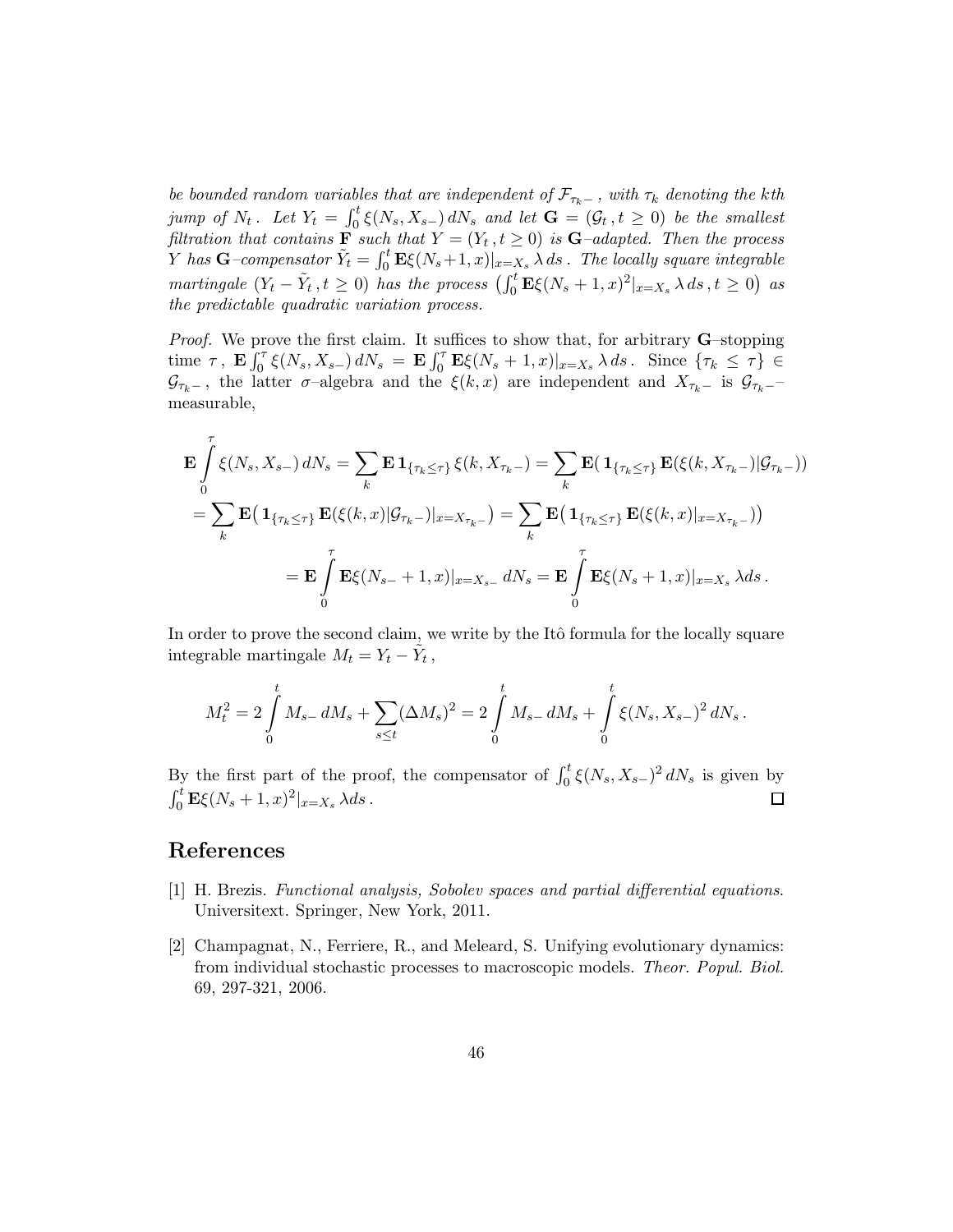be bounded random variables that are independent of  $\mathcal{F}_{\tau_k-}$ , with  $\tau_k$  denoting the kth jump of  $N_t$ . Let  $Y_t = \int_0^t \xi(N_s, X_{s-}) dN_s$  and let  $\mathbf{G} = (\mathcal{G}_t, t \geq 0)$  be the smallest filtration that contains  $\mathbf{F}$  such that  $Y = (Y_t, t \geq 0)$  is  $\mathbf{G}-adapted$ . Then the process Y has  $G$ -compensator  $\tilde{Y}_t = \int_0^t \mathbf{E} \xi(N_s+1,x)|_{x=X_s} \lambda ds$ . The locally square integrable martingale  $(Y_t - \tilde{Y}_t, t \ge 0)$  has the process  $(\int_0^t \mathbf{E} \xi(N_s + 1, x)^2|_{x=X_s} \lambda ds, t \ge 0)$  as the predictable quadratic variation process.

*Proof.* We prove the first claim. It suffices to show that, for arbitrary  $\mathbf{G}$ -stopping time  $\tau$ ,  $\mathbf{E} \int_0^{\tau} \xi(N_s, X_{s-}) dN_s = \mathbf{E} \int_0^{\tau} \mathbf{E} \xi(N_s+1, x)|_{x=X_s} \lambda ds$ . Since  $\{\tau_k \leq \tau\} \in$  $\mathcal{G}_{\tau_k-}$ , the latter  $\sigma$ –algebra and the  $\xi(k,x)$  are independent and  $X_{\tau_k-}$  is  $\mathcal{G}_{\tau_k-}$ measurable,

$$
\mathbf{E} \int_{0}^{\tau} \xi(N_{s}, X_{s-}) dN_{s} = \sum_{k} \mathbf{E} \mathbf{1}_{\{\tau_{k} \leq \tau\}} \xi(k, X_{\tau_{k-}}) = \sum_{k} \mathbf{E} (\mathbf{1}_{\{\tau_{k} \leq \tau\}} \mathbf{E}(\xi(k, X_{\tau_{k-}}) | \mathcal{G}_{\tau_{k-}}))
$$
  
\n
$$
= \sum_{k} \mathbf{E} (\mathbf{1}_{\{\tau_{k} \leq \tau\}} \mathbf{E}(\xi(k, x) | \mathcal{G}_{\tau_{k-}}) |_{x=X_{\tau_{k-}}}) = \sum_{k} \mathbf{E} (\mathbf{1}_{\{\tau_{k} \leq \tau\}} \mathbf{E}(\xi(k, x) |_{x=X_{\tau_{k-}}}))
$$
  
\n
$$
= \mathbf{E} \int_{0}^{\tau} \mathbf{E} \xi(N_{s-} + 1, x) |_{x=X_{s-}} dN_{s} = \mathbf{E} \int_{0}^{\tau} \mathbf{E} \xi(N_{s} + 1, x) |_{x=X_{s}} dds.
$$

In order to prove the second claim, we write by the Itô formula for the locally square integrable martingale  $M_t = Y_t - \tilde{Y}_t$ ,

$$
M_t^2 = 2\int_0^t M_{s-} dM_s + \sum_{s \le t} (\Delta M_s)^2 = 2\int_0^t M_{s-} dM_s + \int_0^t \xi(N_s, X_{s-})^2 dN_s.
$$

By the first part of the proof, the compensator of  $\int_0^t \xi(N_s, X_{s-})^2 dN_s$  is given by  $\int_0^t \mathbf{E} \xi(N_s + 1, x)^2 |_{x = X_s} \lambda ds$ .  $\Box$ 

# <span id="page-45-1"></span>References

- <span id="page-45-0"></span>[1] H. Brezis. Functional analysis, Sobolev spaces and partial differential equations. Universitext. Springer, New York, 2011.
- [2] Champagnat, N., Ferriere, R., and Meleard, S. Unifying evolutionary dynamics: from individual stochastic processes to macroscopic models. Theor. Popul. Biol. 69, 297-321, 2006.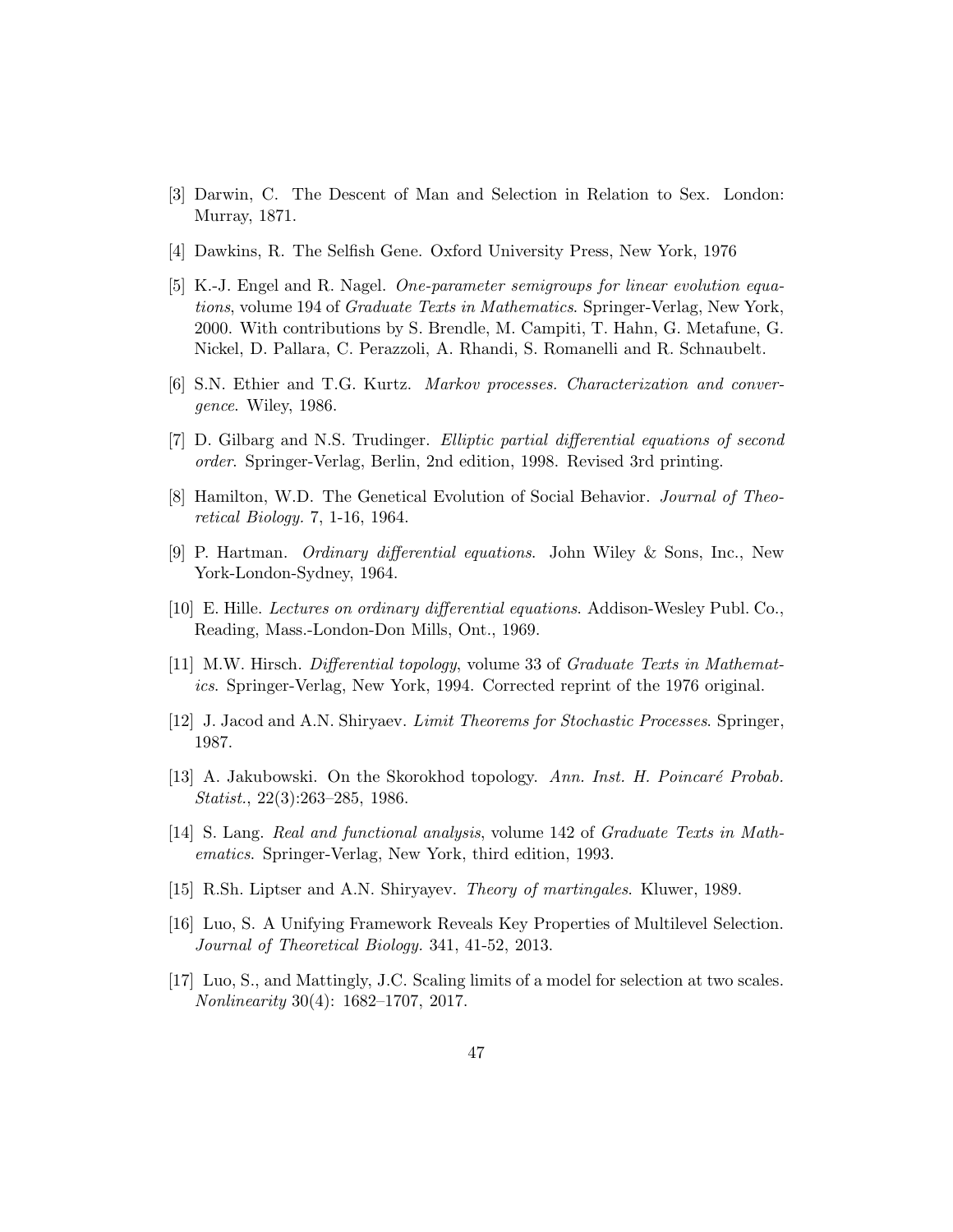- <span id="page-46-1"></span><span id="page-46-0"></span>[3] Darwin, C. The Descent of Man and Selection in Relation to Sex. London: Murray, 1871.
- <span id="page-46-12"></span>[4] Dawkins, R. The Selfish Gene. Oxford University Press, New York, 1976
- [5] K.-J. Engel and R. Nagel. One-parameter semigroups for linear evolution equations, volume 194 of Graduate Texts in Mathematics. Springer-Verlag, New York, 2000. With contributions by S. Brendle, M. Campiti, T. Hahn, G. Metafune, G. Nickel, D. Pallara, C. Perazzoli, A. Rhandi, S. Romanelli and R. Schnaubelt.
- <span id="page-46-14"></span><span id="page-46-5"></span>[6] S.N. Ethier and T.G. Kurtz. Markov processes. Characterization and convergence. Wiley, 1986.
- <span id="page-46-2"></span>[7] D. Gilbarg and N.S. Trudinger. Elliptic partial differential equations of second order. Springer-Verlag, Berlin, 2nd edition, 1998. Revised 3rd printing.
- <span id="page-46-9"></span>[8] Hamilton, W.D. The Genetical Evolution of Social Behavior. Journal of Theoretical Biology. 7, 1-16, 1964.
- <span id="page-46-13"></span>[9] P. Hartman. Ordinary differential equations. John Wiley & Sons, Inc., New York-London-Sydney, 1964.
- <span id="page-46-10"></span>[10] E. Hille. Lectures on ordinary differential equations. Addison-Wesley Publ. Co., Reading, Mass.-London-Don Mills, Ont., 1969.
- <span id="page-46-8"></span>[11] M.W. Hirsch. Differential topology, volume 33 of Graduate Texts in Mathematics. Springer-Verlag, New York, 1994. Corrected reprint of the 1976 original.
- <span id="page-46-6"></span>[12] J. Jacod and A.N. Shiryaev. Limit Theorems for Stochastic Processes. Springer, 1987.
- [13] A. Jakubowski. On the Skorokhod topology. Ann. Inst. H. Poincaré Probab. Statist., 22(3):263–285, 1986.
- <span id="page-46-11"></span><span id="page-46-7"></span>[14] S. Lang. Real and functional analysis, volume 142 of Graduate Texts in Mathematics. Springer-Verlag, New York, third edition, 1993.
- <span id="page-46-3"></span>[15] R.Sh. Liptser and A.N. Shiryayev. Theory of martingales. Kluwer, 1989.
- <span id="page-46-4"></span>[16] Luo, S. A Unifying Framework Reveals Key Properties of Multilevel Selection. Journal of Theoretical Biology. 341, 41-52, 2013.
- [17] Luo, S., and Mattingly, J.C. Scaling limits of a model for selection at two scales. Nonlinearity 30(4): 1682–1707, 2017.